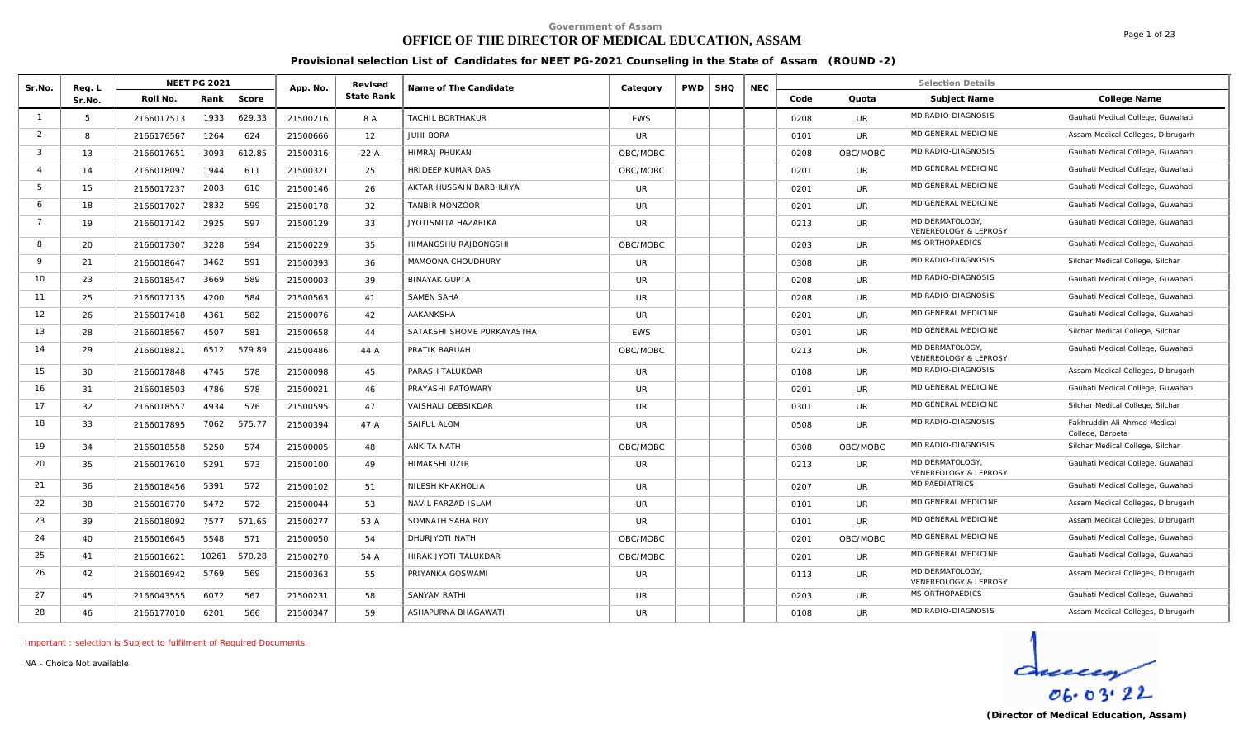# **OFFICE OF THE DIRECTOR OF MEDICAL EDUCATION, ASSAM**

Page 1 of 23

**Provisional selection List of Candidates for NEET PG-2021 Counseling in the State of Assam (ROUND -2)**

| Sr.No.         | Reg. L |            | <b>NEET PG 2021</b> |        | App. No. | Revised    | Name of The Candidate      | Category   | <b>PWD</b> | <b>SHQ</b> | <b>NEC</b> |      |           | <b>Selection Details</b>                           |                                                  |
|----------------|--------|------------|---------------------|--------|----------|------------|----------------------------|------------|------------|------------|------------|------|-----------|----------------------------------------------------|--------------------------------------------------|
|                | Sr.No. | Roll No.   | Rank                | Score  |          | State Rank |                            |            |            |            |            | Code | Quota     | Subject Name                                       | College Name                                     |
|                | 5      | 2166017513 | 1933                | 629.33 | 21500216 | 8 A        | <b>TACHIL BORTHAKUR</b>    | <b>EWS</b> |            |            |            | 0208 | UR        | MD RADIO-DIAGNOSIS                                 | Gauhati Medical College, Guwahati                |
| 2              | 8      | 2166176567 | 1264                | 624    | 21500666 | 12         | <b>JUHI BORA</b>           | <b>UR</b>  |            |            |            | 0101 | <b>UR</b> | MD GENERAL MEDICINE                                | Assam Medical Colleges, Dibrugarh                |
| $\mathbf{3}$   | 13     | 2166017651 | 3093                | 612.85 | 21500316 | 22 A       | <b>HIMRAJ PHUKAN</b>       | OBC/MOBC   |            |            |            | 0208 | OBC/MOBC  | MD RADIO-DIAGNOSIS                                 | Gauhati Medical College, Guwahati                |
| $\overline{4}$ | 14     | 2166018097 | 1944                | 611    | 21500321 | 25         | <b>HRIDEEP KUMAR DAS</b>   | OBC/MOBC   |            |            |            | 0201 | <b>UR</b> | MD GENERAL MEDICINE                                | Gauhati Medical College, Guwahati                |
| - 5            | 15     | 2166017237 | 2003                | 610    | 21500146 | 26         | AKTAR HUSSAIN BARBHUIYA    | <b>UR</b>  |            |            |            | 0201 | UR.       | MD GENERAL MEDICINE                                | Gauhati Medical College, Guwahati                |
| 6              | 18     | 2166017027 | 2832                | 599    | 21500178 | 32         | <b>TANBIR MONZOOR</b>      | UR         |            |            |            | 0201 | UR        | MD GENERAL MEDICINE                                | Gauhati Medical College, Guwahati                |
| $7^{\circ}$    | 19     | 2166017142 | 2925                | 597    | 21500129 | 33         | JYOTISMITA HAZARIKA        | <b>UR</b>  |            |            |            | 0213 | UR.       | MD DERMATOLOGY<br><b>VENEREOLOGY &amp; LEPROSY</b> | Gauhati Medical College, Guwahati                |
| 8              | 20     | 2166017307 | 3228                | 594    | 21500229 | 35         | HIMANGSHU RAJBONGSHI       | OBC/MOBC   |            |            |            | 0203 | <b>UR</b> | MS ORTHOPAEDICS                                    | Gauhati Medical College, Guwahati                |
| $\mathsf{Q}$   | 21     | 2166018647 | 3462                | 591    | 21500393 | 36         | MAMOONA CHOUDHURY          | <b>UR</b>  |            |            |            | 0308 | UR        | MD RADIO-DIAGNOSIS                                 | Silchar Medical College, Silchar                 |
| 10             | 23     | 2166018547 | 3669                | 589    | 21500003 | 39         | <b>BINAYAK GUPTA</b>       | UR.        |            |            |            | 0208 | UR        | MD RADIO-DIAGNOSIS                                 | Gauhati Medical College, Guwahati                |
| 11             | 25     | 2166017135 | 4200                | 584    | 21500563 | 41         | <b>SAMEN SAHA</b>          | <b>UR</b>  |            |            |            | 0208 | UR        | MD RADIO-DIAGNOSIS                                 | Gauhati Medical College, Guwahati                |
| 12             | 26     | 2166017418 | 4361                | 582    | 21500076 | 42         | <b>AAKANKSHA</b>           | <b>UR</b>  |            |            |            | 0201 | UR        | MD GENERAL MEDICINE                                | Gauhati Medical College, Guwahati                |
| 13             | 28     | 2166018567 | 4507                | 581    | 21500658 | 44         | SATAKSHI SHOME PURKAYASTHA | <b>EWS</b> |            |            |            | 0301 | <b>UR</b> | MD GENERAL MEDICINE                                | Silchar Medical College, Silchar                 |
| 14             | 29     | 2166018821 | 6512                | 579.89 | 21500486 | 44 A       | PRATIK BARUAH              | OBC/MOBC   |            |            |            | 0213 | UR        | MD DERMATOLOGY<br>VENEREOLOGY & LEPROSY            | Gauhati Medical College, Guwahati                |
| 15             | 30     | 2166017848 | 4745                | 578    | 21500098 | 45         | PARASH TALUKDAR            | <b>UR</b>  |            |            |            | 0108 | UR        | MD RADIO-DIAGNOSIS                                 | Assam Medical Colleges, Dibrugarh                |
| 16             | 31     | 2166018503 | 4786                | 578    | 21500021 | 46         | PRAYASHI PATOWARY          | <b>UR</b>  |            |            |            | 0201 | <b>UR</b> | MD GENERAL MEDICINE                                | Gauhati Medical College, Guwahati                |
| 17             | 32     | 2166018557 | 4934                | 576    | 21500595 | 47         | VAISHALI DEBSIKDAR         | <b>UR</b>  |            |            |            | 0301 | UR        | MD GENERAL MEDICINE                                | Silchar Medical College, Silchar                 |
| 18             | 33     | 2166017895 | 7062                | 575.77 | 21500394 | 47 A       | SAIFUL ALOM                | <b>UR</b>  |            |            |            | 0508 | <b>UR</b> | MD RADIO-DIAGNOSIS                                 | Fakhruddin Ali Ahmed Medical<br>College, Barpeta |
| 19             | 34     | 2166018558 | 5250                | 574    | 21500005 | 48         | ANKITA NATH                | OBC/MOBC   |            |            |            | 0308 | OBC/MOBC  | MD RADIO-DIAGNOSIS                                 | Silchar Medical College, Silchar                 |
| 20             | 35     | 2166017610 | 5291                | 573    | 21500100 | 49         | HIMAKSHI UZIR              | <b>UR</b>  |            |            |            | 0213 | <b>UR</b> | MD DERMATOLOGY<br><b>VENEREOLOGY &amp; LEPROSY</b> | Gauhati Medical College, Guwahati                |
| 21             | 36     | 2166018456 | 5391                | 572    | 21500102 | 51         | NILESH KHAKHOLIA           | <b>UR</b>  |            |            |            | 0207 | UR        | <b>MD PAEDIATRICS</b>                              | Gauhati Medical College, Guwahati                |
| 22             | 38     | 2166016770 | 5472                | 572    | 21500044 | 53         | NAVIL FARZAD ISLAM         | <b>UR</b>  |            |            |            | 0101 | UR        | MD GENERAL MEDICINE                                | Assam Medical Colleges, Dibrugarh                |
| 23             | 39     | 2166018092 | 7577                | 571.65 | 21500277 | 53 A       | SOMNATH SAHA ROY           | UR.        |            |            |            | 0101 | UR.       | MD GENERAL MEDICINE                                | Assam Medical Colleges, Dibrugarh                |
| 24             | 40     | 2166016645 | 5548                | 571    | 21500050 | 54         | DHURJYOTI NATH             | OBC/MOBC   |            |            |            | 0201 | OBC/MOBC  | MD GENERAL MEDICINE                                | Gauhati Medical College, Guwahati                |
| 25             | 41     | 2166016621 | 10261               | 570.28 | 21500270 | 54 A       | HIRAK JYOTI TALUKDAR       | OBC/MOBC   |            |            |            | 0201 | <b>UR</b> | MD GENERAL MEDICINE                                | Gauhati Medical College, Guwahati                |
| 26             | 42     | 2166016942 | 5769                | 569    | 21500363 | 55         | PRIYANKA GOSWAMI           | <b>UR</b>  |            |            |            | 0113 | UR        | MD DERMATOLOGY<br>VENEREOLOGY & LEPROSY            | Assam Medical Colleges, Dibrugarh                |
| 27             | 45     | 2166043555 | 6072                | 567    | 21500231 | 58         | <b>SANYAM RATHI</b>        | <b>UR</b>  |            |            |            | 0203 | UR.       | MS ORTHOPAEDICS                                    | Gauhati Medical College, Guwahati                |
| 28             | 46     | 2166177010 | 6201                | 566    | 21500347 | 59         | ASHAPURNA BHAGAWATI        | <b>UR</b>  |            |            |            | 0108 | <b>UR</b> | MD RADIO-DIAGNOSIS                                 | Assam Medical Colleges, Dibrugarh                |

*Important : selection is Subject to fulfilment of Required Documents.*

*NA - Choice Not available*

 $\frac{d}{\cos \cos 22}$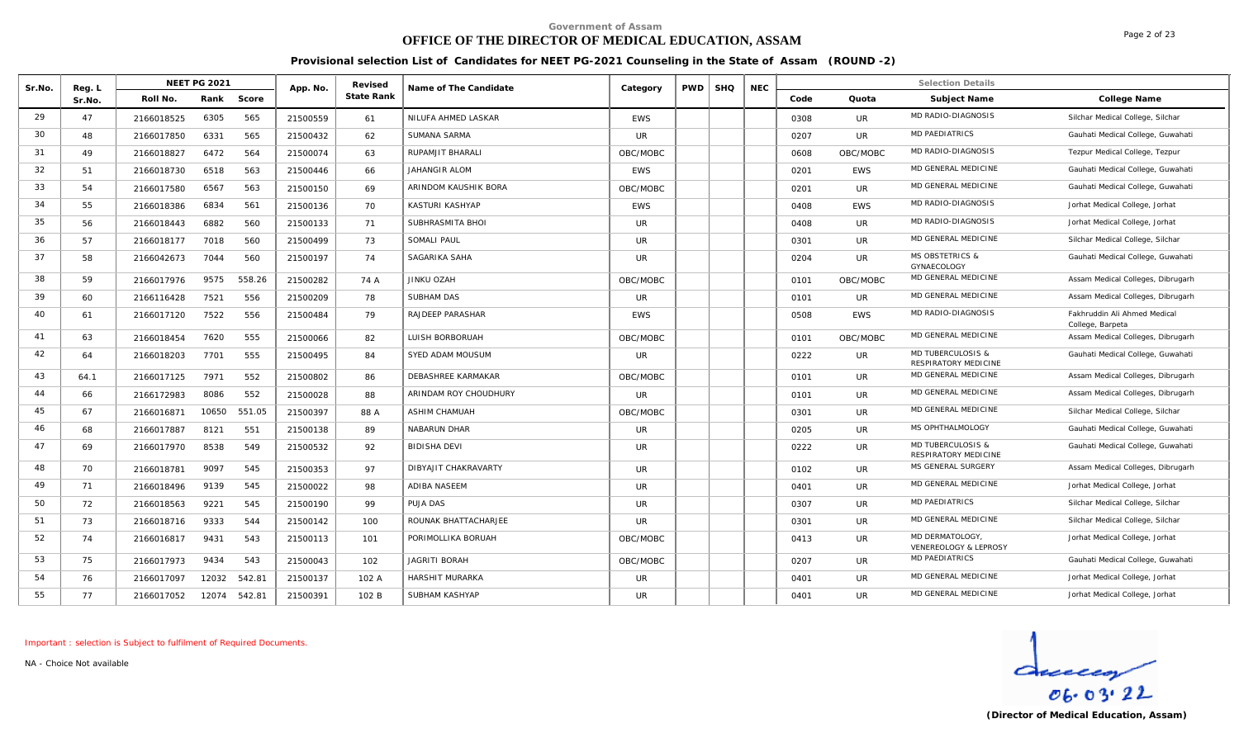# **OFFICE OF THE DIRECTOR OF MEDICAL EDUCATION, ASSAM**

Page 2 of 23

**Provisional selection List of Candidates for NEET PG-2021 Counseling in the State of Assam (ROUND -2)**

| Sr.No. | Reg. L | <b>NEET PG 2021</b> |        | App. No. | Revised    | Name of The Candidate     | Category   | PWD | <b>SHQ</b> | <b>NEC</b> |      |            | <b>Selection Details</b>                  |                                                  |
|--------|--------|---------------------|--------|----------|------------|---------------------------|------------|-----|------------|------------|------|------------|-------------------------------------------|--------------------------------------------------|
|        | Sr.No. | Roll No.<br>Rank    | Score  |          | State Rank |                           |            |     |            |            | Code | Quota      | Subject Name                              | College Name                                     |
| 29     | 47     | 6305<br>2166018525  | 565    | 21500559 | 61         | NILUFA AHMED LASKAR       | <b>EWS</b> |     |            |            | 0308 | <b>UR</b>  | MD RADIO-DIAGNOSIS                        | Silchar Medical College, Silchar                 |
| 30     | 48     | 6331<br>2166017850  | 565    | 21500432 | 62         | SUMANA SARMA              | <b>UR</b>  |     |            |            | 0207 | <b>UR</b>  | <b>MD PAEDIATRICS</b>                     | Gauhati Medical College, Guwahati                |
| 31     | 49     | 6472<br>2166018827  | 564    | 21500074 | 63         | RUPAMJIT BHARALI          | OBC/MOBC   |     |            |            | 0608 | OBC/MOBC   | MD RADIO-DIAGNOSIS                        | Tezpur Medical College, Tezpur                   |
| 32     | 51     | 6518<br>2166018730  | 563    | 21500446 | 66         | JAHANGIR ALOM             | <b>FWS</b> |     |            |            | 0201 | <b>EWS</b> | MD GENERAL MEDICINE                       | Gauhati Medical College, Guwahati                |
| 33     | 54     | 6567<br>2166017580  | 563    | 21500150 | 69         | ARINDOM KAUSHIK BORA      | OBC/MOBC   |     |            |            | 0201 | <b>UR</b>  | MD GENERAL MEDICINE                       | Gauhati Medical College, Guwahati                |
| 34     | 55     | 6834<br>2166018386  | 561    | 21500136 | 70         | KASTURI KASHYAP           | <b>EWS</b> |     |            |            | 0408 | <b>EWS</b> | MD RADIO-DIAGNOSIS                        | Jorhat Medical College, Jorhat                   |
| 35     | 56     | 6882<br>2166018443  | 560    | 21500133 | 71         | SUBHRASMITA BHOI          | UR.        |     |            |            | 0408 | UR.        | MD RADIO-DIAGNOSIS                        | Jorhat Medical College, Jorhat                   |
| 36     | 57     | 7018<br>2166018177  | 560    | 21500499 | 73         | SOMALI PAUL               | <b>UR</b>  |     |            |            | 0301 | UR.        | <b>MD GENERAL MEDICINE</b>                | Silchar Medical College, Silchar                 |
| 37     | 58     | 7044<br>2166042673  | 560    | 21500197 | 74         | SAGARIKA SAHA             | <b>UR</b>  |     |            |            | 0204 | UR         | <b>MS OBSTETRICS &amp;</b><br>GYNAECOLOGY | Gauhati Medical College, Guwahati                |
| 38     | 59     | 2166017976<br>9575  | 558.26 | 21500282 | 74 A       | JINKU OZAH                | OBC/MOBC   |     |            |            | 0101 | OBC/MOBC   | <b>MD GENERAL MEDICINE</b>                | Assam Medical Colleges, Dibrugarh                |
| 39     | 60     | 7521<br>2166116428  | 556    | 21500209 | 78         | SUBHAM DAS                | <b>UR</b>  |     |            |            | 0101 | <b>UR</b>  | MD GENERAL MEDICINE                       | Assam Medical Colleges, Dibrugarh                |
| 40     | 61     | 7522<br>2166017120  | 556    | 21500484 | 79         | RAJDEEP PARASHAR          | <b>EWS</b> |     |            |            | 0508 | <b>EWS</b> | MD RADIO-DIAGNOSIS                        | Fakhruddin Ali Ahmed Medical<br>College, Barpeta |
| 41     | 63     | 7620<br>2166018454  | 555    | 21500066 | 82         | LUISH BORBORUAH           | OBC/MOBC   |     |            |            | 0101 | OBC/MOBC   | MD GENERAL MEDICINE                       | Assam Medical Colleges, Dibrugarh                |
| 42     | 64     | 7701<br>2166018203  | 555    | 21500495 | 84         | SYED ADAM MOUSUM          | <b>UR</b>  |     |            |            | 0222 | <b>UR</b>  | MD TUBERCULOSIS &<br>RESPIRATORY MEDICINE | Gauhati Medical College, Guwahati                |
| 43     | 64.1   | 7971<br>2166017125  | 552    | 21500802 | 86         | <b>DEBASHREE KARMAKAR</b> | OBC/MOBC   |     |            |            | 0101 | UR         | MD GENERAL MEDICINE                       | Assam Medical Colleges, Dibrugarh                |
| 44     | 66     | 8086<br>2166172983  | 552    | 21500028 | 88         | ARINDAM ROY CHOUDHURY     | <b>UR</b>  |     |            |            | 0101 | UR.        | MD GENERAL MEDICINE                       | Assam Medical Colleges, Dibrugarh                |
| 45     | 67     | 10650<br>2166016871 | 551.05 | 21500397 | 88 A       | <b>ASHIM CHAMUAH</b>      | OBC/MOBC   |     |            |            | 0301 | <b>UR</b>  | MD GENERAL MEDICINE                       | Silchar Medical College, Silchar                 |
| 46     | 68     | 8121<br>2166017887  | 551    | 21500138 | 89         | NABARUN DHAR              | <b>UR</b>  |     |            |            | 0205 | UR         | MS OPHTHALMOLOGY                          | Gauhati Medical College, Guwahati                |
| 47     | 69     | 8538<br>2166017970  | 549    | 21500532 | 92         | <b>BIDISHA DEVI</b>       | <b>UR</b>  |     |            |            | 0222 | <b>UR</b>  | MD TUBERCULOSIS &<br>RESPIRATORY MEDICINE | Gauhati Medical College, Guwahati                |
| 48     | 70     | 9097<br>2166018781  | 545    | 21500353 | 97         | DIBYAJIT CHAKRAVARTY      | <b>UR</b>  |     |            |            | 0102 | UR.        | MS GENERAL SURGERY                        | Assam Medical Colleges, Dibrugarh                |
| 49     | 71     | 2166018496<br>9139  | 545    | 21500022 | 98         | ADIBA NASEEM              | <b>UR</b>  |     |            |            | 0401 | UR         | MD GENERAL MEDICINE                       | Jorhat Medical College, Jorhat                   |
| 50     | 72     | 9221<br>2166018563  | 545    | 21500190 | 99         | <b>PUJA DAS</b>           | <b>UR</b>  |     |            |            | 0307 | UR         | <b>MD PAEDIATRICS</b>                     | Silchar Medical College, Silchar                 |
| 51     | 73     | 9333<br>2166018716  | 544    | 21500142 | 100        | ROUNAK BHATTACHARJEE      | <b>UR</b>  |     |            |            | 0301 | UR         | MD GENERAL MEDICINE                       | Silchar Medical College, Silchar                 |
| 52     | 74     | 2166016817<br>9431  | 543    | 21500113 | 101        | PORIMOLLIKA BORUAH        | OBC/MOBC   |     |            |            | 0413 | UR         | MD DERMATOLOGY.<br>VENEREOLOGY & LEPROSY  | Jorhat Medical College, Jorhat                   |
| 53     | 75     | 9434<br>2166017973  | 543    | 21500043 | 102        | <b>JAGRITI BORAH</b>      | OBC/MOBC   |     |            |            | 0207 | <b>UR</b>  | <b>MD PAEDIATRICS</b>                     | Gauhati Medical College, Guwahati                |
| 54     | 76     | 12032<br>2166017097 | 542.81 | 21500137 | 102 A      | <b>HARSHIT MURARKA</b>    | <b>UR</b>  |     |            |            | 0401 | UR         | MD GENERAL MEDICINE                       | Jorhat Medical College, Jorhat                   |
| 55     | 77     | 12074<br>2166017052 | 542.81 | 21500391 | 102 B      | SUBHAM KASHYAP            | <b>UR</b>  |     |            |            | 0401 | <b>UR</b>  | MD GENERAL MEDICINE                       | Jorhat Medical College, Jorhat                   |

*Important : selection is Subject to fulfilment of Required Documents.*

*NA - Choice Not available*

 $d_{reccay}$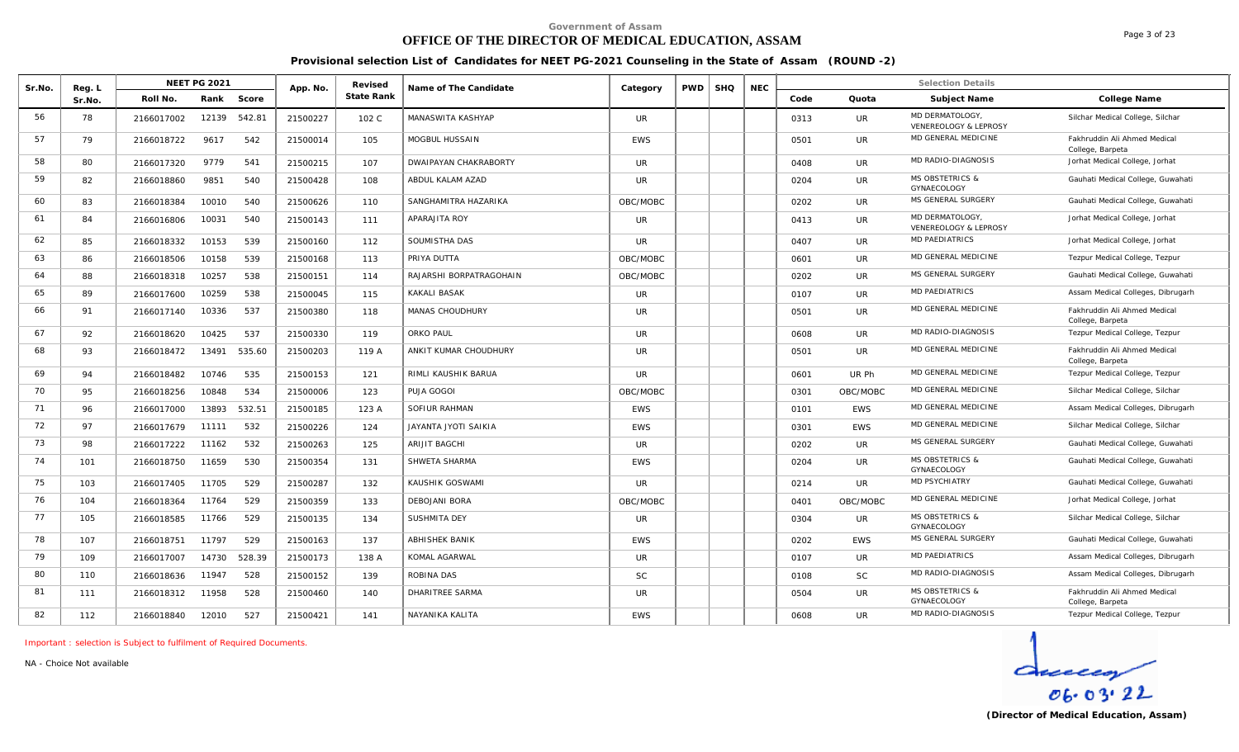# **OFFICE OF THE DIRECTOR OF MEDICAL EDUCATION, ASSAM**

**Provisional selection List of Candidates for NEET PG-2021 Counseling in the State of Assam (ROUND -2)**

| Sr.No. | Reg. L |            | <b>NEET PG 2021</b> |        | App. No. | Revised    | Name of The Candidate   | Category   | <b>PWD</b> | <b>SHQ</b> | <b>NEC</b> |      |            | <b>Selection Details</b>                  |                                                  |
|--------|--------|------------|---------------------|--------|----------|------------|-------------------------|------------|------------|------------|------------|------|------------|-------------------------------------------|--------------------------------------------------|
|        | Sr.No. | Roll No.   | Rank                | Score  |          | State Rank |                         |            |            |            |            | Code | Quota      | Subject Name                              | College Name                                     |
| 56     | 78     | 2166017002 | 12139               | 542.81 | 21500227 | 102 C      | MANASWITA KASHYAP       | <b>UR</b>  |            |            |            | 0313 | UR         | MD DERMATOLOGY.<br>VENEREOLOGY & LEPROSY  | Silchar Medical College, Silchar                 |
| 57     | 79     | 2166018722 | 9617                | 542    | 21500014 | 105        | MOGBUL HUSSAIN          | <b>EWS</b> |            |            |            | 0501 | <b>UR</b>  | MD GENERAL MEDICINE                       | Fakhruddin Ali Ahmed Medical<br>College, Barpeta |
| 58     | 80     | 2166017320 | 9779                | 541    | 21500215 | 107        | DWAIPAYAN CHAKRABORTY   | <b>UR</b>  |            |            |            | 0408 | UR         | MD RADIO-DIAGNOSIS                        | Jorhat Medical College, Jorhat                   |
| 59     | 82     | 2166018860 | 9851                | 540    | 21500428 | 108        | ABDUL KALAM AZAD        | <b>UR</b>  |            |            |            | 0204 | UR         | <b>MS OBSTETRICS &amp;</b><br>GYNAECOLOGY | Gauhati Medical College, Guwahati                |
| 60     | 83     | 2166018384 | 10010               | 540    | 21500626 | 110        | SANGHAMITRA HAZARIKA    | OBC/MOBC   |            |            |            | 0202 | <b>UR</b>  | MS GENERAL SURGERY                        | Gauhati Medical College, Guwahati                |
| 61     | 84     | 2166016806 | 10031               | 540    | 21500143 | 111        | APARAJITA ROY           | <b>UR</b>  |            |            |            | 0413 | UR         | MD DERMATOLOGY<br>VENEREOLOGY & LEPROSY   | Jorhat Medical College, Jorhat                   |
| 62     | 85     | 2166018332 | 10153               | 539    | 21500160 | 112        | SOUMISTHA DAS           | <b>UR</b>  |            |            |            | 0407 | UR         | MD PAEDIATRICS                            | Jorhat Medical College, Jorhat                   |
| 63     | 86     | 2166018506 | 10158               | 539    | 21500168 | 113        | PRIYA DUTTA             | OBC/MOBC   |            |            |            | 0601 | <b>UR</b>  | MD GENERAL MEDICINE                       | Tezpur Medical College, Tezpur                   |
| 64     | 88     | 2166018318 | 10257               | 538    | 21500151 | 114        | RAJARSHI BORPATRAGOHAIN | OBC/MOBC   |            |            |            | 0202 | <b>UR</b>  | MS GENERAL SURGERY                        | Gauhati Medical College, Guwahati                |
| 65     | 89     | 2166017600 | 10259               | 538    | 21500045 | 115        | <b>KAKALI BASAK</b>     | <b>UR</b>  |            |            |            | 0107 | <b>UR</b>  | <b>MD PAEDIATRICS</b>                     | Assam Medical Colleges, Dibrugarh                |
| 66     | 91     | 2166017140 | 10336               | 537    | 21500380 | 118        | <b>MANAS CHOUDHURY</b>  | <b>UR</b>  |            |            |            | 0501 | UR         | MD GENERAL MEDICINE                       | Fakhruddin Ali Ahmed Medical<br>College, Barpeta |
| 67     | 92     | 2166018620 | 10425               | 537    | 21500330 | 119        | ORKO PAUL               | <b>UR</b>  |            |            |            | 0608 | <b>UR</b>  | MD RADIO-DIAGNOSIS                        | Tezpur Medical College, Tezpur                   |
| 68     | 93     | 2166018472 | 13491               | 535.60 | 21500203 | 119 A      | ANKIT KUMAR CHOUDHURY   | <b>UR</b>  |            |            |            | 0501 | <b>UR</b>  | MD GENERAL MEDICINE                       | Fakhruddin Ali Ahmed Medical<br>College, Barpeta |
| 69     | 94     | 2166018482 | 10746               | 535    | 21500153 | 121        | RIMLI KAUSHIK BARUA     | <b>UR</b>  |            |            |            | 0601 | UR Ph      | MD GENERAL MEDICINE                       | Tezpur Medical College, Tezpur                   |
| 70     | 95     | 2166018256 | 10848               | 534    | 21500006 | 123        | PUJA GOGOI              | OBC/MOBC   |            |            |            | 0301 | OBC/MOBC   | MD GENERAL MEDICINE                       | Silchar Medical College, Silchar                 |
| 71     | 96     | 2166017000 | 13893               | 532.51 | 21500185 | 123 A      | SOFIUR RAHMAN           | EWS        |            |            |            | 0101 | <b>EWS</b> | MD GENERAL MEDICINE                       | Assam Medical Colleges, Dibrugarh                |
| 72     | 97     | 2166017679 | 11111               | 532    | 21500226 | 124        | JAYANTA JYOTI SAIKIA    | <b>EWS</b> |            |            |            | 0301 | <b>EWS</b> | MD GENERAL MEDICINE                       | Silchar Medical College, Silchar                 |
| 73     | 98     | 2166017222 | 11162               | 532    | 21500263 | 125        | ARIJIT BAGCHI           | UR         |            |            |            | 0202 | <b>UR</b>  | MS GENERAL SURGERY                        | Gauhati Medical College, Guwahati                |
| 74     | 101    | 2166018750 | 11659               | 530    | 21500354 | 131        | SHWETA SHARMA           | <b>EWS</b> |            |            |            | 0204 | <b>UR</b>  | <b>MS OBSTETRICS &amp;</b><br>GYNAECOLOGY | Gauhati Medical College, Guwahati                |
| 75     | 103    | 2166017405 | 11705               | 529    | 21500287 | 132        | KAUSHIK GOSWAMI         | UR.        |            |            |            | 0214 | <b>UR</b>  | MD PSYCHIATRY                             | Gauhati Medical College, Guwahati                |
| 76     | 104    | 2166018364 | 11764               | 529    | 21500359 | 133        | <b>DEBOJANI BORA</b>    | OBC/MOBC   |            |            |            | 0401 | OBC/MOBC   | MD GENERAL MEDICINE                       | Jorhat Medical College, Jorhat                   |
| 77     | 105    | 2166018585 | 11766               | 529    | 21500135 | 134        | SUSHMITA DEY            | <b>UR</b>  |            |            |            | 0304 | <b>UR</b>  | <b>MS OBSTETRICS &amp;</b><br>GYNAECOLOGY | Silchar Medical College, Silchar                 |
| 78     | 107    | 2166018751 | 11797               | 529    | 21500163 | 137        | ABHISHEK BANIK          | <b>EWS</b> |            |            |            | 0202 | <b>EWS</b> | MS GENERAL SURGERY                        | Gauhati Medical College, Guwahati                |
| 79     | 109    | 2166017007 | 14730               | 528.39 | 21500173 | 138 A      | KOMAL AGARWAL           | <b>UR</b>  |            |            |            | 0107 | UR         | <b>MD PAEDIATRICS</b>                     | Assam Medical Colleges, Dibrugarh                |
| 80     | 110    | 2166018636 | 11947               | 528    | 21500152 | 139        | ROBINA DAS              | SC         |            |            |            | 0108 | <b>SC</b>  | MD RADIO-DIAGNOSIS                        | Assam Medical Colleges, Dibrugarh                |
| 81     | 111    | 2166018312 | 11958               | 528    | 21500460 | 140        | DHARITREE SARMA         | <b>UR</b>  |            |            |            | 0504 | UR         | <b>MS OBSTETRICS &amp;</b><br>GYNAECOLOGY | Fakhruddin Ali Ahmed Medical<br>College, Barpeta |
| 82     | 112    | 2166018840 | 12010               | 527    | 21500421 | 141        | NAYANIKA KALITA         | <b>EWS</b> |            |            |            | 0608 | <b>UR</b>  | MD RADIO-DIAGNOSIS                        | Tezpur Medical College, Tezpur                   |

*Important : selection is Subject to fulfilment of Required Documents.*

*NA - Choice Not available*

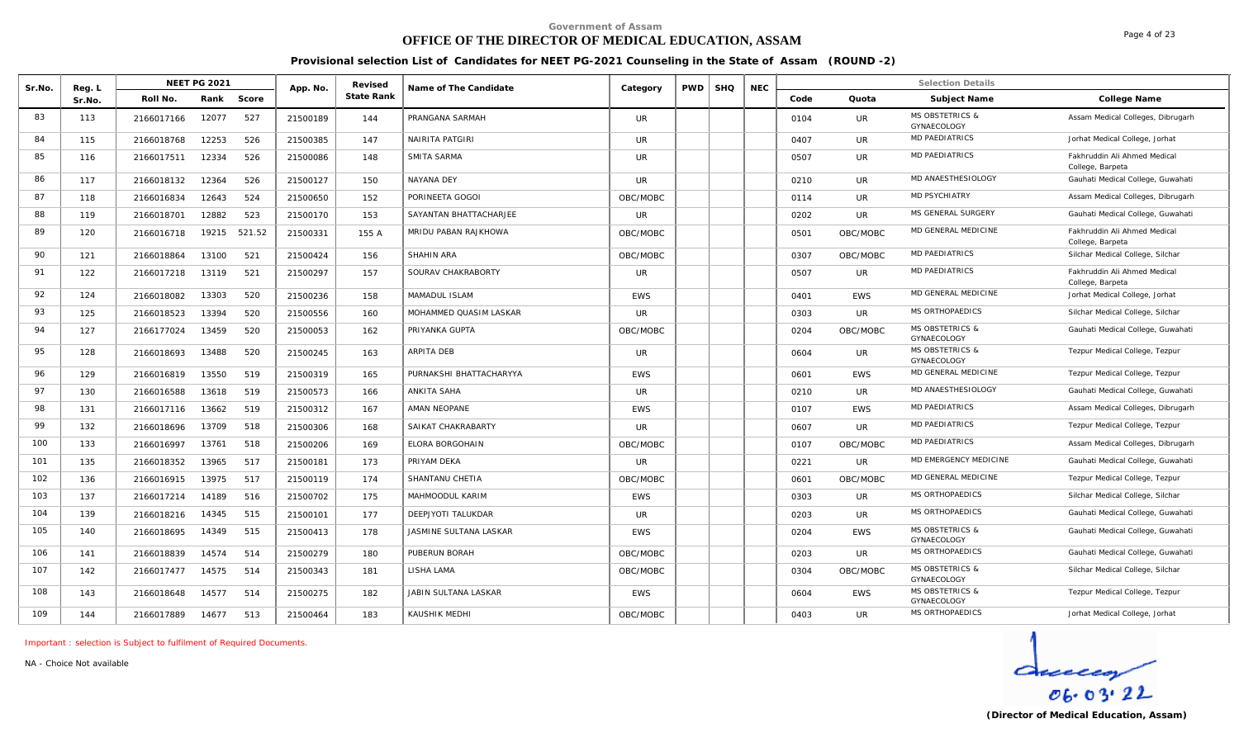# **OFFICE OF THE DIRECTOR OF MEDICAL EDUCATION, ASSAM**

**Provisional selection List of Candidates for NEET PG-2021 Counseling in the State of Assam (ROUND -2)**

| Sr.No. | Reg. L |            | <b>NEET PG 2021</b> |        | App. No. | Revised    | Name of The Candidate   | Category   | <b>PWD</b> | <b>SHQ</b> | <b>NEC</b> |      |            | <b>Selection Details</b>                  |                                                  |
|--------|--------|------------|---------------------|--------|----------|------------|-------------------------|------------|------------|------------|------------|------|------------|-------------------------------------------|--------------------------------------------------|
|        | Sr.No. | Roll No.   | Rank                | Score  |          | State Rank |                         |            |            |            |            | Code | Quota      | Subject Name                              | College Name                                     |
| 83     | 113    | 2166017166 | 12077               | 527    | 21500189 | 144        | PRANGANA SARMAH         | <b>UR</b>  |            |            |            | 0104 | <b>UR</b>  | <b>MS OBSTETRICS &amp;</b><br>GYNAECOLOGY | Assam Medical Colleges, Dibrugarh                |
| 84     | 115    | 2166018768 | 12253               | 526    | 21500385 | 147        | NAIRITA PATGIRI         | <b>UR</b>  |            |            |            | 0407 | UR         | <b>MD PAEDIATRICS</b>                     | Jorhat Medical College, Jorhat                   |
| 85     | 116    | 2166017511 | 12334               | 526    | 21500086 | 148        | SMITA SARMA             | <b>UR</b>  |            |            |            | 0507 | UR         | MD PAEDIATRICS                            | Fakhruddin Ali Ahmed Medical<br>College, Barpeta |
| 86     | 117    | 2166018132 | 12364               | 526    | 21500127 | 150        | NAYANA DEY              | <b>UR</b>  |            |            |            | 0210 | UR         | MD ANAESTHESIOLOGY                        | Gauhati Medical College, Guwahati                |
| 87     | 118    | 2166016834 | 12643               | 524    | 21500650 | 152        | PORINEETA GOGOI         | OBC/MOBC   |            |            |            | 0114 | UR.        | MD PSYCHIATRY                             | Assam Medical Colleges, Dibrugarh                |
| 88     | 119    | 2166018701 | 12882               | 523    | 21500170 | 153        | SAYANTAN BHATTACHARJEE  | UR         |            |            |            | 0202 | UR.        | MS GENERAL SURGERY                        | Gauhati Medical College, Guwahati                |
| 89     | 120    | 2166016718 | 19215               | 521.52 | 21500331 | 155 A      | MRIDU PABAN RAJKHOWA    | OBC/MOBC   |            |            |            | 0501 | OBC/MOBC   | MD GENERAL MEDICINE                       | Fakhruddin Ali Ahmed Medical<br>College, Barpeta |
| 90     | 121    | 2166018864 | 13100               | 521    | 21500424 | 156        | SHAHIN ARA              | OBC/MOBC   |            |            |            | 0307 | OBC/MOBC   | <b>MD PAEDIATRICS</b>                     | Silchar Medical College, Silchar                 |
| 91     | 122    | 2166017218 | 13119               | 521    | 21500297 | 157        | SOURAV CHAKRABORTY      | <b>UR</b>  |            |            |            | 0507 | <b>UR</b>  | <b>MD PAEDIATRICS</b>                     | Fakhruddin Ali Ahmed Medical<br>College, Barpeta |
| 92     | 124    | 2166018082 | 13303               | 520    | 21500236 | 158        | MAMADUL ISLAM           | <b>EWS</b> |            |            |            | 0401 | <b>EWS</b> | MD GENERAL MEDICINE                       | Jorhat Medical College, Jorhat                   |
| 93     | 125    | 2166018523 | 13394               | 520    | 21500556 | 160        | MOHAMMED QUASIM LASKAR  | <b>UR</b>  |            |            |            | 0303 | <b>UR</b>  | MS ORTHOPAEDICS                           | Silchar Medical College, Silchar                 |
| 94     | 127    | 2166177024 | 13459               | 520    | 21500053 | 162        | PRIYANKA GUPTA          | OBC/MOBC   |            |            |            | 0204 | OBC/MOBC   | <b>MS OBSTETRICS &amp;</b><br>GYNAECOLOGY | Gauhati Medical College, Guwahati                |
| 95     | 128    | 2166018693 | 13488               | 520    | 21500245 | 163        | <b>ARPITA DEB</b>       | <b>UR</b>  |            |            |            | 0604 | <b>UR</b>  | <b>MS OBSTETRICS &amp;</b><br>GYNAECOLOGY | Tezpur Medical College, Tezpur                   |
| 96     | 129    | 2166016819 | 13550               | 519    | 21500319 | 165        | PURNAKSHI BHATTACHARYYA | <b>EWS</b> |            |            |            | 0601 | <b>EWS</b> | MD GENERAL MEDICINE                       | Tezpur Medical College, Tezpur                   |
| 97     | 130    | 2166016588 | 13618               | 519    | 21500573 | 166        | ANKITA SAHA             | UR.        |            |            |            | 0210 | UR         | MD ANAESTHESIOLOGY                        | Gauhati Medical College, Guwahati                |
| 98     | 131    | 2166017116 | 13662               | 519    | 21500312 | 167        | AMAN NEOPANE            | <b>EWS</b> |            |            |            | 0107 | <b>EWS</b> | MD PAEDIATRICS                            | Assam Medical Colleges, Dibrugarh                |
| 99     | 132    | 2166018696 | 13709               | 518    | 21500306 | 168        | SAIKAT CHAKRABARTY      | <b>UR</b>  |            |            |            | 0607 | UR         | MD PAEDIATRICS                            | Tezpur Medical College, Tezpur                   |
| 100    | 133    | 2166016997 | 13761               | 518    | 21500206 | 169        | <b>ELORA BORGOHAIN</b>  | OBC/MOBC   |            |            |            | 0107 | OBC/MOBC   | <b>MD PAEDIATRICS</b>                     | Assam Medical Colleges, Dibrugarh                |
| 101    | 135    | 2166018352 | 13965               | 517    | 21500181 | 173        | PRIYAM DEKA             | <b>UR</b>  |            |            |            | 0221 | <b>UR</b>  | MD EMERGENCY MEDICINE                     | Gauhati Medical College, Guwahati                |
| 102    | 136    | 2166016915 | 13975               | 517    | 21500119 | 174        | SHANTANU CHETIA         | OBC/MOBC   |            |            |            | 0601 | OBC/MOBC   | MD GENERAL MEDICINE                       | Tezpur Medical College, Tezpur                   |
| 103    | 137    | 2166017214 | 14189               | 516    | 21500702 | 175        | MAHMOODUL KARIM         | <b>EWS</b> |            |            |            | 0303 | <b>UR</b>  | MS ORTHOPAEDICS                           | Silchar Medical College, Silchar                 |
| 104    | 139    | 2166018216 | 14345               | 515    | 21500101 | 177        | DEEPJYOTI TALUKDAR      | <b>UR</b>  |            |            |            | 0203 | UR         | MS ORTHOPAEDICS                           | Gauhati Medical College, Guwahati                |
| 105    | 140    | 2166018695 | 14349               | 515    | 21500413 | 178        | JASMINE SULTANA LASKAR  | <b>EWS</b> |            |            |            | 0204 | <b>EWS</b> | <b>MS OBSTETRICS &amp;</b><br>GYNAECOLOGY | Gauhati Medical College, Guwahati                |
| 106    | 141    | 2166018839 | 14574               | 514    | 21500279 | 180        | PUBERUN BORAH           | OBC/MOBC   |            |            |            | 0203 | UR.        | MS ORTHOPAEDICS                           | Gauhati Medical College, Guwahati                |
| 107    | 142    | 2166017477 | 14575               | 514    | 21500343 | 181        | LISHA LAMA              | OBC/MOBC   |            |            |            | 0304 | OBC/MOBC   | <b>MS OBSTETRICS &amp;</b><br>GYNAECOLOGY | Silchar Medical College, Silchar                 |
| 108    | 143    | 2166018648 | 14577               | 514    | 21500275 | 182        | JABIN SULTANA LASKAR    | EWS        |            |            |            | 0604 | <b>EWS</b> | <b>MS OBSTETRICS &amp;</b><br>GYNAECOLOGY | Tezpur Medical College, Tezpur                   |
| 109    | 144    | 2166017889 | 14677               | 513    | 21500464 | 183        | KAUSHIK MEDHI           | OBC/MOBC   |            |            |            | 0403 | <b>UR</b>  | MS ORTHOPAEDICS                           | Jorhat Medical College, Jorhat                   |

*Important : selection is Subject to fulfilment of Required Documents.*

*NA - Choice Not available*

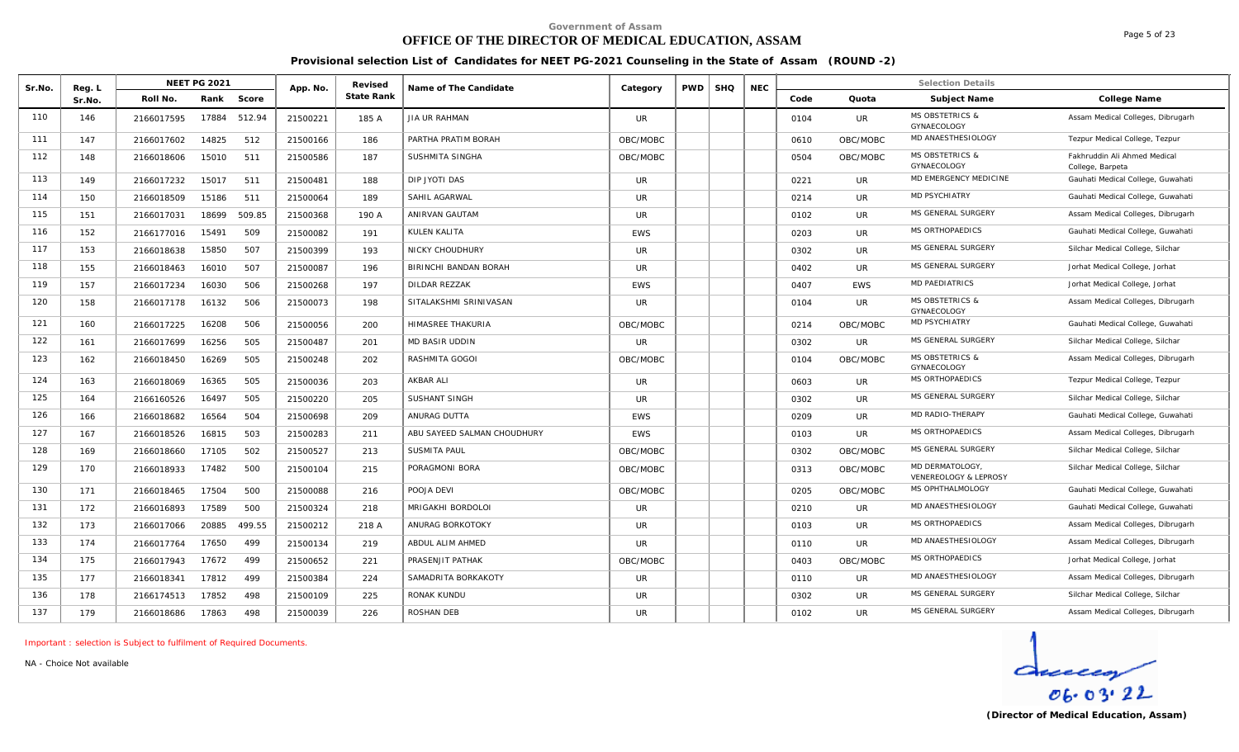# **OFFICE OF THE DIRECTOR OF MEDICAL EDUCATION, ASSAM**

Page 5 of 23

**Provisional selection List of Candidates for NEET PG-2021 Counseling in the State of Assam (ROUND -2)**

| Sr.No. | Reg. L |            | <b>NEET PG 2021</b> |        | App. No. | Revised    | Name of The Candidate       | Category   | PWD | <b>SHQ</b> | <b>NEC</b> |      |            | <b>Selection Details</b>                  |                                                  |
|--------|--------|------------|---------------------|--------|----------|------------|-----------------------------|------------|-----|------------|------------|------|------------|-------------------------------------------|--------------------------------------------------|
|        | Sr.No  | Roll No.   | Rank                | Score  |          | State Rank |                             |            |     |            |            | Code | Quota      | Subject Name                              | College Name                                     |
| 110    | 146    | 2166017595 | 17884               | 512.94 | 21500221 | 185 A      | <b>JIA UR RAHMAN</b>        | <b>UR</b>  |     |            |            | 0104 | UR         | <b>MS OBSTETRICS &amp;</b><br>GYNAECOLOGY | Assam Medical Colleges, Dibrugarh                |
| 111    | 147    | 2166017602 | 14825               | 512    | 21500166 | 186        | PARTHA PRATIM BORAH         | OBC/MOBC   |     |            |            | 0610 | OBC/MOBC   | MD ANAESTHESIOLOGY                        | Tezpur Medical College, Tezpur                   |
| 112    | 148    | 2166018606 | 15010               | 511    | 21500586 | 187        | SUSHMITA SINGHA             | OBC/MOBC   |     |            |            | 0504 | OBC/MOBC   | <b>MS OBSTETRICS &amp;</b><br>GYNAECOLOGY | Fakhruddin Ali Ahmed Medical<br>College, Barpeta |
| 113    | 149    | 2166017232 | 15017               | 511    | 21500481 | 188        | DIP JYOTI DAS               | <b>UR</b>  |     |            |            | 0221 | UR         | MD EMERGENCY MEDICINE                     | Gauhati Medical College, Guwahati                |
| 114    | 150    | 2166018509 | 15186               | 511    | 21500064 | 189        | SAHIL AGARWAL               | <b>UR</b>  |     |            |            | 0214 | UR         | MD PSYCHIATRY                             | Gauhati Medical College, Guwahati                |
| 115    | 151    | 2166017031 | 18699               | 509.85 | 21500368 | 190 A      | ANIRVAN GAUTAM              | <b>UR</b>  |     |            |            | 0102 | UR         | MS GENERAL SURGERY                        | Assam Medical Colleges, Dibrugarh                |
| 116    | 152    | 2166177016 | 15491               | 509    | 21500082 | 191        | KULEN KALITA                | <b>EWS</b> |     |            |            | 0203 | <b>UR</b>  | MS ORTHOPAEDICS                           | Gauhati Medical College, Guwahati                |
| 117    | 153    | 2166018638 | 15850               | 507    | 21500399 | 193        | <b>NICKY CHOUDHURY</b>      | <b>UR</b>  |     |            |            | 0302 | UR         | MS GENERAL SURGERY                        | Silchar Medical College, Silchar                 |
| 118    | 155    | 2166018463 | 16010               | 507    | 21500087 | 196        | BIRINCHI BANDAN BORAH       | <b>UR</b>  |     |            |            | 0402 | UR         | MS GENERAL SURGERY                        | Jorhat Medical College, Jorhat                   |
| 119    | 157    | 2166017234 | 16030               | 506    | 21500268 | 197        | DILDAR REZZAK               | <b>EWS</b> |     |            |            | 0407 | <b>EWS</b> | <b>MD PAEDIATRICS</b>                     | Jorhat Medical College, Jorhat                   |
| 120    | 158    | 2166017178 | 16132               | 506    | 21500073 | 198        | SITALAKSHMI SRINIVASAN      | <b>UR</b>  |     |            |            | 0104 | <b>UR</b>  | <b>MS OBSTETRICS &amp;</b><br>GYNAECOLOGY | Assam Medical Colleges, Dibrugarh                |
| 121    | 160    | 2166017225 | 16208               | 506    | 21500056 | 200        | HIMASREE THAKURIA           | OBC/MOBC   |     |            |            | 0214 | OBC/MOBC   | MD PSYCHIATRY                             | Gauhati Medical College, Guwahati                |
| 122    | 161    | 2166017699 | 16256               | 505    | 21500487 | 201        | <b>MD BASIR UDDIN</b>       | <b>UR</b>  |     |            |            | 0302 | <b>UR</b>  | MS GENERAL SURGERY                        | Silchar Medical College, Silchar                 |
| 123    | 162    | 2166018450 | 16269               | 505    | 21500248 | 202        | RASHMITA GOGOI              | OBC/MOBC   |     |            |            | 0104 | OBC/MOBC   | <b>MS OBSTETRICS &amp;</b><br>GYNAECOLOGY | Assam Medical Colleges, Dibrugarh                |
| 124    | 163    | 2166018069 | 16365               | 505    | 21500036 | 203        | AKBAR ALI                   | UR.        |     |            |            | 0603 | UR.        | MS ORTHOPAEDICS                           | Tezpur Medical College, Tezpur                   |
| 125    | 164    | 2166160526 | 16497               | 505    | 21500220 | 205        | SUSHANT SINGH               | <b>UR</b>  |     |            |            | 0302 | <b>UR</b>  | MS GENERAL SURGERY                        | Silchar Medical College, Silchar                 |
| 126    | 166    | 2166018682 | 16564               | 504    | 21500698 | 209        | ANURAG DUTTA                | <b>EWS</b> |     |            |            | 0209 | UR         | MD RADIO-THERAPY                          | Gauhati Medical College, Guwahati                |
| 127    | 167    | 2166018526 | 16815               | 503    | 21500283 | 211        | ABU SAYEED SALMAN CHOUDHURY | EWS        |     |            |            | 0103 | UR         | MS ORTHOPAEDICS                           | Assam Medical Colleges, Dibrugarh                |
| 128    | 169    | 2166018660 | 17105               | 502    | 21500527 | 213        | SUSMITA PAUL                | OBC/MOBC   |     |            |            | 0302 | OBC/MOBC   | MS GENERAL SURGERY                        | Silchar Medical College, Silchar                 |
| 129    | 170    | 2166018933 | 17482               | 500    | 21500104 | 215        | PORAGMONI BORA              | OBC/MOBC   |     |            |            | 0313 | OBC/MOBC   | MD DERMATOLOGY.<br>VENEREOLOGY & LEPROSY  | Silchar Medical College, Silchar                 |
| 130    | 171    | 2166018465 | 17504               | 500    | 21500088 | 216        | POOJA DEVI                  | OBC/MOBC   |     |            |            | 0205 | OBC/MOBC   | MS OPHTHALMOLOGY                          | Gauhati Medical College, Guwahati                |
| 131    | 172    | 2166016893 | 17589               | 500    | 21500324 | 218        | MRIGAKHI BORDOLOI           | <b>UR</b>  |     |            |            | 0210 | <b>UR</b>  | MD ANAESTHESIOLOGY                        | Gauhati Medical College, Guwahati                |
| 132    | 173    | 2166017066 | 20885               | 499.55 | 21500212 | 218 A      | ANURAG BORKOTOKY            | <b>UR</b>  |     |            |            | 0103 | UR.        | MS ORTHOPAEDICS                           | Assam Medical Colleges, Dibrugarh                |
| 133    | 174    | 2166017764 | 17650               | 499    | 21500134 | 219        | ABDUL ALIM AHMED            | UR.        |     |            |            | 0110 | <b>UR</b>  | MD ANAESTHESIOLOGY                        | Assam Medical Colleges, Dibrugarh                |
| 134    | 175    | 2166017943 | 17672               | 499    | 21500652 | 221        | PRASENJIT PATHAK            | OBC/MOBC   |     |            |            | 0403 | OBC/MOBC   | MS ORTHOPAEDICS                           | Jorhat Medical College, Jorhat                   |
| 135    | 177    | 2166018341 | 17812               | 499    | 21500384 | 224        | SAMADRITA BORKAKOTY         | <b>UR</b>  |     |            |            | 0110 | UR         | MD ANAESTHESIOLOGY                        | Assam Medical Colleges, Dibrugarh                |
| 136    | 178    | 2166174513 | 17852               | 498    | 21500109 | 225        | RONAK KUNDU                 | <b>UR</b>  |     |            |            | 0302 | <b>UR</b>  | MS GENERAL SURGERY                        | Silchar Medical College, Silchar                 |
| 137    | 179    | 2166018686 | 17863               | 498    | 21500039 | 226        | ROSHAN DEB                  | <b>UR</b>  |     |            |            | 0102 | <b>UR</b>  | MS GENERAL SURGERY                        | Assam Medical Colleges, Dibrugarh                |

*Important : selection is Subject to fulfilment of Required Documents.*

*NA - Choice Not available*

 $\frac{d}{\cos \cos 22}$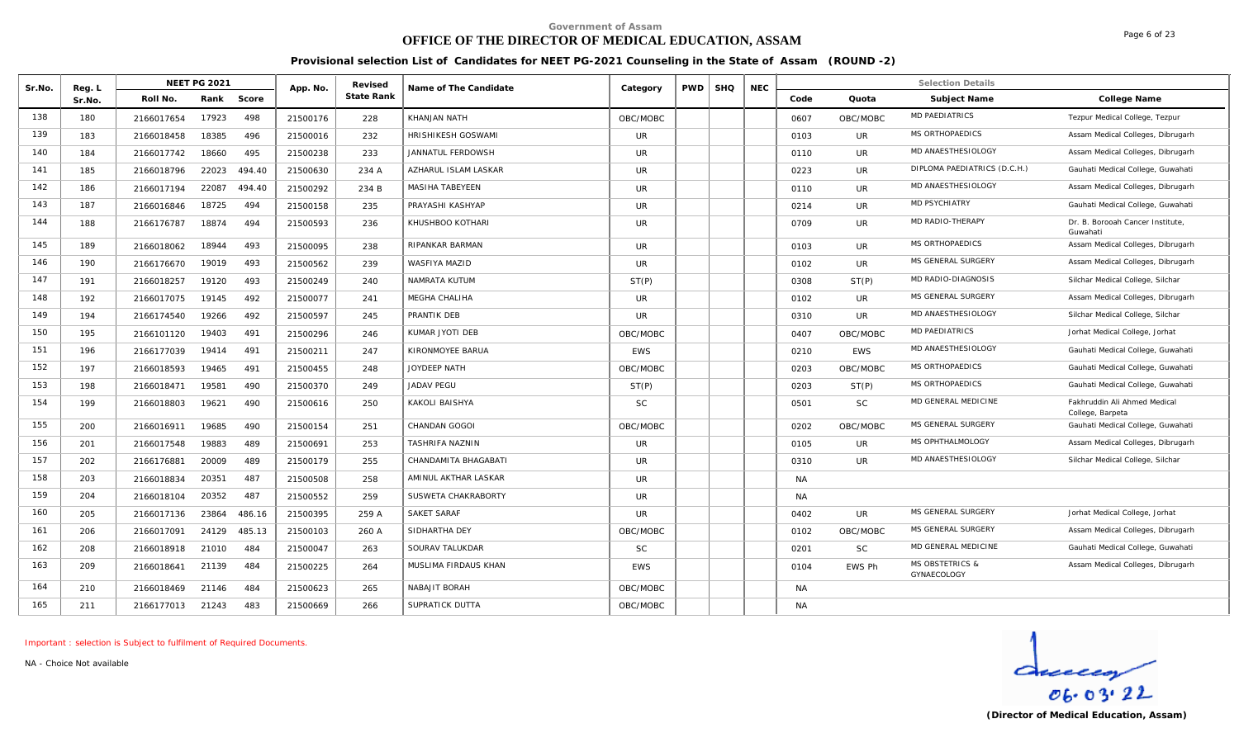# **OFFICE OF THE DIRECTOR OF MEDICAL EDUCATION, ASSAM**

Page 6 of 23

**Provisional selection List of Candidates for NEET PG-2021 Counseling in the State of Assam (ROUND -2)**

| Sr.No. | Reg. L | NEET PG 2021        |        | App. No. | Revised           | Name of The Candidate | Category   | PWD | <b>SHQ</b> | <b>NEC</b> |           |            | <b>Selection Details</b>                  |                                                  |
|--------|--------|---------------------|--------|----------|-------------------|-----------------------|------------|-----|------------|------------|-----------|------------|-------------------------------------------|--------------------------------------------------|
|        | Sr.No. | Rank<br>Roll No.    | Score  |          | <b>State Rank</b> |                       |            |     |            |            | Code      | Quota      | Subject Name                              | College Name                                     |
| 138    | 180    | 17923<br>2166017654 | 498    | 21500176 | 228               | KHANJAN NATH          | OBC/MOBC   |     |            |            | 0607      | OBC/MOBC   | <b>MD PAEDIATRICS</b>                     | Tezpur Medical College, Tezpur                   |
| 139    | 183    | 18385<br>2166018458 | 496    | 21500016 | 232               | HRISHIKESH GOSWAMI    | <b>UR</b>  |     |            |            | 0103      | UR         | MS ORTHOPAEDICS                           | Assam Medical Colleges, Dibrugarh                |
| 140    | 184    | 18660<br>2166017742 | 495    | 21500238 | 233               | JANNATUL FERDOWSH     | <b>UR</b>  |     |            |            | 0110      | UR         | MD ANAESTHESIOLOGY                        | Assam Medical Colleges, Dibrugarh                |
| 141    | 185    | 22023<br>2166018796 | 494.40 | 21500630 | 234 A             | AZHARUL ISLAM LASKAR  | <b>UR</b>  |     |            |            | 0223      | <b>UR</b>  | DIPLOMA PAEDIATRICS (D.C.H.)              | Gauhati Medical College, Guwahati                |
| 142    | 186    | 22087<br>2166017194 | 494.40 | 21500292 | 234 B             | MASIHA TABEYEEN       | <b>UR</b>  |     |            |            | 0110      | <b>UR</b>  | MD ANAESTHESIOLOGY                        | Assam Medical Colleges, Dibrugarh                |
| 143    | 187    | 2166016846<br>18725 | 494    | 21500158 | 235               | PRAYASHI KASHYAP      | <b>UR</b>  |     |            |            | 0214      | UR         | MD PSYCHIATRY                             | Gauhati Medical College, Guwahati                |
| 144    | 188    | 18874<br>2166176787 | 494    | 21500593 | 236               | KHUSHBOO KOTHARI      | <b>UR</b>  |     |            |            | 0709      | UR         | MD RADIO-THERAPY                          | Dr. B. Borooah Cancer Institute,<br>Guwahati     |
| 145    | 189    | 2166018062<br>18944 | 493    | 21500095 | 238               | RIPANKAR BARMAN       | <b>UR</b>  |     |            |            | 0103      | UR         | MS ORTHOPAEDICS                           | Assam Medical Colleges, Dibrugarh                |
| 146    | 190    | 2166176670<br>19019 | 493    | 21500562 | 239               | WASFIYA MAZID         | <b>UR</b>  |     |            |            | 0102      | UR         | MS GENERAL SURGERY                        | Assam Medical Colleges, Dibrugarh                |
| 147    | 191    | 19120<br>2166018257 | 493    | 21500249 | 240               | NAMRATA KUTUM         | ST(P)      |     |            |            | 0308      | ST(P)      | MD RADIO-DIAGNOSIS                        | Silchar Medical College, Silchar                 |
| 148    | 192    | 2166017075<br>19145 | 492    | 21500077 | 241               | <b>MEGHA CHALIHA</b>  | UR         |     |            |            | 0102      | UR         | MS GENERAL SURGERY                        | Assam Medical Colleges, Dibrugarh                |
| 149    | 194    | 2166174540<br>19266 | 492    | 21500597 | 245               | PRANTIK DEB           | <b>UR</b>  |     |            |            | 0310      | <b>UR</b>  | MD ANAESTHESIOLOGY                        | Silchar Medical College, Silchar                 |
| 150    | 195    | 2166101120<br>19403 | 491    | 21500296 | 246               | KUMAR JYOTI DEB       | OBC/MOBC   |     |            |            | 0407      | OBC/MOBC   | MD PAEDIATRICS                            | Jorhat Medical College, Jorhat                   |
| 151    | 196    | 2166177039<br>19414 | 491    | 21500211 | 247               | KIRONMOYEE BARUA      | <b>EWS</b> |     |            |            | 0210      | <b>EWS</b> | MD ANAESTHESIOLOGY                        | Gauhati Medical College, Guwahati                |
| 152    | 197    | 2166018593<br>19465 | 491    | 21500455 | 248               | JOYDEEP NATH          | OBC/MOBC   |     |            |            | 0203      | OBC/MOBC   | MS ORTHOPAEDICS                           | Gauhati Medical College, Guwahati                |
| 153    | 198    | 19581<br>2166018471 | 490    | 21500370 | 249               | <b>JADAV PEGU</b>     | ST(P)      |     |            |            | 0203      | ST(P)      | MS ORTHOPAEDICS                           | Gauhati Medical College, Guwahati                |
| 154    | 199    | 2166018803<br>19621 | 490    | 21500616 | 250               | KAKOLI BAISHYA        | <b>SC</b>  |     |            |            | 0501      | <b>SC</b>  | MD GENERAL MEDICINE                       | Fakhruddin Ali Ahmed Medical<br>College, Barpeta |
| 155    | 200    | 19685<br>2166016911 | 490    | 21500154 | 251               | <b>CHANDAN GOGOI</b>  | OBC/MOBC   |     |            |            | 0202      | OBC/MOBC   | MS GENERAL SURGERY                        | Gauhati Medical College, Guwahati                |
| 156    | 201    | 19883<br>2166017548 | 489    | 21500691 | 253               | TASHRIFA NAZNIN       | <b>UR</b>  |     |            |            | 0105      | <b>UR</b>  | MS OPHTHALMOLOGY                          | Assam Medical Colleges, Dibrugarh                |
| 157    | 202    | 20009<br>2166176881 | 489    | 21500179 | 255               | CHANDAMITA BHAGABATI  | <b>UR</b>  |     |            |            | 0310      | <b>UR</b>  | MD ANAESTHESIOLOGY                        | Silchar Medical College, Silchar                 |
| 158    | 203    | 20351<br>2166018834 | 487    | 21500508 | 258               | AMINUL AKTHAR LASKAR  | <b>UR</b>  |     |            |            | <b>NA</b> |            |                                           |                                                  |
| 159    | 204    | 20352<br>2166018104 | 487    | 21500552 | 259               | SUSWETA CHAKRABORTY   | <b>UR</b>  |     |            |            | <b>NA</b> |            |                                           |                                                  |
| 160    | 205    | 23864<br>2166017136 | 486.16 | 21500395 | 259 A             | SAKET SARAF           | <b>UR</b>  |     |            |            | 0402      | UR         | MS GENERAL SURGERY                        | Jorhat Medical College, Jorhat                   |
| 161    | 206    | 24129<br>2166017091 | 485.13 | 21500103 | 260 A             | SIDHARTHA DEY         | OBC/MOBC   |     |            |            | 0102      | OBC/MOBC   | MS GENERAL SURGERY                        | Assam Medical Colleges, Dibrugarh                |
| 162    | 208    | 21010<br>2166018918 | 484    | 21500047 | 263               | SOURAV TALUKDAR       | <b>SC</b>  |     |            |            | 0201      | <b>SC</b>  | MD GENERAL MEDICINE                       | Gauhati Medical College, Guwahati                |
| 163    | 209    | 21139<br>2166018641 | 484    | 21500225 | 264               | MUSLIMA FIRDAUS KHAN  | <b>EWS</b> |     |            |            | 0104      | EWS Ph     | <b>MS OBSTETRICS &amp;</b><br>GYNAECOLOGY | Assam Medical Colleges, Dibrugarh                |
| 164    | 210    | 21146<br>2166018469 | 484    | 21500623 | 265               | NABAJIT BORAH         | OBC/MOBC   |     |            |            | <b>NA</b> |            |                                           |                                                  |
| 165    | 211    | 21243<br>2166177013 | 483    | 21500669 | 266               | SUPRATICK DUTTA       | OBC/MOBC   |     |            |            | <b>NA</b> |            |                                           |                                                  |

*Important : selection is Subject to fulfilment of Required Documents.*

*NA - Choice Not available*

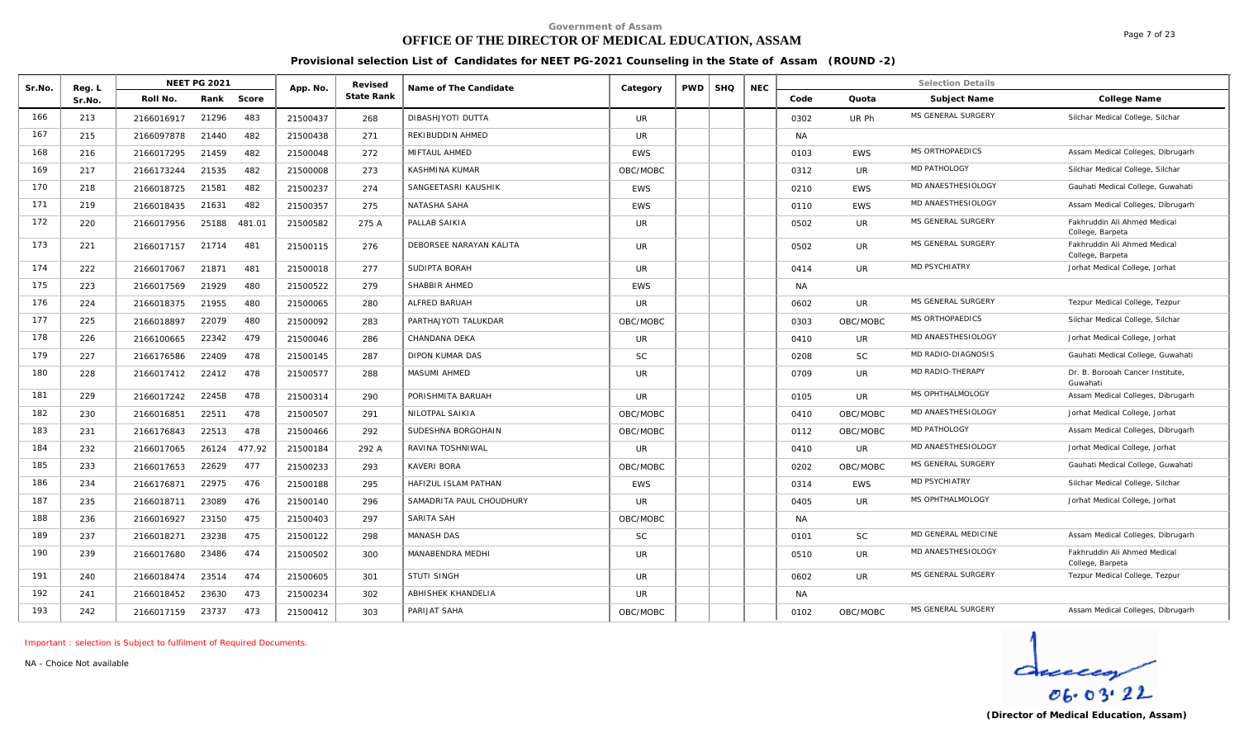# **OFFICE OF THE DIRECTOR OF MEDICAL EDUCATION, ASSAM**

**Provisional selection List of Candidates for NEET PG-2021 Counseling in the State of Assam (ROUND -2)**

| Sr.No. | Reg. L | <b>NEET PG 2021</b> |       |        | App. No. | Revised    | Name of The Candidate    | Category   | <b>PWD</b> | <b>SHQ</b> | <b>NEC</b> |           |            | <b>Selection Details</b> |                                                  |
|--------|--------|---------------------|-------|--------|----------|------------|--------------------------|------------|------------|------------|------------|-----------|------------|--------------------------|--------------------------------------------------|
|        | Sr.No  | Roll No.            | Rank  | Score  |          | State Rank |                          |            |            |            |            | Code      | Quota      | Subject Name             | College Name                                     |
| 166    | 213    | 2166016917          | 21296 | 483    | 21500437 | 268        | DIBASHJYOTI DUTTA        | UR.        |            |            |            | 0302      | UR Ph      | MS GENERAL SURGERY       | Silchar Medical College, Silchar                 |
| 167    | 215    | 2166097878          | 21440 | 482    | 21500438 | 271        | REKIBUDDIN AHMED         | <b>UR</b>  |            |            |            | <b>NA</b> |            |                          |                                                  |
| 168    | 216    | 2166017295          | 21459 | 482    | 21500048 | 272        | MIFTAUL AHMED            | <b>EWS</b> |            |            |            | 0103      | <b>EWS</b> | <b>MS ORTHOPAEDICS</b>   | Assam Medical Colleges, Dibrugarh                |
| 169    | 217    | 2166173244          | 21535 | 482    | 21500008 | 273        | KASHMINA KUMAR           | OBC/MOBC   |            |            |            | 0312      | <b>UR</b>  | MD PATHOLOGY             | Silchar Medical College, Silchar                 |
| 170    | 218    | 2166018725          | 21581 | 482    | 21500237 | 274        | SANGEETASRI KAUSHIK      | <b>EWS</b> |            |            |            | 0210      | <b>EWS</b> | MD ANAESTHESIOLOGY       | Gauhati Medical College, Guwahati                |
| 171    | 219    | 2166018435          | 21631 | 482    | 21500357 | 275        | NATASHA SAHA             | <b>EWS</b> |            |            |            | 0110      | <b>EWS</b> | MD ANAESTHESIOLOGY       | Assam Medical Colleges, Dibrugarh                |
| 172    | 220    | 2166017956          | 25188 | 481.01 | 21500582 | 275 A      | PALLAB SAIKIA            | <b>UR</b>  |            |            |            | 0502      | UR         | MS GENERAL SURGERY       | Fakhruddin Ali Ahmed Medical<br>College, Barpeta |
| 173    | 221    | 2166017157          | 21714 | 481    | 21500115 | 276        | DEBORSEE NARAYAN KALITA  | <b>UR</b>  |            |            |            | 0502      | <b>UR</b>  | MS GENERAL SURGERY       | Fakhruddin Ali Ahmed Medical<br>College, Barpeta |
| 174    | 222    | 2166017067          | 21871 | 481    | 21500018 | 277        | SUDIPTA BORAH            | UR         |            |            |            | 0414      | <b>UR</b>  | <b>MD PSYCHIATRY</b>     | Jorhat Medical College, Jorhat                   |
| 175    | 223    | 2166017569          | 21929 | 480    | 21500522 | 279        | SHABBIR AHMED            | <b>EWS</b> |            |            |            | <b>NA</b> |            |                          |                                                  |
| 176    | 224    | 2166018375          | 21955 | 480    | 21500065 | 280        | ALFRED BARUAH            | <b>UR</b>  |            |            |            | 0602      | <b>UR</b>  | MS GENERAL SURGERY       | Tezpur Medical College, Tezpur                   |
| 177    | 225    | 2166018897          | 22079 | 480    | 21500092 | 283        | PARTHAJYOTI TALUKDAR     | OBC/MOBC   |            |            |            | 0303      | OBC/MOBC   | MS ORTHOPAEDICS          | Silchar Medical College, Silchar                 |
| 178    | 226    | 2166100665          | 22342 | 479    | 21500046 | 286        | CHANDANA DEKA            | <b>UR</b>  |            |            |            | 0410      | UR         | MD ANAESTHESIOLOGY       | Jorhat Medical College, Jorhat                   |
| 179    | 227    | 2166176586          | 22409 | 478    | 21500145 | 287        | <b>DIPON KUMAR DAS</b>   | <b>SC</b>  |            |            |            | 0208      | <b>SC</b>  | MD RADIO-DIAGNOSIS       | Gauhati Medical College, Guwahati                |
| 180    | 228    | 2166017412          | 22412 | 478    | 21500577 | 288        | <b>MASUMI AHMED</b>      | <b>UR</b>  |            |            |            | 0709      | <b>UR</b>  | MD RADIO-THERAPY         | Dr. B. Borooah Cancer Institute.<br>Guwahati     |
| 181    | 229    | 2166017242          | 22458 | 478    | 21500314 | 290        | PORISHMITA BARUAH        | <b>UR</b>  |            |            |            | 0105      | <b>UR</b>  | MS OPHTHALMOLOGY         | Assam Medical Colleges, Dibrugarh                |
| 182    | 230    | 2166016851          | 22511 | 478    | 21500507 | 291        | NILOTPAL SAIKIA          | OBC/MOBC   |            |            |            | 0410      | OBC/MOBC   | MD ANAESTHESIOLOGY       | Jorhat Medical College, Jorhat                   |
| 183    | 231    | 2166176843          | 22513 | 478    | 21500466 | 292        | SUDESHNA BORGOHAIN       | OBC/MOBC   |            |            |            | 0112      | OBC/MOBC   | MD PATHOLOGY             | Assam Medical Colleges, Dibrugarh                |
| 184    | 232    | 2166017065          | 26124 | 477.92 | 21500184 | 292 A      | RAVINA TOSHNIWAL         | <b>UR</b>  |            |            |            | 0410      | <b>UR</b>  | MD ANAESTHESIOLOGY       | Jorhat Medical College, Jorhat                   |
| 185    | 233    | 2166017653          | 22629 | 477    | 21500233 | 293        | <b>KAVERI BORA</b>       | OBC/MOBC   |            |            |            | 0202      | OBC/MOBC   | MS GENERAL SURGERY       | Gauhati Medical College, Guwahati                |
| 186    | 234    | 2166176871          | 22975 | 476    | 21500188 | 295        | HAFIZUL ISLAM PATHAN     | <b>EWS</b> |            |            |            | 0314      | <b>EWS</b> | MD PSYCHIATRY            | Silchar Medical College, Silchar                 |
| 187    | 235    | 2166018711          | 23089 | 476    | 21500140 | 296        | SAMADRITA PAUL CHOUDHURY | <b>UR</b>  |            |            |            | 0405      | UR         | MS OPHTHALMOLOGY         | Jorhat Medical College, Jorhat                   |
| 188    | 236    | 2166016927          | 23150 | 475    | 21500403 | 297        | SARITA SAH               | OBC/MOBC   |            |            |            | <b>NA</b> |            |                          |                                                  |
| 189    | 237    | 2166018271          | 23238 | 475    | 21500122 | 298        | <b>MANASH DAS</b>        | <b>SC</b>  |            |            |            | 0101      | <b>SC</b>  | MD GENERAL MEDICINE      | Assam Medical Colleges, Dibrugarh                |
| 190    | 239    | 2166017680          | 23486 | 474    | 21500502 | 300        | MANABENDRA MEDHI         | <b>UR</b>  |            |            |            | 0510      | <b>UR</b>  | MD ANAESTHESIOLOGY       | Fakhruddin Ali Ahmed Medical<br>College, Barpeta |
| 191    | 240    | 2166018474          | 23514 | 474    | 21500605 | 301        | <b>STUTI SINGH</b>       | <b>UR</b>  |            |            |            | 0602      | <b>UR</b>  | MS GENERAL SURGERY       | Tezpur Medical College, Tezpur                   |
| 192    | 241    | 2166018452          | 23630 | 473    | 21500234 | 302        | ABHISHEK KHANDELIA       | UR.        |            |            |            | <b>NA</b> |            |                          |                                                  |
| 193    | 242    | 2166017159          | 23737 | 473    | 21500412 | 303        | PARIJAT SAHA             | OBC/MOBC   |            |            |            | 0102      | OBC/MOBC   | MS GENERAL SURGERY       | Assam Medical Colleges, Dibrugarh                |

*Important : selection is Subject to fulfilment of Required Documents.*

*NA - Choice Not available*

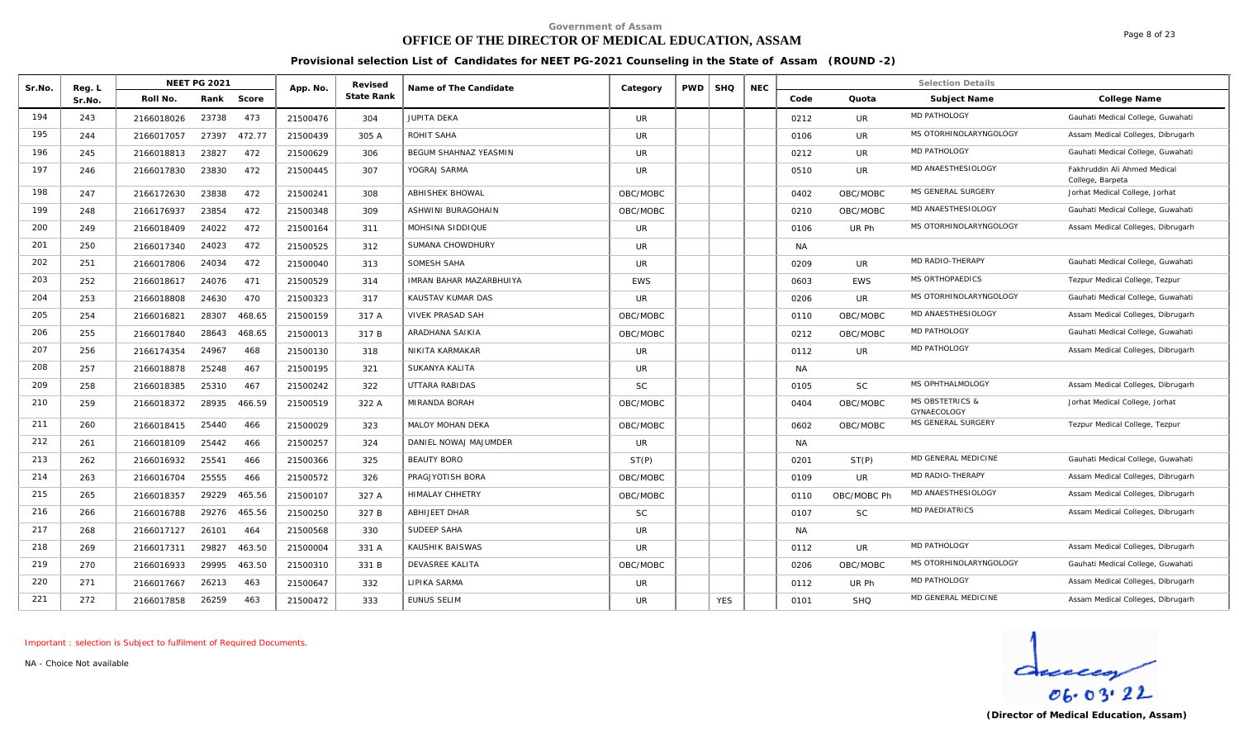# **OFFICE OF THE DIRECTOR OF MEDICAL EDUCATION, ASSAM**

Page 8 of 23

**Provisional selection List of Candidates for NEET PG-2021 Counseling in the State of Assam (ROUND -2)**

| Sr.No. | Reg. L |            | <b>NEET PG 2021</b> |        | App. No. | Revised    | Name of The Candidate          | Category   | <b>PWD</b> | <b>SHQ</b> | <b>NEC</b> |           |             | <b>Selection Details</b>                  |                                                  |
|--------|--------|------------|---------------------|--------|----------|------------|--------------------------------|------------|------------|------------|------------|-----------|-------------|-------------------------------------------|--------------------------------------------------|
|        | Sr.No. | Roll No.   | Rank                | Score  |          | State Rank |                                |            |            |            |            | Code      | Quota       | Subject Name                              | College Name                                     |
| 194    | 243    | 2166018026 | 23738               | 473    | 21500476 | 304        | <b>JUPITA DEKA</b>             | <b>UR</b>  |            |            |            | 0212      | UR.         | <b>MD PATHOLOGY</b>                       | Gauhati Medical College, Guwahati                |
| 195    | 244    | 2166017057 | 27397               | 472.77 | 21500439 | 305 A      | ROHIT SAHA                     | <b>UR</b>  |            |            |            | 0106      | UR.         | MS OTORHINOLARYNGOLOGY                    | Assam Medical Colleges, Dibrugarh                |
| 196    | 245    | 2166018813 | 23827               | 472    | 21500629 | 306        | <b>BEGUM SHAHNAZ YEASMIN</b>   | <b>UR</b>  |            |            |            | 0212      | UR          | MD PATHOLOGY                              | Gauhati Medical College, Guwahati                |
| 197    | 246    | 2166017830 | 23830               | 472    | 21500445 | 307        | YOGRAJ SARMA                   | <b>UR</b>  |            |            |            | 0510      | <b>UR</b>   | MD ANAESTHESIOLOGY                        | Fakhruddin Ali Ahmed Medical<br>College, Barpeta |
| 198    | 247    | 2166172630 | 23838               | 472    | 21500241 | 308        | <b>ABHISHEK BHOWAL</b>         | OBC/MOBC   |            |            |            | 0402      | OBC/MOBC    | MS GENERAL SURGERY                        | Jorhat Medical College, Jorhat                   |
| 199    | 248    | 2166176937 | 23854               | 472    | 21500348 | 309        | ASHWINI BURAGOHAIN             | OBC/MOBC   |            |            |            | 0210      | OBC/MOBC    | MD ANAESTHESIOLOGY                        | Gauhati Medical College, Guwahati                |
| 200    | 249    | 2166018409 | 24022               | 472    | 21500164 | 311        | MOHSINA SIDDIQUE               | UR.        |            |            |            | 0106      | UR Ph       | MS OTORHINOLARYNGOLOGY                    | Assam Medical Colleges, Dibrugarh                |
| 201    | 250    | 2166017340 | 24023               | 472    | 21500525 | 312        | SUMANA CHOWDHURY               | <b>UR</b>  |            |            |            | <b>NA</b> |             |                                           |                                                  |
| 202    | 251    | 2166017806 | 24034               | 472    | 21500040 | 313        | SOMESH SAHA                    | <b>UR</b>  |            |            |            | 0209      | <b>UR</b>   | MD RADIO-THERAPY                          | Gauhati Medical College, Guwahati                |
| 203    | 252    | 2166018617 | 24076               | 471    | 21500529 | 314        | <b>IMRAN BAHAR MAZARBHUIYA</b> | <b>EWS</b> |            |            |            | 0603      | <b>EWS</b>  | MS ORTHOPAEDICS                           | Tezpur Medical College, Tezpur                   |
| 204    | 253    | 2166018808 | 24630               | 470    | 21500323 | 317        | KAUSTAV KUMAR DAS              | <b>UR</b>  |            |            |            | 0206      | <b>UR</b>   | MS OTORHINOLARYNGOLOGY                    | Gauhati Medical College, Guwahati                |
| 205    | 254    | 2166016821 | 28307               | 468.65 | 21500159 | 317 A      | VIVEK PRASAD SAH               | OBC/MOBC   |            |            |            | 0110      | OBC/MOBC    | MD ANAESTHESIOLOGY                        | Assam Medical Colleges, Dibrugarh                |
| 206    | 255    | 2166017840 | 28643               | 468.65 | 21500013 | 317 B      | ARADHANA SAIKIA                | OBC/MOBC   |            |            |            | 0212      | OBC/MOBC    | MD PATHOLOGY                              | Gauhati Medical College, Guwahati                |
| 207    | 256    | 2166174354 | 24967               | 468    | 21500130 | 318        | NIKITA KARMAKAR                | <b>UR</b>  |            |            |            | 0112      | <b>UR</b>   | MD PATHOLOGY                              | Assam Medical Colleges, Dibrugarh                |
| 208    | 257    | 2166018878 | 25248               | 467    | 21500195 | 321        | SUKANYA KALITA                 | UR.        |            |            |            | <b>NA</b> |             |                                           |                                                  |
| 209    | 258    | 2166018385 | 25310               | 467    | 21500242 | 322        | UTTARA RABIDAS                 | <b>SC</b>  |            |            |            | 0105      | <b>SC</b>   | MS OPHTHALMOLOGY                          | Assam Medical Colleges, Dibrugarh                |
| 210    | 259    | 2166018372 | 28935               | 466.59 | 21500519 | 322 A      | <b>MIRANDA BORAH</b>           | OBC/MOBC   |            |            |            | 0404      | OBC/MOBC    | <b>MS OBSTETRICS &amp;</b><br>GYNAECOLOGY | Jorhat Medical College, Jorhat                   |
| 211    | 260    | 2166018415 | 25440               | 466    | 21500029 | 323        | MALOY MOHAN DEKA               | OBC/MOBC   |            |            |            | 0602      | OBC/MOBC    | MS GENERAL SURGERY                        | Tezpur Medical College, Tezpur                   |
| 212    | 261    | 2166018109 | 25442               | 466    | 21500257 | 324        | DANIEL NOWAJ MAJUMDER          | <b>UR</b>  |            |            |            | <b>NA</b> |             |                                           |                                                  |
| 213    | 262    | 2166016932 | 25541               | 466    | 21500366 | 325        | <b>BEAUTY BORO</b>             | ST(P)      |            |            |            | 0201      | ST(P)       | MD GENERAL MEDICINE                       | Gauhati Medical College, Guwahati                |
| 214    | 263    | 2166016704 | 25555               | 466    | 21500572 | 326        | PRAGJYOTISH BORA               | OBC/MOBC   |            |            |            | 0109      | <b>UR</b>   | MD RADIO-THERAPY                          | Assam Medical Colleges, Dibrugarh                |
| 215    | 265    | 2166018357 | 29229               | 465.56 | 21500107 | 327 A      | <b>HIMALAY CHHETRY</b>         | OBC/MOBC   |            |            |            | 0110      | OBC/MOBC Ph | MD ANAESTHESIOLOGY                        | Assam Medical Colleges, Dibrugarh                |
| 216    | 266    | 2166016788 | 29276               | 465.56 | 21500250 | 327 B      | <b>ABHIJEET DHAR</b>           | <b>SC</b>  |            |            |            | 0107      | <b>SC</b>   | <b>MD PAEDIATRICS</b>                     | Assam Medical Colleges, Dibrugarh                |
| 217    | 268    | 2166017127 | 26101               | 464    | 21500568 | 330        | SUDEEP SAHA                    | <b>UR</b>  |            |            |            | <b>NA</b> |             |                                           |                                                  |
| 218    | 269    | 2166017311 | 29827               | 463.50 | 21500004 | 331 A      | KAUSHIK BAISWAS                | <b>UR</b>  |            |            |            | 0112      | <b>UR</b>   | <b>MD PATHOLOGY</b>                       | Assam Medical Colleges, Dibrugarh                |
| 219    | 270    | 2166016933 | 29995               | 463.50 | 21500310 | 331 B      | <b>DEVASREE KALITA</b>         | OBC/MOBC   |            |            |            | 0206      | OBC/MOBC    | MS OTORHINOLARYNGOLOGY                    | Gauhati Medical College, Guwahati                |
| 220    | 271    | 2166017667 | 26213               | 463    | 21500647 | 332        | LIPIKA SARMA                   | <b>UR</b>  |            |            |            | 0112      | UR Ph       | MD PATHOLOGY                              | Assam Medical Colleges, Dibrugarh                |
| 221    | 272    | 2166017858 | 26259               | 463    | 21500472 | 333        | <b>EUNUS SELIM</b>             | <b>UR</b>  |            | <b>YES</b> |            | 0101      | <b>SHQ</b>  | MD GENERAL MEDICINE                       | Assam Medical Colleges, Dibrugarh                |

*Important : selection is Subject to fulfilment of Required Documents.*

*NA - Choice Not available*

 $\frac{d}{\cos 03.22}$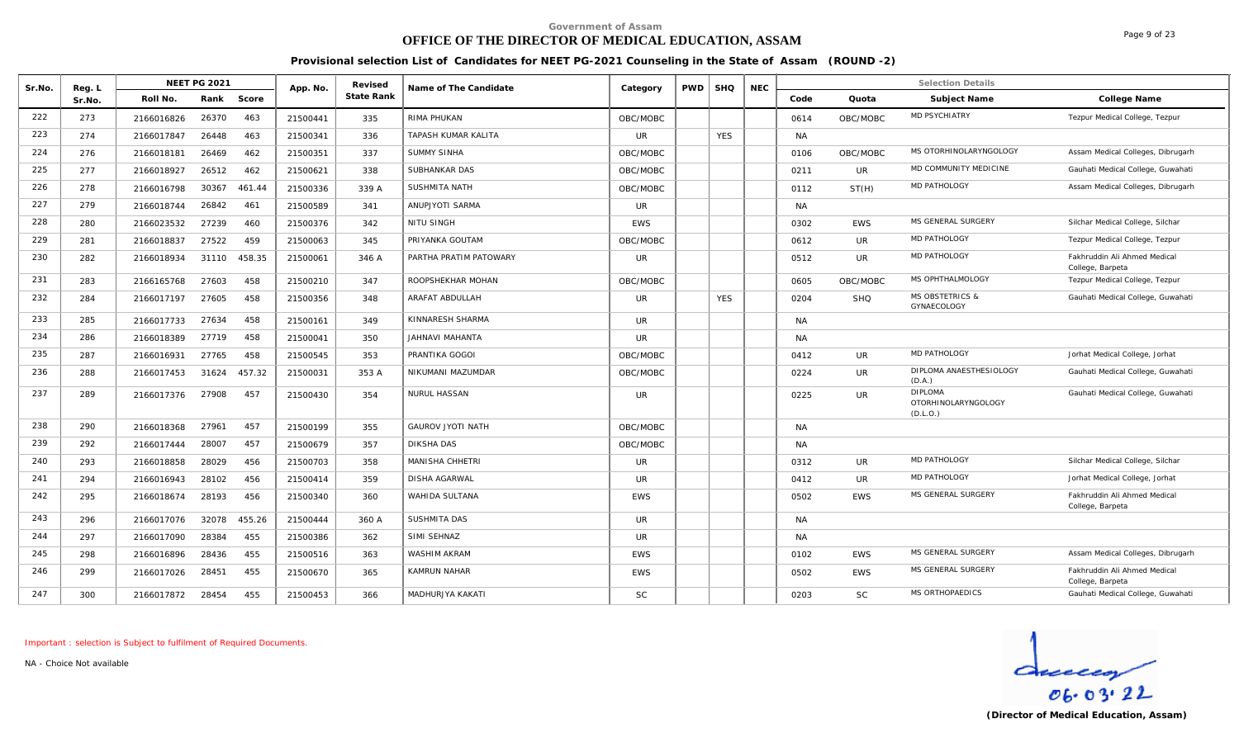### **OFFICE OF THE DIRECTOR OF MEDICAL EDUCATION, ASSAM**

**Provisional selection List of Candidates for NEET PG-2021 Counseling in the State of Assam (ROUND -2)**

| Sr.No. | Reg. L |            | <b>NEET PG 2021</b> |        | App. No. | Revised<br>State Rank | Name of The Candidate    | Category   | <b>PWD</b> | <b>SHQ</b> | <b>NEC</b> |           |            | <b>Selection Details</b>                          |                                                  |
|--------|--------|------------|---------------------|--------|----------|-----------------------|--------------------------|------------|------------|------------|------------|-----------|------------|---------------------------------------------------|--------------------------------------------------|
|        | Sr.No. | Roll No.   | Rank                | Score  |          |                       |                          |            |            |            |            | Code      | Quota      | Subject Name                                      | College Name                                     |
| 222    | 273    | 2166016826 | 26370               | 463    | 21500441 | 335                   | RIMA PHUKAN              | OBC/MOBC   |            |            |            | 0614      | OBC/MOBC   | MD PSYCHIATRY                                     | Tezpur Medical College, Tezpur                   |
| 223    | 274    | 2166017847 | 26448               | 463    | 21500341 | 336                   | TAPASH KUMAR KALITA      | <b>UR</b>  |            | <b>YES</b> |            | <b>NA</b> |            |                                                   |                                                  |
| 224    | 276    | 2166018181 | 26469               | 462    | 21500351 | 337                   | <b>SUMMY SINHA</b>       | OBC/MOBC   |            |            |            | 0106      | OBC/MOBC   | MS OTORHINOLARYNGOLOGY                            | Assam Medical Colleges, Dibrugarh                |
| 225    | 277    | 2166018927 | 26512               | 462    | 21500621 | 338                   | SUBHANKAR DAS            | OBC/MOBC   |            |            |            | 0211      | <b>UR</b>  | MD COMMUNITY MEDICINE                             | Gauhati Medical College, Guwahati                |
| 226    | 278    | 2166016798 | 30367               | 461.44 | 21500336 | 339 A                 | SUSHMITA NATH            | OBC/MOBC   |            |            |            | 0112      | ST(H)      | MD PATHOLOGY                                      | Assam Medical Colleges, Dibrugarh                |
| 227    | 279    | 2166018744 | 26842               | 461    | 21500589 | 341                   | ANUPJYOTI SARMA          | <b>UR</b>  |            |            |            | <b>NA</b> |            |                                                   |                                                  |
| 228    | 280    | 2166023532 | 27239               | 460    | 21500376 | 342                   | <b>NITU SINGH</b>        | <b>EWS</b> |            |            |            | 0302      | <b>EWS</b> | MS GENERAL SURGERY                                | Silchar Medical College, Silchar                 |
| 229    | 281    | 2166018837 | 27522               | 459    | 21500063 | 345                   | PRIYANKA GOUTAM          | OBC/MOBC   |            |            |            | 0612      | UR.        | <b>MD PATHOLOGY</b>                               | Tezpur Medical College, Tezpur                   |
| 230    | 282    | 2166018934 | 31110               | 458.35 | 21500061 | 346 A                 | PARTHA PRATIM PATOWARY   | <b>UR</b>  |            |            |            | 0512      | <b>UR</b>  | MD PATHOLOGY                                      | Fakhruddin Ali Ahmed Medical<br>College, Barpeta |
| 231    | 283    | 2166165768 | 27603               | 458    | 21500210 | 347                   | ROOPSHEKHAR MOHAN        | OBC/MOBC   |            |            |            | 0605      | OBC/MOBC   | MS OPHTHALMOLOGY                                  | Tezpur Medical College, Tezpur                   |
| 232    | 284    | 2166017197 | 27605               | 458    | 21500356 | 348                   | ARAFAT ABDULLAH          | <b>UR</b>  |            | <b>YES</b> |            | 0204      | <b>SHQ</b> | <b>MS OBSTETRICS &amp;</b><br>GYNAECOLOGY         | Gauhati Medical College, Guwahati                |
| 233    | 285    | 2166017733 | 27634               | 458    | 21500161 | 349                   | KINNARESH SHARMA         | UR.        |            |            |            | <b>NA</b> |            |                                                   |                                                  |
| 234    | 286    | 2166018389 | 27719               | 458    | 21500041 | 350                   | JAHNAVI MAHANTA          | <b>UR</b>  |            |            |            | <b>NA</b> |            |                                                   |                                                  |
| 235    | 287    | 2166016931 | 27765               | 458    | 21500545 | 353                   | PRANTIKA GOGOI           | OBC/MOBC   |            |            |            | 0412      | <b>UR</b>  | <b>MD PATHOLOGY</b>                               | Jorhat Medical College, Jorhat                   |
| 236    | 288    | 2166017453 | 31624               | 457.32 | 21500031 | 353 A                 | NIKUMANI MAZUMDAR        | OBC/MOBC   |            |            |            | 0224      | UR         | DIPLOMA ANAESTHESIOLOGY<br>(D.A.)                 | Gauhati Medical College, Guwahati                |
| 237    | 289    | 2166017376 | 27908               | 457    | 21500430 | 354                   | NURUL HASSAN             | <b>UR</b>  |            |            |            | 0225      | <b>UR</b>  | <b>DIPLOMA</b><br>OTORHINOLARYNGOLOGY<br>(D.L.O.) | Gauhati Medical College, Guwahati                |
| 238    | 290    | 2166018368 | 27961               | 457    | 21500199 | 355                   | <b>GAUROV JYOTI NATH</b> | OBC/MOBC   |            |            |            | <b>NA</b> |            |                                                   |                                                  |
| 239    | 292    | 2166017444 | 28007               | 457    | 21500679 | 357                   | <b>DIKSHA DAS</b>        | OBC/MOBC   |            |            |            | <b>NA</b> |            |                                                   |                                                  |
| 240    | 293    | 2166018858 | 28029               | 456    | 21500703 | 358                   | MANISHA CHHETRI          | <b>UR</b>  |            |            |            | 0312      | <b>UR</b>  | MD PATHOLOGY                                      | Silchar Medical College, Silchar                 |
| 241    | 294    | 2166016943 | 28102               | 456    | 21500414 | 359                   | DISHA AGARWAL            | <b>UR</b>  |            |            |            | 0412      | UR         | <b>MD PATHOLOGY</b>                               | Jorhat Medical College, Jorhat                   |
| 242    | 295    | 2166018674 | 28193               | 456    | 21500340 | 360                   | WAHIDA SULTANA           | <b>EWS</b> |            |            |            | 0502      | <b>EWS</b> | MS GENERAL SURGERY                                | Fakhruddin Ali Ahmed Medical<br>College, Barpeta |
| 243    | 296    | 2166017076 | 32078               | 455.26 | 21500444 | 360 A                 | SUSHMITA DAS             | <b>UR</b>  |            |            |            | <b>NA</b> |            |                                                   |                                                  |
| 244    | 297    | 2166017090 | 28384               | 455    | 21500386 | 362                   | SIMI SEHNAZ              | <b>UR</b>  |            |            |            | <b>NA</b> |            |                                                   |                                                  |
| 245    | 298    | 2166016896 | 28436               | 455    | 21500516 | 363                   | WASHIM AKRAM             | <b>EWS</b> |            |            |            | 0102      | <b>EWS</b> | MS GENERAL SURGERY                                | Assam Medical Colleges, Dibrugarh                |
| 246    | 299    | 2166017026 | 28451               | 455    | 21500670 | 365                   | <b>KAMRUN NAHAR</b>      | <b>EWS</b> |            |            |            | 0502      | <b>EWS</b> | MS GENERAL SURGERY                                | Fakhruddin Ali Ahmed Medical<br>College, Barpeta |
| 247    | 300    | 2166017872 | 28454               | 455    | 21500453 | 366                   | MADHURJYA KAKATI         | <b>SC</b>  |            |            |            | 0203      | <b>SC</b>  | MS ORTHOPAEDICS                                   | Gauhati Medical College, Guwahati                |
|        |        |            |                     |        |          |                       |                          |            |            |            |            |           |            |                                                   |                                                  |

*Important : selection is Subject to fulfilment of Required Documents.*

*NA - Choice Not available*



Page 9 of 23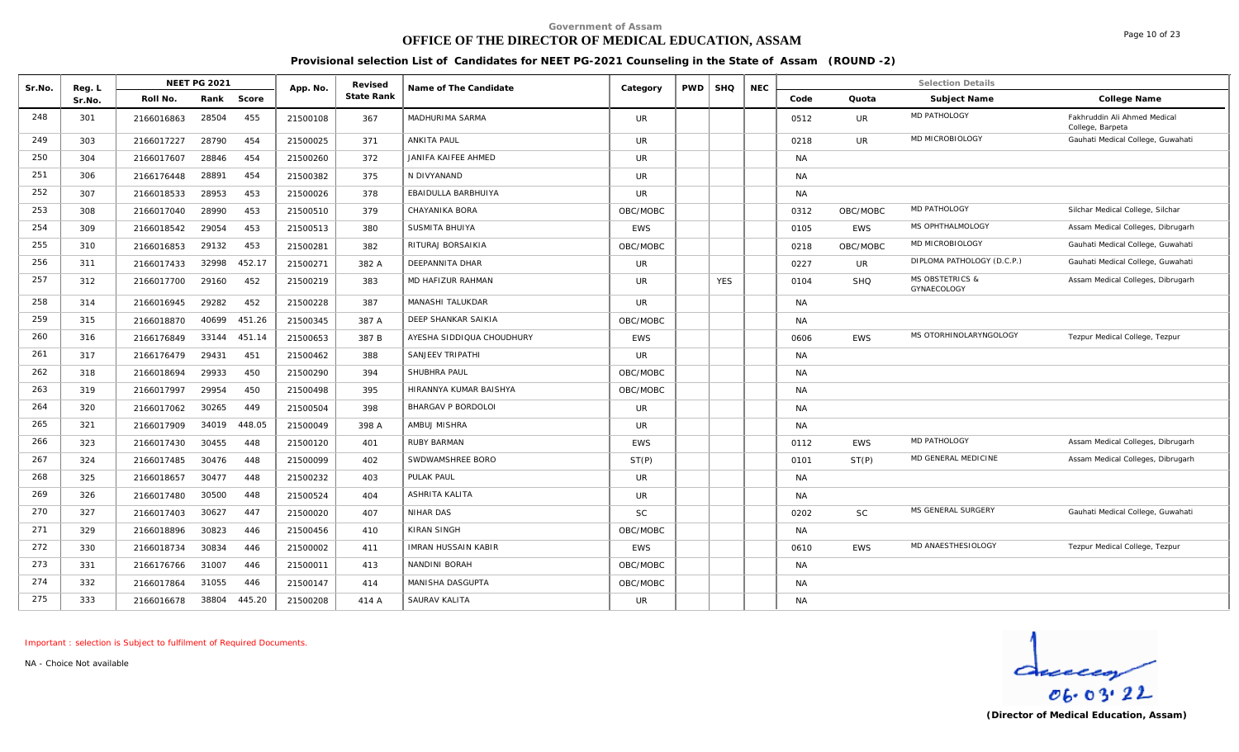# **OFFICE OF THE DIRECTOR OF MEDICAL EDUCATION, ASSAM**

Page 10 of 23

**Provisional selection List of Candidates for NEET PG-2021 Counseling in the State of Assam (ROUND -2)**

| Sr.No. | Reg. L |            | <b>NEET PG 2021</b> |        | App. No. | Revised<br>State Rank | Name of The Candidate      | Category   | <b>PWD</b> | <b>SHQ</b> | <b>NEC</b> |           |            | <b>Selection Details</b>                  |                                                  |
|--------|--------|------------|---------------------|--------|----------|-----------------------|----------------------------|------------|------------|------------|------------|-----------|------------|-------------------------------------------|--------------------------------------------------|
|        | Sr.No. | Roll No.   | Rank                | Score  |          |                       |                            |            |            |            |            | Code      | Quota      | Subject Name                              | College Name                                     |
| 248    | 301    | 2166016863 | 28504               | 455    | 21500108 | 367                   | MADHURIMA SARMA            | <b>UR</b>  |            |            |            | 0512      | <b>UR</b>  | MD PATHOLOGY                              | Fakhruddin Ali Ahmed Medical<br>College, Barpeta |
| 249    | 303    | 2166017227 | 28790               | 454    | 21500025 | 371                   | ANKITA PAUL                | <b>UR</b>  |            |            |            | 0218      | <b>UR</b>  | MD MICROBIOLOGY                           | Gauhati Medical College, Guwahati                |
| 250    | 304    | 2166017607 | 28846               | 454    | 21500260 | 372                   | JANIFA KAIFEE AHMED        | <b>UR</b>  |            |            |            | <b>NA</b> |            |                                           |                                                  |
| 251    | 306    | 2166176448 | 28891               | 454    | 21500382 | 375                   | N DIVYANAND                | <b>UR</b>  |            |            |            | <b>NA</b> |            |                                           |                                                  |
| 252    | 307    | 2166018533 | 28953               | 453    | 21500026 | 378                   | EBAIDULLA BARBHUIYA        | <b>UR</b>  |            |            |            | <b>NA</b> |            |                                           |                                                  |
| 253    | 308    | 2166017040 | 28990               | 453    | 21500510 | 379                   | CHAYANIKA BORA             | OBC/MOBC   |            |            |            | 0312      | OBC/MOBC   | MD PATHOLOGY                              | Silchar Medical College, Silchar                 |
| 254    | 309    | 2166018542 | 29054               | 453    | 21500513 | 380                   | SUSMITA BHUIYA             | <b>EWS</b> |            |            |            | 0105      | <b>EWS</b> | MS OPHTHALMOLOGY                          | Assam Medical Colleges, Dibrugarh                |
| 255    | 310    | 2166016853 | 29132               | 453    | 21500281 | 382                   | RITURAJ BORSAIKIA          | OBC/MOBC   |            |            |            | 0218      | OBC/MOBC   | MD MICROBIOLOGY                           | Gauhati Medical College, Guwahati                |
| 256    | 311    | 2166017433 | 32998               | 452.17 | 21500271 | 382 A                 | DEEPANNITA DHAR            | <b>UR</b>  |            |            |            | 0227      | <b>UR</b>  | DIPLOMA PATHOLOGY (D.C.P.)                | Gauhati Medical College, Guwahati                |
| 257    | 312    | 2166017700 | 29160               | 452    | 21500219 | 383                   | MD HAFIZUR RAHMAN          | <b>UR</b>  |            | <b>YES</b> |            | 0104      | SHQ        | <b>MS OBSTETRICS &amp;</b><br>GYNAECOLOGY | Assam Medical Colleges, Dibrugarh                |
| 258    | 314    | 2166016945 | 29282               | 452    | 21500228 | 387                   | MANASHI TALUKDAR           | <b>UR</b>  |            |            |            | <b>NA</b> |            |                                           |                                                  |
| 259    | 315    | 2166018870 | 40699               | 451.26 | 21500345 | 387 A                 | DEEP SHANKAR SAIKIA        | OBC/MOBC   |            |            |            | <b>NA</b> |            |                                           |                                                  |
| 260    | 316    | 2166176849 | 33144               | 451.14 | 21500653 | 387 B                 | AYESHA SIDDIQUA CHOUDHURY  | <b>EWS</b> |            |            |            | 0606      | <b>EWS</b> | MS OTORHINOLARYNGOLOGY                    | Tezpur Medical College, Tezpur                   |
| 261    | 317    | 2166176479 | 29431               | 451    | 21500462 | 388                   | SANJEEV TRIPATHI           | <b>UR</b>  |            |            |            | <b>NA</b> |            |                                           |                                                  |
| 262    | 318    | 2166018694 | 29933               | 450    | 21500290 | 394                   | <b>SHUBHRA PAUL</b>        | OBC/MOBC   |            |            |            | <b>NA</b> |            |                                           |                                                  |
| 263    | 319    | 2166017997 | 29954               | 450    | 21500498 | 395                   | HIRANNYA KUMAR BAISHYA     | OBC/MOBC   |            |            |            | <b>NA</b> |            |                                           |                                                  |
| 264    | 320    | 2166017062 | 30265               | 449    | 21500504 | 398                   | <b>BHARGAV P BORDOLOI</b>  | <b>UR</b>  |            |            |            | <b>NA</b> |            |                                           |                                                  |
| 265    | 321    | 2166017909 | 34019               | 448.05 | 21500049 | 398 A                 | AMBUJ MISHRA               | UR.        |            |            |            | <b>NA</b> |            |                                           |                                                  |
| 266    | 323    | 2166017430 | 30455               | 448    | 21500120 | 401                   | <b>RUBY BARMAN</b>         | <b>EWS</b> |            |            |            | 0112      | <b>EWS</b> | <b>MD PATHOLOGY</b>                       | Assam Medical Colleges, Dibrugarh                |
| 267    | 324    | 2166017485 | 30476               | 448    | 21500099 | 402                   | SWDWAMSHREE BORO           | ST(P)      |            |            |            | 0101      | ST(P)      | MD GENERAL MEDICINE                       | Assam Medical Colleges, Dibrugarh                |
| 268    | 325    | 2166018657 | 30477               | 448    | 21500232 | 403                   | PULAK PAUL                 | <b>UR</b>  |            |            |            | <b>NA</b> |            |                                           |                                                  |
| 269    | 326    | 2166017480 | 30500               | 448    | 21500524 | 404                   | ASHRITA KALITA             | <b>UR</b>  |            |            |            | <b>NA</b> |            |                                           |                                                  |
| 270    | 327    | 2166017403 | 30627               | 447    | 21500020 | 407                   | NIHAR DAS                  | <b>SC</b>  |            |            |            | 0202      | <b>SC</b>  | MS GENERAL SURGERY                        | Gauhati Medical College, Guwahati                |
| 271    | 329    | 2166018896 | 30823               | 446    | 21500456 | 410                   | KIRAN SINGH                | OBC/MOBC   |            |            |            | NA        |            |                                           |                                                  |
| 272    | 330    | 2166018734 | 30834               | 446    | 21500002 | 411                   | <b>IMRAN HUSSAIN KABIR</b> | <b>EWS</b> |            |            |            | 0610      | <b>EWS</b> | MD ANAESTHESIOLOGY                        | Tezpur Medical College, Tezpur                   |
| 273    | 331    | 2166176766 | 31007               | 446    | 21500011 | 413                   | NANDINI BORAH              | OBC/MOBC   |            |            |            | <b>NA</b> |            |                                           |                                                  |
| 274    | 332    | 2166017864 | 31055               | 446    | 21500147 | 414                   | MANISHA DASGUPTA           | OBC/MOBC   |            |            |            | <b>NA</b> |            |                                           |                                                  |
| 275    | 333    | 2166016678 | 38804               | 445.20 | 21500208 | 414 A                 | SAURAV KALITA              | <b>UR</b>  |            |            |            | <b>NA</b> |            |                                           |                                                  |

*Important : selection is Subject to fulfilment of Required Documents.*

*NA - Choice Not available*

 $d$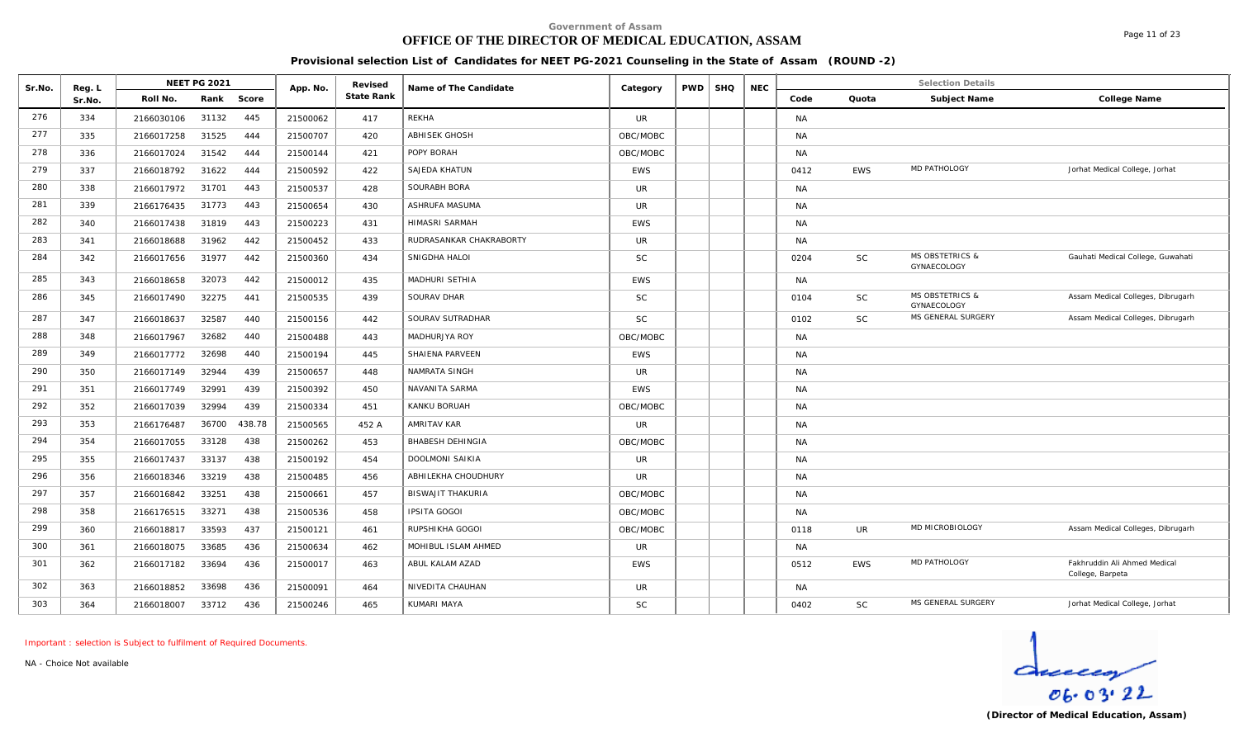# **OFFICE OF THE DIRECTOR OF MEDICAL EDUCATION, ASSAM**

**Provisional selection List of Candidates for NEET PG-2021 Counseling in the State of Assam (ROUND -2)**

| Sr.No. | Reg. L |            | <b>NEET PG 2021</b> |        | App. No. | Revised    | Name of The Candidate    | Category   | <b>PWD</b> | <b>SHQ</b> | <b>NEC</b> |           |            | <b>Selection Details</b>                  |                                                  |
|--------|--------|------------|---------------------|--------|----------|------------|--------------------------|------------|------------|------------|------------|-----------|------------|-------------------------------------------|--------------------------------------------------|
|        | Sr.No. | Roll No.   | Rank                | Score  |          | State Rank |                          |            |            |            |            | Code      | Quota      | Subject Name                              | College Name                                     |
| 276    | 334    | 2166030106 | 31132               | 445    | 21500062 | 417        | REKHA                    | <b>UR</b>  |            |            |            | <b>NA</b> |            |                                           |                                                  |
| 277    | 335    | 2166017258 | 31525               | 444    | 21500707 | 420        | <b>ABHISEK GHOSH</b>     | OBC/MOBC   |            |            |            | <b>NA</b> |            |                                           |                                                  |
| 278    | 336    | 2166017024 | 31542               | 444    | 21500144 | 421        | POPY BORAH               | OBC/MOBC   |            |            |            | NA        |            |                                           |                                                  |
| 279    | 337    | 2166018792 | 31622               | 444    | 21500592 | 422        | SAJEDA KHATUN            | <b>EWS</b> |            |            |            | 0412      | <b>EWS</b> | MD PATHOLOGY                              | Jorhat Medical College, Jorhat                   |
| 280    | 338    | 2166017972 | 31701               | 443    | 21500537 | 428        | SOURABH BORA             | <b>UR</b>  |            |            |            | <b>NA</b> |            |                                           |                                                  |
| 281    | 339    | 2166176435 | 31773               | 443    | 21500654 | 430        | ASHRUFA MASUMA           | <b>UR</b>  |            |            |            | <b>NA</b> |            |                                           |                                                  |
| 282    | 340    | 2166017438 | 31819               | 443    | 21500223 | 431        | HIMASRI SARMAH           | <b>EWS</b> |            |            |            | <b>NA</b> |            |                                           |                                                  |
| 283    | 341    | 2166018688 | 31962               | 442    | 21500452 | 433        | RUDRASANKAR CHAKRABORTY  | UR         |            |            |            | <b>NA</b> |            |                                           |                                                  |
| 284    | 342    | 2166017656 | 31977               | 442    | 21500360 | 434        | SNIGDHA HALOI            | <b>SC</b>  |            |            |            | 0204      | <b>SC</b>  | <b>MS OBSTETRICS &amp;</b><br>GYNAECOLOGY | Gauhati Medical College, Guwahati                |
| 285    | 343    | 2166018658 | 32073               | 442    | 21500012 | 435        | <b>MADHURI SETHIA</b>    | <b>EWS</b> |            |            |            | <b>NA</b> |            |                                           |                                                  |
| 286    | 345    | 2166017490 | 32275               | 441    | 21500535 | 439        | SOURAV DHAR              | <b>SC</b>  |            |            |            | 0104      | <b>SC</b>  | <b>MS OBSTETRICS &amp;</b><br>GYNAECOLOGY | Assam Medical Colleges, Dibrugarh                |
| 287    | 347    | 2166018637 | 32587               | 440    | 21500156 | 442        | SOURAV SUTRADHAR         | <b>SC</b>  |            |            |            | 0102      | <b>SC</b>  | MS GENERAL SURGERY                        | Assam Medical Colleges, Dibrugarh                |
| 288    | 348    | 2166017967 | 32682               | 440    | 21500488 | 443        | MADHURJYA ROY            | OBC/MOBC   |            |            |            | <b>NA</b> |            |                                           |                                                  |
| 289    | 349    | 2166017772 | 32698               | 440    | 21500194 | 445        | SHAIENA PARVEEN          | <b>EWS</b> |            |            |            | <b>NA</b> |            |                                           |                                                  |
| 290    | 350    | 2166017149 | 32944               | 439    | 21500657 | 448        | NAMRATA SINGH            | <b>UR</b>  |            |            |            | <b>NA</b> |            |                                           |                                                  |
| 291    | 351    | 2166017749 | 32991               | 439    | 21500392 | 450        | NAVANITA SARMA           | <b>EWS</b> |            |            |            | <b>NA</b> |            |                                           |                                                  |
| 292    | 352    | 2166017039 | 32994               | 439    | 21500334 | 451        | KANKU BORUAH             | OBC/MOBC   |            |            |            | <b>NA</b> |            |                                           |                                                  |
| 293    | 353    | 2166176487 | 36700               | 438.78 | 21500565 | 452 A      | <b>AMRITAV KAR</b>       | <b>UR</b>  |            |            |            | <b>NA</b> |            |                                           |                                                  |
| 294    | 354    | 2166017055 | 33128               | 438    | 21500262 | 453        | <b>BHABESH DEHINGIA</b>  | OBC/MOBC   |            |            |            | <b>NA</b> |            |                                           |                                                  |
| 295    | 355    | 2166017437 | 33137               | 438    | 21500192 | 454        | DOOLMONI SAIKIA          | <b>UR</b>  |            |            |            | <b>NA</b> |            |                                           |                                                  |
| 296    | 356    | 2166018346 | 33219               | 438    | 21500485 | 456        | ABHILEKHA CHOUDHURY      | <b>UR</b>  |            |            |            | <b>NA</b> |            |                                           |                                                  |
| 297    | 357    | 2166016842 | 33251               | 438    | 21500661 | 457        | <b>BISWAJIT THAKURIA</b> | OBC/MOBC   |            |            |            | NA        |            |                                           |                                                  |
| 298    | 358    | 2166176515 | 33271               | 438    | 21500536 | 458        | <b>IPSITA GOGOI</b>      | OBC/MOBC   |            |            |            | <b>NA</b> |            |                                           |                                                  |
| 299    | 360    | 2166018817 | 33593               | 437    | 21500121 | 461        | RUPSHIKHA GOGOI          | OBC/MOBC   |            |            |            | 0118      | <b>UR</b>  | MD MICROBIOLOGY                           | Assam Medical Colleges, Dibrugarh                |
| 300    | 361    | 2166018075 | 33685               | 436    | 21500634 | 462        | MOHIBUL ISLAM AHMED      | <b>UR</b>  |            |            |            | <b>NA</b> |            |                                           |                                                  |
| 301    | 362    | 2166017182 | 33694               | 436    | 21500017 | 463        | ABUL KALAM AZAD          | <b>EWS</b> |            |            |            | 0512      | <b>EWS</b> | MD PATHOLOGY                              | Fakhruddin Ali Ahmed Medical<br>College, Barpeta |
| 302    | 363    | 2166018852 | 33698               | 436    | 21500091 | 464        | NIVEDITA CHAUHAN         | <b>UR</b>  |            |            |            | <b>NA</b> |            |                                           |                                                  |
| 303    | 364    | 2166018007 | 33712               | 436    | 21500246 | 465        | KUMARI MAYA              | <b>SC</b>  |            |            |            | 0402      | <b>SC</b>  | MS GENERAL SURGERY                        | Jorhat Medical College, Jorhat                   |

*Important : selection is Subject to fulfilment of Required Documents.*

*NA - Choice Not available*

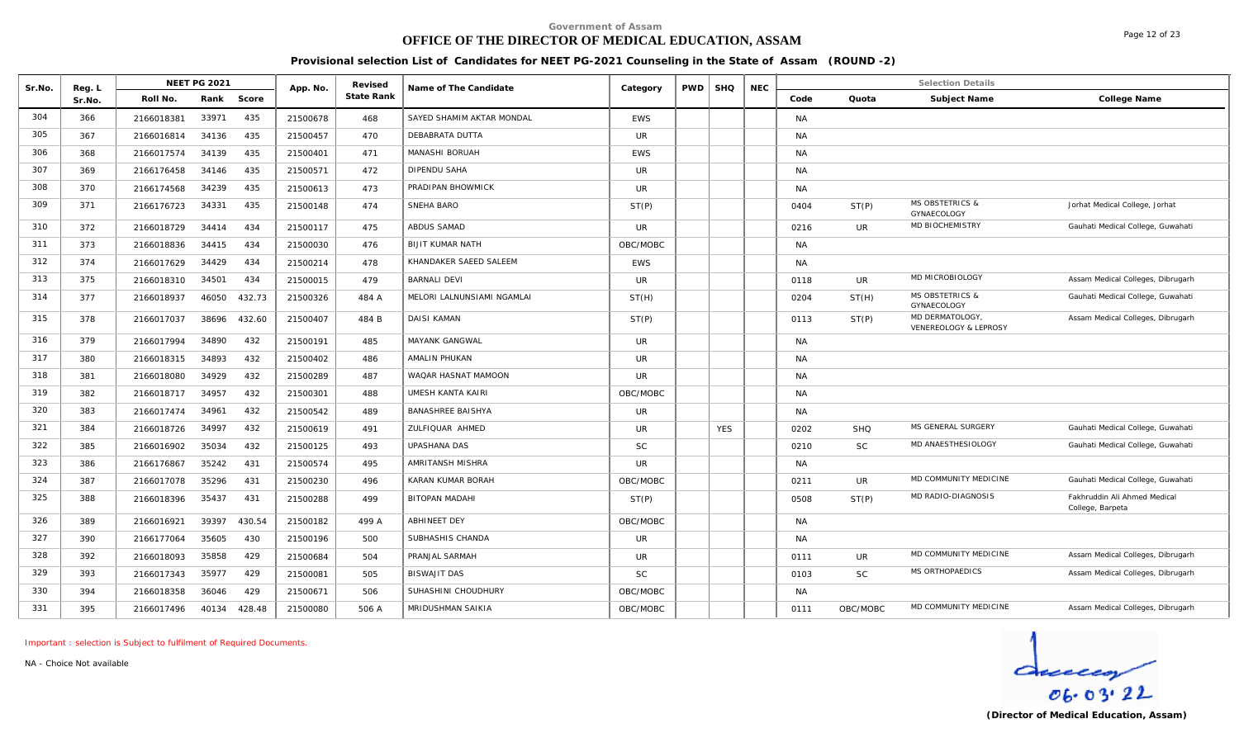# **OFFICE OF THE DIRECTOR OF MEDICAL EDUCATION, ASSAM**

Page 12 of 23

**Provisional selection List of Candidates for NEET PG-2021 Counseling in the State of Assam (ROUND -2)**

| Sr.No. | Reg. L |            | <b>NEET PG 2021</b> |        | App. No. | Revised    | Name of The Candidate      | Category       | <b>PWD</b> | <b>SHQ</b> | <b>NEC</b> |           |            | <b>Selection Details</b>                  |                                                  |
|--------|--------|------------|---------------------|--------|----------|------------|----------------------------|----------------|------------|------------|------------|-----------|------------|-------------------------------------------|--------------------------------------------------|
|        | Sr.No. | Roll No.   | Rank                | Score  |          | State Rank |                            |                |            |            |            | Code      | Quota      | Subject Name                              | College Name                                     |
| 304    | 366    | 2166018381 | 33971               | 435    | 21500678 | 468        | SAYED SHAMIM AKTAR MONDAL  | <b>EWS</b>     |            |            |            | <b>NA</b> |            |                                           |                                                  |
| 305    | 367    | 2166016814 | 34136               | 435    | 21500457 | 470        | DEBABRATA DUTTA            | <b>UR</b>      |            |            |            | <b>NA</b> |            |                                           |                                                  |
| 306    | 368    | 2166017574 | 34139               | 435    | 21500401 | 471        | MANASHI BORUAH             | <b>EWS</b>     |            |            |            | <b>NA</b> |            |                                           |                                                  |
| 307    | 369    | 2166176458 | 34146               | 435    | 21500571 | 472        | DIPENDU SAHA               | <b>UR</b>      |            |            |            | <b>NA</b> |            |                                           |                                                  |
| 308    | 370    | 2166174568 | 34239               | 435    | 21500613 | 473        | PRADIPAN BHOWMICK          | UR.            |            |            |            | <b>NA</b> |            |                                           |                                                  |
| 309    | 371    | 2166176723 | 34331               | 435    | 21500148 | 474        | SNEHA BARO                 | ST(P)          |            |            |            | 0404      | ST(P)      | <b>MS OBSTETRICS &amp;</b><br>GYNAECOLOGY | Jorhat Medical College, Jorhat                   |
| 310    | 372    | 2166018729 | 34414               | 434    | 21500117 | 475        | <b>ABDUS SAMAD</b>         | UR.            |            |            |            | 0216      | <b>UR</b>  | MD BIOCHEMISTRY                           | Gauhati Medical College, Guwahati                |
| 311    | 373    | 2166018836 | 34415               | 434    | 21500030 | 476        | <b>BIJIT KUMAR NATH</b>    | OBC/MOBC       |            |            |            | <b>NA</b> |            |                                           |                                                  |
| 312    | 374    | 2166017629 | 34429               | 434    | 21500214 | 478        | KHANDAKER SAEED SALEEM     | <b>EWS</b>     |            |            |            | <b>NA</b> |            |                                           |                                                  |
| 313    | 375    | 2166018310 | 34501               | 434    | 21500015 | 479        | <b>BARNALI DEVI</b>        | <b>UR</b>      |            |            |            | 0118      | UR         | MD MICROBIOLOGY                           | Assam Medical Colleges, Dibrugarh                |
| 314    | 377    | 2166018937 | 46050               | 432.73 | 21500326 | 484 A      | MELORI LALNUNSIAMI NGAMLAI | ST(H)          |            |            |            | 0204      | ST(H)      | <b>MS OBSTETRICS &amp;</b><br>GYNAECOLOGY | Gauhati Medical College, Guwahati                |
| 315    | 378    | 2166017037 | 38696               | 432.60 | 21500407 | 484 B      | <b>DAISI KAMAN</b>         | ST(P)          |            |            |            | 0113      | ST(P)      | MD DERMATOLOGY<br>VENEREOLOGY & LEPROSY   | Assam Medical Colleges, Dibrugarh                |
| 316    | 379    | 2166017994 | 34890               | 432    | 21500191 | 485        | <b>MAYANK GANGWAL</b>      | UR.            |            |            |            | <b>NA</b> |            |                                           |                                                  |
| 317    | 380    | 2166018315 | 34893               | 432    | 21500402 | 486        | <b>AMALIN PHUKAN</b>       | UR             |            |            |            | <b>NA</b> |            |                                           |                                                  |
| 318    | 381    | 2166018080 | 34929               | 432    | 21500289 | 487        | WAQAR HASNAT MAMOON        | <b>UR</b>      |            |            |            | <b>NA</b> |            |                                           |                                                  |
| 319    | 382    | 2166018717 | 34957               | 432    | 21500301 | 488        | <b>UMESH KANTA KAIRI</b>   | OBC/MOBC       |            |            |            | <b>NA</b> |            |                                           |                                                  |
| 320    | 383    | 2166017474 | 34961               | 432    | 21500542 | 489        | <b>BANASHREE BAISHYA</b>   | UR             |            |            |            | <b>NA</b> |            |                                           |                                                  |
| 321    | 384    | 2166018726 | 34997               | 432    | 21500619 | 491        | ZULFIQUAR AHMED            | <b>UR</b>      |            | <b>YES</b> |            | 0202      | <b>SHQ</b> | MS GENERAL SURGERY                        | Gauhati Medical College, Guwahati                |
| 322    | 385    | 2166016902 | 35034               | 432    | 21500125 | 493        | <b>UPASHANA DAS</b>        | <b>SC</b>      |            |            |            | 0210      | SC         | MD ANAESTHESIOLOGY                        | Gauhati Medical College, Guwahati                |
| 323    | 386    | 2166176867 | 35242               | 431    | 21500574 | 495        | AMRITANSH MISHRA           | $_{\text{UR}}$ |            |            |            | <b>NA</b> |            |                                           |                                                  |
| 324    | 387    | 2166017078 | 35296               | 431    | 21500230 | 496        | KARAN KUMAR BORAH          | OBC/MOBC       |            |            |            | 0211      | <b>UR</b>  | MD COMMUNITY MEDICINE                     | Gauhati Medical College, Guwahati                |
| 325    | 388    | 2166018396 | 35437               | 431    | 21500288 | 499        | <b>BITOPAN MADAHI</b>      | ST(P)          |            |            |            | 0508      | ST(P)      | MD RADIO-DIAGNOSIS                        | Fakhruddin Ali Ahmed Medical<br>College, Barpeta |
| 326    | 389    | 2166016921 | 39397               | 430.54 | 21500182 | 499 A      | <b>ABHINEET DEY</b>        | OBC/MOBC       |            |            |            | <b>NA</b> |            |                                           |                                                  |
| 327    | 390    | 2166177064 | 35605               | 430    | 21500196 | 500        | SUBHASHIS CHANDA           | <b>UR</b>      |            |            |            | <b>NA</b> |            |                                           |                                                  |
| 328    | 392    | 2166018093 | 35858               | 429    | 21500684 | 504        | PRANJAL SARMAH             | <b>UR</b>      |            |            |            | 0111      | UR         | MD COMMUNITY MEDICINE                     | Assam Medical Colleges, Dibrugarh                |
| 329    | 393    | 2166017343 | 35977               | 429    | 21500081 | 505        | <b>BISWAJIT DAS</b>        | <b>SC</b>      |            |            |            | 0103      | SC         | MS ORTHOPAEDICS                           | Assam Medical Colleges, Dibrugarh                |
| 330    | 394    | 2166018358 | 36046               | 429    | 21500671 | 506        | SUHASHINI CHOUDHURY        | OBC/MOBC       |            |            |            | <b>NA</b> |            |                                           |                                                  |
| 331    | 395    | 2166017496 | 40134               | 428.48 | 21500080 | 506 A      | MRIDUSHMAN SAIKIA          | OBC/MOBC       |            |            |            | 0111      | OBC/MOBC   | MD COMMUNITY MEDICINE                     | Assam Medical Colleges, Dibrugarh                |

*Important : selection is Subject to fulfilment of Required Documents.*

*NA - Choice Not available*

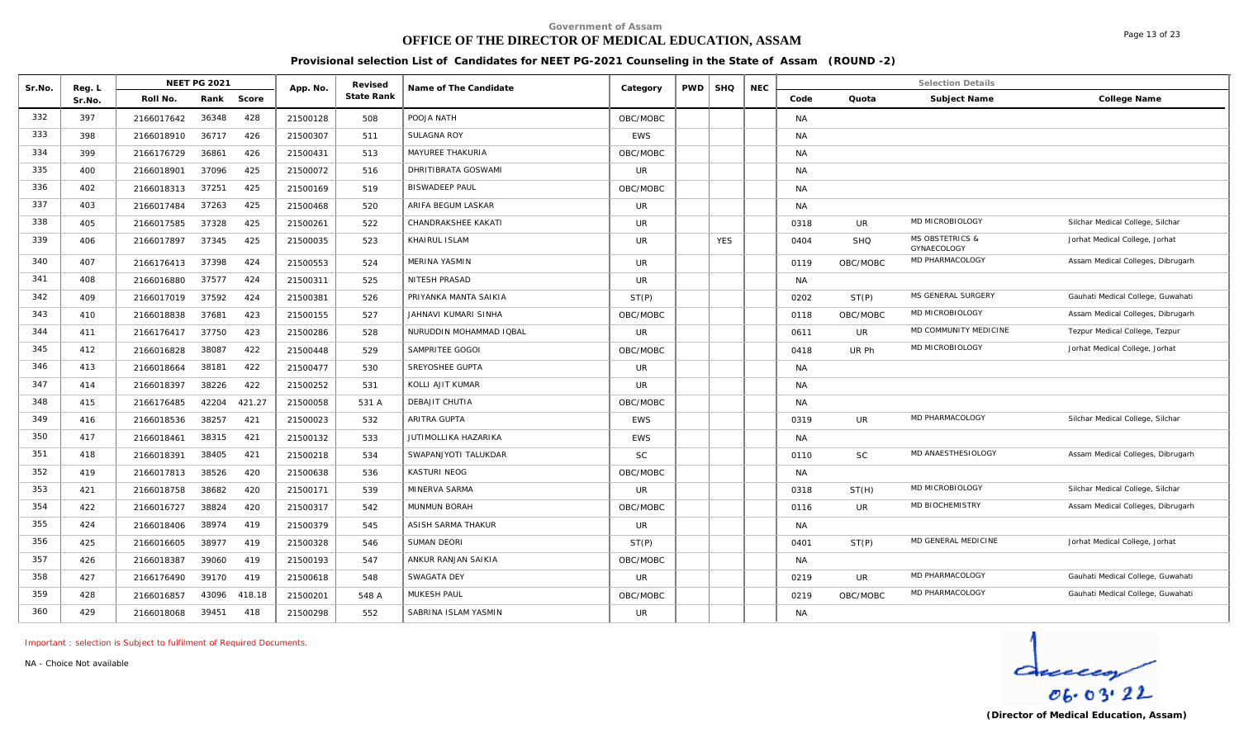# **OFFICE OF THE DIRECTOR OF MEDICAL EDUCATION, ASSAM**

Page 13 of 23

**Provisional selection List of Candidates for NEET PG-2021 Counseling in the State of Assam (ROUND -2)**

| Sr.No. | Reg. L |            | <b>NEET PG 2021</b> |        | App. No. | Revised    | Name of The Candidate   | Category   | <b>PWD</b> | <b>SHQ</b> | <b>NEC</b> |           |            | <b>Selection Details</b>                  |                                   |
|--------|--------|------------|---------------------|--------|----------|------------|-------------------------|------------|------------|------------|------------|-----------|------------|-------------------------------------------|-----------------------------------|
|        | Sr.No. | Roll No.   | Rank                | Score  |          | State Rank |                         |            |            |            |            | Code      | Quota      | Subject Name                              | College Name                      |
| 332    | 397    | 2166017642 | 36348               | 428    | 21500128 | 508        | POOJA NATH              | OBC/MOBC   |            |            |            | <b>NA</b> |            |                                           |                                   |
| 333    | 398    | 2166018910 | 36717               | 426    | 21500307 | 511        | SULAGNA ROY             | <b>EWS</b> |            |            |            | <b>NA</b> |            |                                           |                                   |
| 334    | 399    | 2166176729 | 36861               | 426    | 21500431 | 513        | MAYUREE THAKURIA        | OBC/MOBC   |            |            |            | <b>NA</b> |            |                                           |                                   |
| 335    | 400    | 2166018901 | 37096               | 425    | 21500072 | 516        | DHRITIBRATA GOSWAMI     | UR         |            |            |            | <b>NA</b> |            |                                           |                                   |
| 336    | 402    | 2166018313 | 37251               | 425    | 21500169 | 519        | <b>BISWADEEP PAUL</b>   | OBC/MOBC   |            |            |            | <b>NA</b> |            |                                           |                                   |
| 337    | 403    | 2166017484 | 37263               | 425    | 21500468 | 520        | ARIFA BEGUM LASKAR      | <b>UR</b>  |            |            |            | <b>NA</b> |            |                                           |                                   |
| 338    | 405    | 2166017585 | 37328               | 425    | 21500261 | 522        | CHANDRAKSHEE KAKATI     | <b>UR</b>  |            |            |            | 0318      | UR         | MD MICROBIOLOGY                           | Silchar Medical College, Silchar  |
| 339    | 406    | 2166017897 | 37345               | 425    | 21500035 | 523        | KHAIRUL ISLAM           | <b>UR</b>  |            | <b>YES</b> |            | 0404      | <b>SHQ</b> | <b>MS OBSTETRICS &amp;</b><br>GYNAECOLOGY | Jorhat Medical College, Jorhat    |
| 340    | 407    | 2166176413 | 37398               | 424    | 21500553 | 524        | MERINA YASMIN           | <b>UR</b>  |            |            |            | 0119      | OBC/MOBC   | MD PHARMACOLOGY                           | Assam Medical Colleges, Dibrugarh |
| 341    | 408    | 2166016880 | 37577               | 424    | 21500311 | 525        | NITESH PRASAD           | UR         |            |            |            | NA        |            |                                           |                                   |
| 342    | 409    | 2166017019 | 37592               | 424    | 21500381 | 526        | PRIYANKA MANTA SAIKIA   | ST(P)      |            |            |            | 0202      | ST(P)      | MS GENERAL SURGERY                        | Gauhati Medical College, Guwahati |
| 343    | 410    | 2166018838 | 37681               | 423    | 21500155 | 527        | JAHNAVI KUMARI SINHA    | OBC/MOBC   |            |            |            | 0118      | OBC/MOBC   | MD MICROBIOLOGY                           | Assam Medical Colleges, Dibrugarh |
| 344    | 411    | 2166176417 | 37750               | 423    | 21500286 | 528        | NURUDDIN MOHAMMAD IQBAL | <b>UR</b>  |            |            |            | 0611      | UR         | MD COMMUNITY MEDICINE                     | Tezpur Medical College, Tezpur    |
| 345    | 412    | 2166016828 | 38087               | 422    | 21500448 | 529        | SAMPRITEE GOGOI         | OBC/MOBC   |            |            |            | 0418      | UR Ph      | MD MICROBIOLOGY                           | Jorhat Medical College, Jorhat    |
| 346    | 413    | 2166018664 | 38181               | 422    | 21500477 | 530        | SREYOSHEE GUPTA         | <b>UR</b>  |            |            |            | <b>NA</b> |            |                                           |                                   |
| 347    | 414    | 2166018397 | 38226               | 422    | 21500252 | 531        | KOLLI AJIT KUMAR        | <b>UR</b>  |            |            |            | <b>NA</b> |            |                                           |                                   |
| 348    | 415    | 2166176485 | 42204               | 421.27 | 21500058 | 531 A      | DEBAJIT CHUTIA          | OBC/MOBC   |            |            |            | <b>NA</b> |            |                                           |                                   |
| 349    | 416    | 2166018536 | 38257               | 421    | 21500023 | 532        | ARITRA GUPTA            | <b>EWS</b> |            |            |            | 0319      | UR         | MD PHARMACOLOGY                           | Silchar Medical College, Silchar  |
| 350    | 417    | 2166018461 | 38315               | 421    | 21500132 | 533        | JUTIMOLLIKA HAZARIKA    | <b>EWS</b> |            |            |            | <b>NA</b> |            |                                           |                                   |
| 351    | 418    | 2166018391 | 38405               | 421    | 21500218 | 534        | SWAPANJYOTI TALUKDAR    | <b>SC</b>  |            |            |            | 0110      | <b>SC</b>  | MD ANAESTHESIOLOGY                        | Assam Medical Colleges, Dibrugarh |
| 352    | 419    | 2166017813 | 38526               | 420    | 21500638 | 536        | KASTURI NEOG            | OBC/MOBC   |            |            |            | <b>NA</b> |            |                                           |                                   |
| 353    | 421    | 2166018758 | 38682               | 420    | 21500171 | 539        | MINERVA SARMA           | <b>UR</b>  |            |            |            | 0318      | ST(H)      | MD MICROBIOLOGY                           | Silchar Medical College, Silchar  |
| 354    | 422    | 2166016727 | 38824               | 420    | 21500317 | 542        | MUNMUN BORAH            | OBC/MOBC   |            |            |            | 0116      | UR.        | MD BIOCHEMISTRY                           | Assam Medical Colleges, Dibrugarh |
| 355    | 424    | 2166018406 | 38974               | 419    | 21500379 | 545        | ASISH SARMA THAKUR      | <b>UR</b>  |            |            |            | <b>NA</b> |            |                                           |                                   |
| 356    | 425    | 2166016605 | 38977               | 419    | 21500328 | 546        | <b>SUMAN DEORI</b>      | ST(P)      |            |            |            | 0401      | ST(P)      | MD GENERAL MEDICINE                       | Jorhat Medical College, Jorhat    |
| 357    | 426    | 2166018387 | 39060               | 419    | 21500193 | 547        | ANKUR RANJAN SAIKIA     | OBC/MOBC   |            |            |            | <b>NA</b> |            |                                           |                                   |
| 358    | 427    | 2166176490 | 39170               | 419    | 21500618 | 548        | SWAGATA DEY             | <b>UR</b>  |            |            |            | 0219      | UR         | MD PHARMACOLOGY                           | Gauhati Medical College, Guwahati |
| 359    | 428    | 2166016857 | 43096               | 418.18 | 21500201 | 548 A      | MUKESH PAUL             | OBC/MOBC   |            |            |            | 0219      | OBC/MOBC   | MD PHARMACOLOGY                           | Gauhati Medical College, Guwahati |
| 360    | 429    | 2166018068 | 39451               | 418    | 21500298 | 552        | SABRINA ISLAM YASMIN    | <b>UR</b>  |            |            |            | <b>NA</b> |            |                                           |                                   |

*Important : selection is Subject to fulfilment of Required Documents.*

*NA - Choice Not available*

 $d$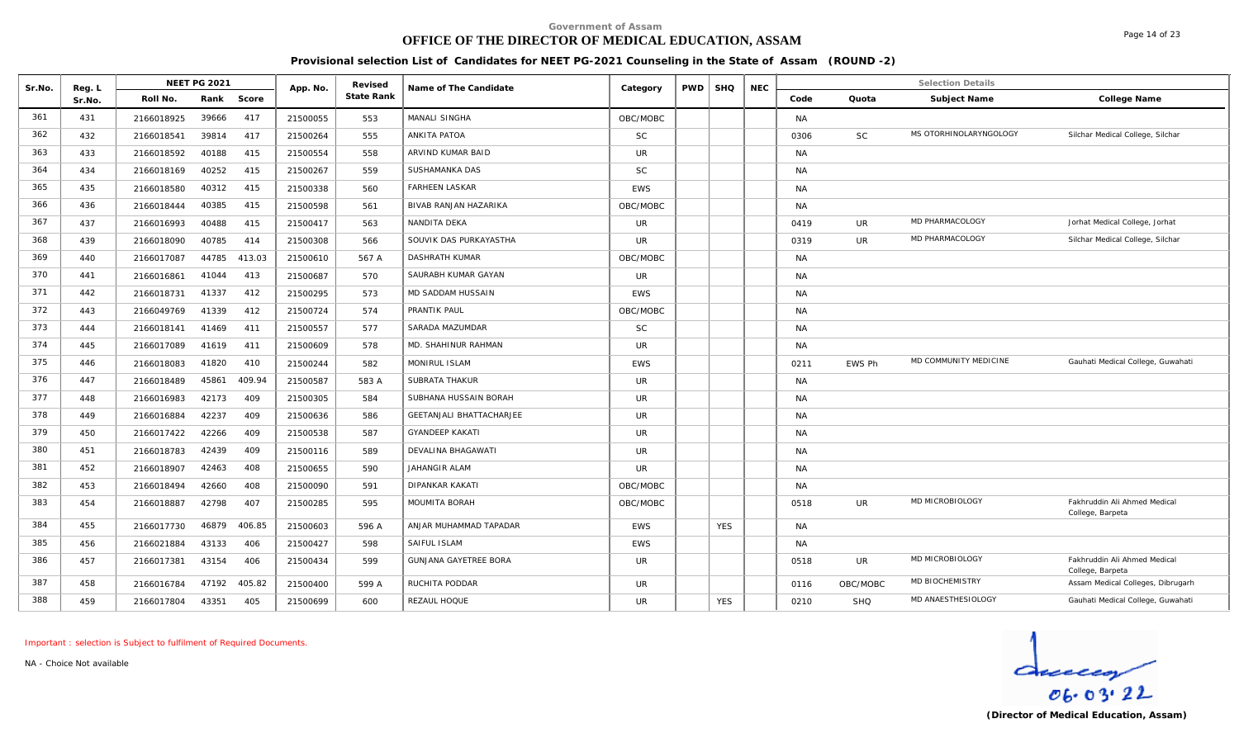# **OFFICE OF THE DIRECTOR OF MEDICAL EDUCATION, ASSAM**

**Provisional selection List of Candidates for NEET PG-2021 Counseling in the State of Assam (ROUND -2)**

| Sr.No. | Reg. L |            | <b>NEET PG 2021</b> |        | App. No. | Revised    | Name of The Candidate           | Category   | <b>PWD</b> | <b>SHQ</b> | <b>NEC</b> |           |            | <b>Selection Details</b> |                                                  |
|--------|--------|------------|---------------------|--------|----------|------------|---------------------------------|------------|------------|------------|------------|-----------|------------|--------------------------|--------------------------------------------------|
|        | Sr.No. | Roll No.   | Rank                | Score  |          | State Rank |                                 |            |            |            |            | Code      | Quota      | Subject Name             | College Name                                     |
| 361    | 431    | 2166018925 | 39666               | 417    | 21500055 | 553        | MANALI SINGHA                   | OBC/MOBC   |            |            |            | <b>NA</b> |            |                          |                                                  |
| 362    | 432    | 2166018541 | 39814               | 417    | 21500264 | 555        | <b>ANKITA PATOA</b>             | <b>SC</b>  |            |            |            | 0306      | <b>SC</b>  | MS OTORHINOLARYNGOLOGY   | Silchar Medical College, Silchar                 |
| 363    | 433    | 2166018592 | 40188               | 415    | 21500554 | 558        | ARVIND KUMAR BAID               | UR         |            |            |            | <b>NA</b> |            |                          |                                                  |
| 364    | 434    | 2166018169 | 40252               | 415    | 21500267 | 559        | SUSHAMANKA DAS                  | SC         |            |            |            | <b>NA</b> |            |                          |                                                  |
| 365    | 435    | 2166018580 | 40312               | 415    | 21500338 | 560        | <b>FARHEEN LASKAR</b>           | <b>EWS</b> |            |            |            | <b>NA</b> |            |                          |                                                  |
| 366    | 436    | 2166018444 | 40385               | 415    | 21500598 | 561        | BIVAB RANJAN HAZARIKA           | OBC/MOBC   |            |            |            | <b>NA</b> |            |                          |                                                  |
| 367    | 437    | 2166016993 | 40488               | 415    | 21500417 | 563        | NANDITA DEKA                    | <b>UR</b>  |            |            |            | 0419      | UR         | MD PHARMACOLOGY          | Jorhat Medical College, Jorhat                   |
| 368    | 439    | 2166018090 | 40785               | 414    | 21500308 | 566        | SOUVIK DAS PURKAYASTHA          | <b>UR</b>  |            |            |            | 0319      | UR         | MD PHARMACOLOGY          | Silchar Medical College, Silchar                 |
| 369    | 440    | 2166017087 | 44785               | 413.03 | 21500610 | 567 A      | DASHRATH KUMAR                  | OBC/MOBC   |            |            |            | NA        |            |                          |                                                  |
| 370    | 441    | 2166016861 | 41044               | 413    | 21500687 | 570        | SAURABH KUMAR GAYAN             | UR.        |            |            |            | <b>NA</b> |            |                          |                                                  |
| 371    | 442    | 2166018731 | 41337               | 412    | 21500295 | 573        | MD SADDAM HUSSAIN               | <b>EWS</b> |            |            |            | <b>NA</b> |            |                          |                                                  |
| 372    | 443    | 2166049769 | 41339               | 412    | 21500724 | 574        | PRANTIK PAUL                    | OBC/MOBC   |            |            |            | <b>NA</b> |            |                          |                                                  |
| 373    | 444    | 2166018141 | 41469               | 411    | 21500557 | 577        | SARADA MAZUMDAR                 | <b>SC</b>  |            |            |            | <b>NA</b> |            |                          |                                                  |
| 374    | 445    | 2166017089 | 41619               | 411    | 21500609 | 578        | MD. SHAHINUR RAHMAN             | UR.        |            |            |            | <b>NA</b> |            |                          |                                                  |
| 375    | 446    | 2166018083 | 41820               | 410    | 21500244 | 582        | MONIRUL ISLAM                   | <b>EWS</b> |            |            |            | 0211      | EWS Ph     | MD COMMUNITY MEDICINE    | Gauhati Medical College, Guwahati                |
| 376    | 447    | 2166018489 | 45861               | 409.94 | 21500587 | 583 A      | SUBRATA THAKUR                  | <b>UR</b>  |            |            |            | <b>NA</b> |            |                          |                                                  |
| 377    | 448    | 2166016983 | 42173               | 409    | 21500305 | 584        | SUBHANA HUSSAIN BORAH           | <b>UR</b>  |            |            |            | <b>NA</b> |            |                          |                                                  |
| 378    | 449    | 2166016884 | 42237               | 409    | 21500636 | 586        | <b>GEETANJALI BHATTACHARJEE</b> | <b>UR</b>  |            |            |            | <b>NA</b> |            |                          |                                                  |
| 379    | 450    | 2166017422 | 42266               | 409    | 21500538 | 587        | <b>GYANDEEP KAKATI</b>          | UR         |            |            |            | <b>NA</b> |            |                          |                                                  |
| 380    | 451    | 2166018783 | 42439               | 409    | 21500116 | 589        | DEVALINA BHAGAWATI              | <b>UR</b>  |            |            |            | <b>NA</b> |            |                          |                                                  |
| 381    | 452    | 2166018907 | 42463               | 408    | 21500655 | 590        | JAHANGIR ALAM                   | <b>UR</b>  |            |            |            | <b>NA</b> |            |                          |                                                  |
| 382    | 453    | 2166018494 | 42660               | 408    | 21500090 | 591        | <b>DIPANKAR KAKATI</b>          | OBC/MOBC   |            |            |            | <b>NA</b> |            |                          |                                                  |
| 383    | 454    | 2166018887 | 42798               | 407    | 21500285 | 595        | MOUMITA BORAH                   | OBC/MOBC   |            |            |            | 0518      | UR         | MD MICROBIOLOGY          | Fakhruddin Ali Ahmed Medical<br>College, Barpeta |
| 384    | 455    | 2166017730 | 46879               | 406.85 | 21500603 | 596 A      | ANJAR MUHAMMAD TAPADAR          | <b>EWS</b> |            | <b>YES</b> |            | <b>NA</b> |            |                          |                                                  |
| 385    | 456    | 2166021884 | 43133               | 406    | 21500427 | 598        | SAIFUL ISLAM                    | <b>EWS</b> |            |            |            | <b>NA</b> |            |                          |                                                  |
| 386    | 457    | 2166017381 | 43154               | 406    | 21500434 | 599        | GUNJANA GAYETREE BORA           | UR         |            |            |            | 0518      | UR         | MD MICROBIOLOGY          | Fakhruddin Ali Ahmed Medical<br>College, Barpeta |
| 387    | 458    | 2166016784 | 47192               | 405.82 | 21500400 | 599 A      | RUCHITA PODDAR                  | <b>UR</b>  |            |            |            | 0116      | OBC/MOBC   | MD BIOCHEMISTRY          | Assam Medical Colleges, Dibrugarh                |
| 388    | 459    | 2166017804 | 43351               | 405    | 21500699 | 600        | REZAUL HOQUE                    | <b>UR</b>  |            | <b>YES</b> |            | 0210      | <b>SHQ</b> | MD ANAESTHESIOLOGY       | Gauhati Medical College, Guwahati                |

*Important : selection is Subject to fulfilment of Required Documents.*

*NA - Choice Not available*

 $d_{vector}$ <br> $06.03.22$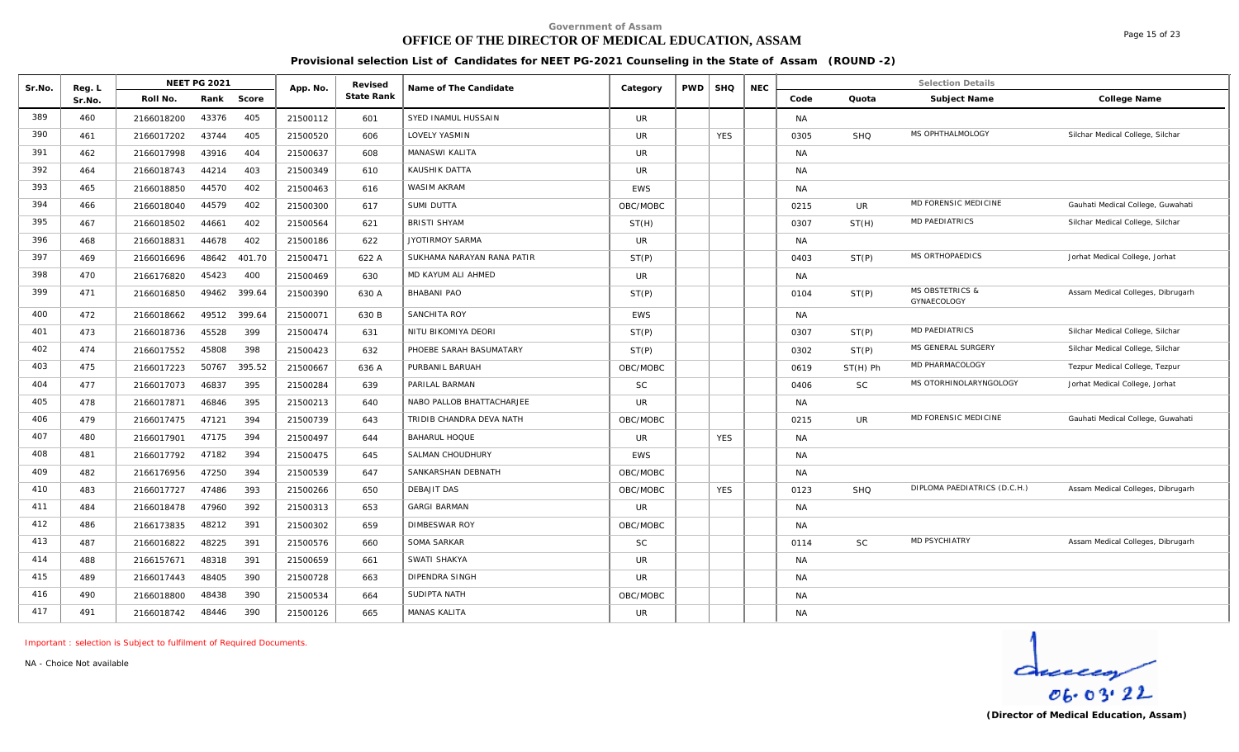# **OFFICE OF THE DIRECTOR OF MEDICAL EDUCATION, ASSAM**

Page 15 of 23

**Provisional selection List of Candidates for NEET PG-2021 Counseling in the State of Assam (ROUND -2)**

| Sr.No. | Reg. L |            | <b>NEET PG 2021</b> |              | App. No. | Revised    | Name of The Candidate      | Category   | <b>PWD</b> | <b>SHQ</b> | <b>NEC</b> |           |            | <b>Selection Details</b>                  |                                   |
|--------|--------|------------|---------------------|--------------|----------|------------|----------------------------|------------|------------|------------|------------|-----------|------------|-------------------------------------------|-----------------------------------|
|        | Sr.No. | Roll No.   | Rank                | Score        |          | State Rank |                            |            |            |            |            | Code      | Quota      | Subject Name                              | College Name                      |
| 389    | 460    | 2166018200 | 43376               | 405          | 21500112 | 601        | SYED INAMUL HUSSAIN        | <b>UR</b>  |            |            |            | <b>NA</b> |            |                                           |                                   |
| 390    | 461    | 2166017202 | 43744               | 405          | 21500520 | 606        | LOVELY YASMIN              | <b>UR</b>  |            | <b>YES</b> |            | 0305      | <b>SHQ</b> | MS OPHTHALMOLOGY                          | Silchar Medical College, Silchar  |
| 391    | 462    | 2166017998 | 43916               | 404          | 21500637 | 608        | MANASWI KALITA             | <b>UR</b>  |            |            |            | <b>NA</b> |            |                                           |                                   |
| 392    | 464    | 2166018743 | 44214               | 403          | 21500349 | 610        | KAUSHIK DATTA              | <b>UR</b>  |            |            |            | <b>NA</b> |            |                                           |                                   |
| 393    | 465    | 2166018850 | 44570               | 402          | 21500463 | 616        | WASIM AKRAM                | <b>EWS</b> |            |            |            | <b>NA</b> |            |                                           |                                   |
| 394    | 466    | 2166018040 | 44579               | 402          | 21500300 | 617        | SUMI DUTTA                 | OBC/MOBC   |            |            |            | 0215      | <b>UR</b>  | MD FORENSIC MEDICINE                      | Gauhati Medical College, Guwahati |
| 395    | 467    | 2166018502 | 44661               | 402          | 21500564 | 621        | <b>BRISTI SHYAM</b>        | ST(H)      |            |            |            | 0307      | ST(H)      | <b>MD PAEDIATRICS</b>                     | Silchar Medical College, Silchar  |
| 396    | 468    | 2166018831 | 44678               | 402          | 21500186 | 622        | <b>JYOTIRMOY SARMA</b>     | <b>UR</b>  |            |            |            | <b>NA</b> |            |                                           |                                   |
| 397    | 469    | 2166016696 | 48642               | 401.70       | 21500471 | 622 A      | SUKHAMA NARAYAN RANA PATIR | ST(P)      |            |            |            | 0403      | ST(P)      | MS ORTHOPAEDICS                           | Jorhat Medical College, Jorhat    |
| 398    | 470    | 2166176820 | 45423               | 400          | 21500469 | 630        | MD KAYUM ALI AHMED         | UR         |            |            |            | NA        |            |                                           |                                   |
| 399    | 471    | 2166016850 | 49462               | 399.64       | 21500390 | 630 A      | BHABANI PAO                | ST(P)      |            |            |            | 0104      | ST(P)      | <b>MS OBSTETRICS &amp;</b><br>GYNAECOLOGY | Assam Medical Colleges, Dibrugarh |
| 400    | 472    | 2166018662 |                     | 49512 399.64 | 21500071 | 630 B      | SANCHITA ROY               | <b>EWS</b> |            |            |            | <b>NA</b> |            |                                           |                                   |
| 401    | 473    | 2166018736 | 45528               | 399          | 21500474 | 631        | NITU BIKOMIYA DEORI        | ST(P)      |            |            |            | 0307      | ST(P)      | <b>MD PAEDIATRICS</b>                     | Silchar Medical College, Silchar  |
| 402    | 474    | 2166017552 | 45808               | 398          | 21500423 | 632        | PHOEBE SARAH BASUMATARY    | ST(P)      |            |            |            | 0302      | ST(P)      | MS GENERAL SURGERY                        | Silchar Medical College, Silchar  |
| 403    | 475    | 2166017223 | 50767               | 395.52       | 21500667 | 636 A      | PURBANIL BARUAH            | OBC/MOBC   |            |            |            | 0619      | $ST(H)$ Ph | MD PHARMACOLOGY                           | Tezpur Medical College, Tezpur    |
| 404    | 477    | 2166017073 | 46837               | 395          | 21500284 | 639        | PARILAL BARMAN             | <b>SC</b>  |            |            |            | 0406      | <b>SC</b>  | MS OTORHINOLARYNGOLOGY                    | Jorhat Medical College, Jorhat    |
| 405    | 478    | 2166017871 | 46846               | 395          | 21500213 | 640        | NABO PALLOB BHATTACHARJEE  | <b>UR</b>  |            |            |            | <b>NA</b> |            |                                           |                                   |
| 406    | 479    | 2166017475 | 47121               | 394          | 21500739 | 643        | TRIDIB CHANDRA DEVA NATH   | OBC/MOBC   |            |            |            | 0215      | <b>UR</b>  | <b>MD FORENSIC MEDICINE</b>               | Gauhati Medical College, Guwahati |
| 407    | 480    | 2166017901 | 47175               | 394          | 21500497 | 644        | <b>BAHARUL HOQUE</b>       | <b>UR</b>  |            | <b>YES</b> |            | <b>NA</b> |            |                                           |                                   |
| 408    | 481    | 2166017792 | 47182               | 394          | 21500475 | 645        | SALMAN CHOUDHURY           | EWS        |            |            |            | NA        |            |                                           |                                   |
| 409    | 482    | 2166176956 | 47250               | 394          | 21500539 | 647        | SANKARSHAN DEBNATH         | OBC/MOBC   |            |            |            | <b>NA</b> |            |                                           |                                   |
| 410    | 483    | 2166017727 | 47486               | 393          | 21500266 | 650        | <b>DEBAJIT DAS</b>         | OBC/MOBC   |            | <b>YES</b> |            | 0123      | SHQ        | DIPLOMA PAEDIATRICS (D.C.H.)              | Assam Medical Colleges, Dibrugarh |
| 411    | 484    | 2166018478 | 47960               | 392          | 21500313 | 653        | <b>GARGI BARMAN</b>        | <b>UR</b>  |            |            |            | NA        |            |                                           |                                   |
| 412    | 486    | 2166173835 | 48212               | 391          | 21500302 | 659        | <b>DIMBESWAR ROY</b>       | OBC/MOBC   |            |            |            | <b>NA</b> |            |                                           |                                   |
| 413    | 487    | 2166016822 | 48225               | 391          | 21500576 | 660        | SOMA SARKAR                | <b>SC</b>  |            |            |            | 0114      | <b>SC</b>  | <b>MD PSYCHIATRY</b>                      | Assam Medical Colleges, Dibrugarh |
| 414    | 488    | 2166157671 | 48318               | 391          | 21500659 | 661        | SWATI SHAKYA               | <b>UR</b>  |            |            |            | <b>NA</b> |            |                                           |                                   |
| 415    | 489    | 2166017443 | 48405               | 390          | 21500728 | 663        | DIPENDRA SINGH             | <b>UR</b>  |            |            |            | <b>NA</b> |            |                                           |                                   |
| 416    | 490    | 2166018800 | 48438               | 390          | 21500534 | 664        | SUDIPTA NATH               | OBC/MOBC   |            |            |            | <b>NA</b> |            |                                           |                                   |
| 417    | 491    | 2166018742 | 48446               | 390          | 21500126 | 665        | MANAS KALITA               | <b>UR</b>  |            |            |            | <b>NA</b> |            |                                           |                                   |

*Important : selection is Subject to fulfilment of Required Documents.*

*NA - Choice Not available*

 $d$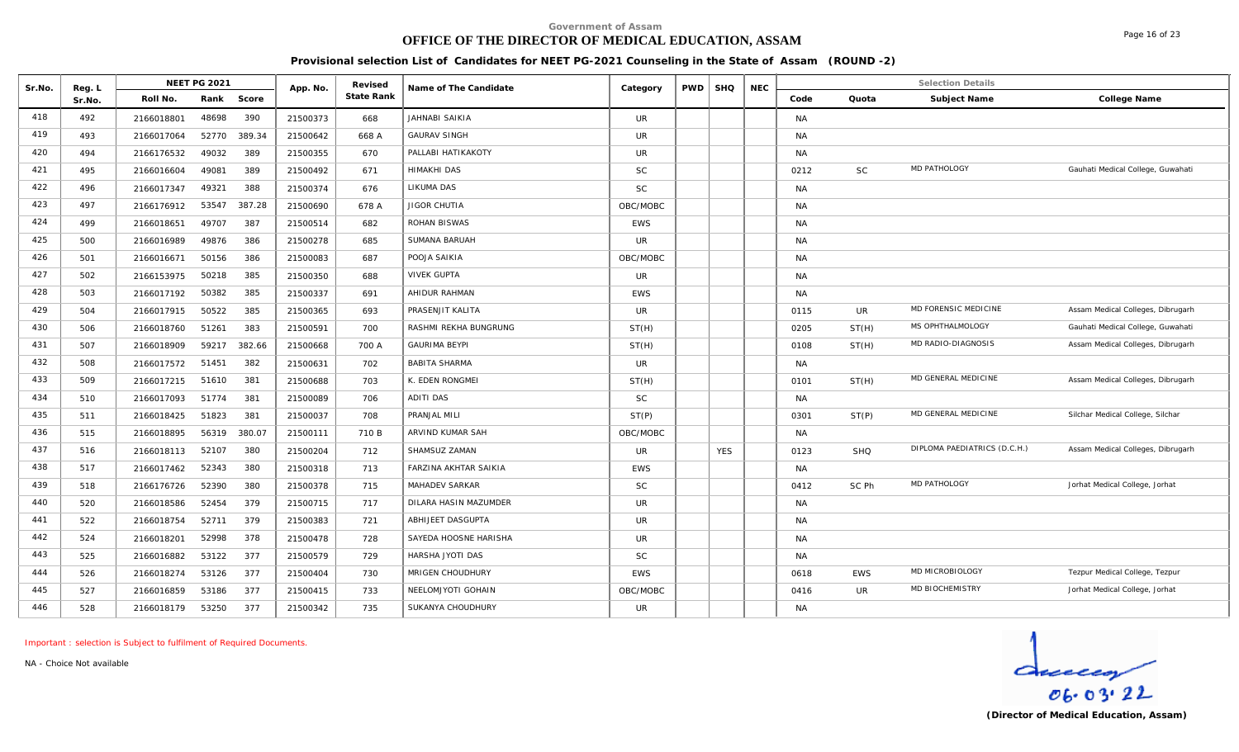# **OFFICE OF THE DIRECTOR OF MEDICAL EDUCATION, ASSAM**

**Provisional selection List of Candidates for NEET PG-2021 Counseling in the State of Assam (ROUND -2)**

| Sr.No. | Reg. L |            | <b>NEET PG 2021</b> |        | App. No. | Revised    | Name of The Candidate        | Category   | <b>PWD</b> | <b>SHQ</b> | <b>NEC</b> |           |            | <b>Selection Details</b>     |                                   |
|--------|--------|------------|---------------------|--------|----------|------------|------------------------------|------------|------------|------------|------------|-----------|------------|------------------------------|-----------------------------------|
|        | Sr.No. | Roll No.   | Rank                | Score  |          | State Rank |                              |            |            |            |            | Code      | Quota      | Subject Name                 | College Name                      |
| 418    | 492    | 2166018801 | 48698               | 390    | 21500373 | 668        | <b>JAHNABI SAIKIA</b>        | UR         |            |            |            | <b>NA</b> |            |                              |                                   |
| 419    | 493    | 2166017064 | 52770               | 389.34 | 21500642 | 668 A      | <b>GAURAV SINGH</b>          | <b>UR</b>  |            |            |            | <b>NA</b> |            |                              |                                   |
| 420    | 494    | 2166176532 | 49032               | 389    | 21500355 | 670        | PALLABI HATIKAKOTY           | <b>UR</b>  |            |            |            | <b>NA</b> |            |                              |                                   |
| 421    | 495    | 2166016604 | 49081               | 389    | 21500492 | 671        | <b>HIMAKHI DAS</b>           | <b>SC</b>  |            |            |            | 0212      | <b>SC</b>  | <b>MD PATHOLOGY</b>          | Gauhati Medical College, Guwahati |
| 422    | 496    | 2166017347 | 49321               | 388    | 21500374 | 676        | LIKUMA DAS                   | <b>SC</b>  |            |            |            | <b>NA</b> |            |                              |                                   |
| 423    | 497    | 2166176912 | 53547               | 387.28 | 21500690 | 678 A      | JIGOR CHUTIA                 | OBC/MOBC   |            |            |            | <b>NA</b> |            |                              |                                   |
| 424    | 499    | 2166018651 | 49707               | 387    | 21500514 | 682        | ROHAN BISWAS                 | <b>EWS</b> |            |            |            | <b>NA</b> |            |                              |                                   |
| 425    | 500    | 2166016989 | 49876               | 386    | 21500278 | 685        | SUMANA BARUAH                | <b>UR</b>  |            |            |            | <b>NA</b> |            |                              |                                   |
| 426    | 501    | 2166016671 | 50156               | 386    | 21500083 | 687        | POOJA SAIKIA                 | OBC/MOBC   |            |            |            | <b>NA</b> |            |                              |                                   |
| 427    | 502    | 2166153975 | 50218               | 385    | 21500350 | 688        | <b>VIVEK GUPTA</b>           | <b>UR</b>  |            |            |            | <b>NA</b> |            |                              |                                   |
| 428    | 503    | 2166017192 | 50382               | 385    | 21500337 | 691        | AHIDUR RAHMAN                | <b>EWS</b> |            |            |            | <b>NA</b> |            |                              |                                   |
| 429    | 504    | 2166017915 | 50522               | 385    | 21500365 | 693        | PRASENJIT KALITA             | <b>UR</b>  |            |            |            | 0115      | UR         | MD FORENSIC MEDICINE         | Assam Medical Colleges, Dibrugarh |
| 430    | 506    | 2166018760 | 51261               | 383    | 21500591 | 700        | RASHMI REKHA BUNGRUNG        | ST(H)      |            |            |            | 0205      | ST(H)      | MS OPHTHALMOLOGY             | Gauhati Medical College, Guwahati |
| 431    | 507    | 2166018909 | 59217               | 382.66 | 21500668 | 700 A      | <b>GAURIMA BEYPI</b>         | ST(H)      |            |            |            | 0108      | ST(H)      | MD RADIO-DIAGNOSIS           | Assam Medical Colleges, Dibrugarh |
| 432    | 508    | 2166017572 | 51451               | 382    | 21500631 | 702        | <b>BABITA SHARMA</b>         | <b>UR</b>  |            |            |            | <b>NA</b> |            |                              |                                   |
| 433    | 509    | 2166017215 | 51610               | 381    | 21500688 | 703        | K. EDEN RONGMEI              | ST(H)      |            |            |            | 0101      | ST(H)      | MD GENERAL MEDICINE          | Assam Medical Colleges, Dibrugarh |
| 434    | 510    | 2166017093 | 51774               | 381    | 21500089 | 706        | <b>ADITI DAS</b>             | <b>SC</b>  |            |            |            | <b>NA</b> |            |                              |                                   |
| 435    | 511    | 2166018425 | 51823               | 381    | 21500037 | 708        | PRANJAL MILI                 | ST(P)      |            |            |            | 0301      | ST(P)      | MD GENERAL MEDICINE          | Silchar Medical College, Silchar  |
| 436    | 515    | 2166018895 | 56319               | 380.07 | 21500111 | 710 B      | ARVIND KUMAR SAH             | OBC/MOBC   |            |            |            | <b>NA</b> |            |                              |                                   |
| 437    | 516    | 2166018113 | 52107               | 380    | 21500204 | 712        | SHAMSUZ ZAMAN                | <b>UR</b>  |            | <b>YES</b> |            | 0123      | <b>SHQ</b> | DIPLOMA PAEDIATRICS (D.C.H.) | Assam Medical Colleges, Dibrugarh |
| 438    | 517    | 2166017462 | 52343               | 380    | 21500318 | 713        | <b>FARZINA AKHTAR SAIKIA</b> | <b>EWS</b> |            |            |            | <b>NA</b> |            |                              |                                   |
| 439    | 518    | 2166176726 | 52390               | 380    | 21500378 | 715        | <b>MAHADEV SARKAR</b>        | <b>SC</b>  |            |            |            | 0412      | SC Ph      | MD PATHOLOGY                 | Jorhat Medical College, Jorhat    |
| 440    | 520    | 2166018586 | 52454               | 379    | 21500715 | 717        | DILARA HASIN MAZUMDER        | <b>UR</b>  |            |            |            | <b>NA</b> |            |                              |                                   |
| 441    | 522    | 2166018754 | 52711               | 379    | 21500383 | 721        | ABHIJEET DASGUPTA            | <b>UR</b>  |            |            |            | <b>NA</b> |            |                              |                                   |
| 442    | 524    | 2166018201 | 52998               | 378    | 21500478 | 728        | SAYEDA HOOSNE HARISHA        | <b>UR</b>  |            |            |            | <b>NA</b> |            |                              |                                   |
| 443    | 525    | 2166016882 | 53122               | 377    | 21500579 | 729        | HARSHA JYOTI DAS             | <b>SC</b>  |            |            |            | <b>NA</b> |            |                              |                                   |
| 444    | 526    | 2166018274 | 53126               | 377    | 21500404 | 730        | MRIGEN CHOUDHURY             | <b>EWS</b> |            |            |            | 0618      | EWS        | MD MICROBIOLOGY              | Tezpur Medical College, Tezpur    |
| 445    | 527    | 2166016859 | 53186               | 377    | 21500415 | 733        | NEELOMJYOTI GOHAIN           | OBC/MOBC   |            |            |            | 0416      | <b>UR</b>  | MD BIOCHEMISTRY              | Jorhat Medical College, Jorhat    |
| 446    | 528    | 2166018179 | 53250               | 377    | 21500342 | 735        | SUKANYA CHOUDHURY            | <b>UR</b>  |            |            |            | <b>NA</b> |            |                              |                                   |

*Important : selection is Subject to fulfilment of Required Documents.*

*NA - Choice Not available*

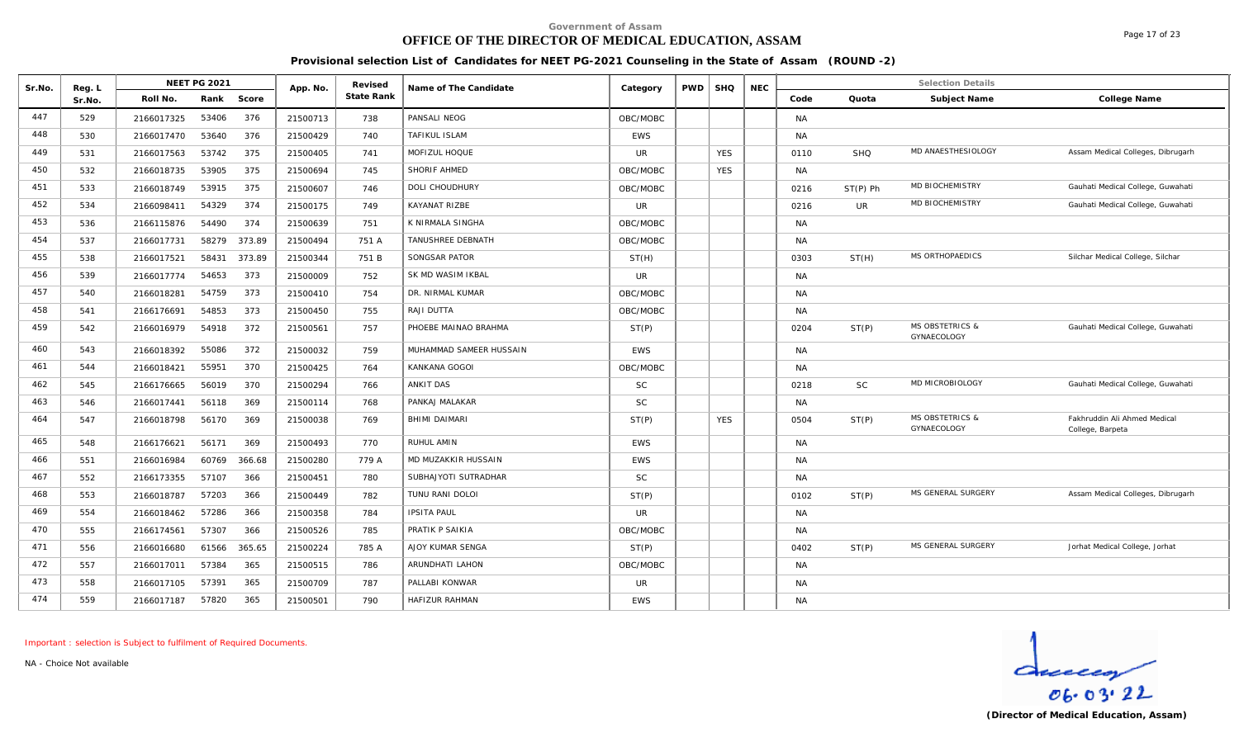# **OFFICE OF THE DIRECTOR OF MEDICAL EDUCATION, ASSAM**

Page 17 of 23

**Provisional selection List of Candidates for NEET PG-2021 Counseling in the State of Assam (ROUND -2)**

| Sr.No. | Reg. L | <b>NEET PG 2021</b>           | App. No. | Revised    | Name of The Candidate   | Category       | <b>PWD</b> | <b>SHQ</b> | <b>NEC</b> |           |            | <b>Selection Details</b>                  |                                                  |
|--------|--------|-------------------------------|----------|------------|-------------------------|----------------|------------|------------|------------|-----------|------------|-------------------------------------------|--------------------------------------------------|
|        | Sr.No. | Score<br>Roll No.<br>Rank     |          | State Rank |                         |                |            |            |            | Code      | Quota      | Subject Name                              | College Name                                     |
| 447    | 529    | 53406<br>376<br>2166017325    | 21500713 | 738        | PANSALI NEOG            | OBC/MOBC       |            |            |            | <b>NA</b> |            |                                           |                                                  |
| 448    | 530    | 376<br>53640<br>2166017470    | 21500429 | 740        | TAFIKUL ISLAM           | <b>EWS</b>     |            |            |            | <b>NA</b> |            |                                           |                                                  |
| 449    | 531    | 53742<br>375<br>2166017563    | 21500405 | 741        | MOFIZUL HOQUE           | <b>UR</b>      |            | <b>YES</b> |            | 0110      | <b>SHQ</b> | MD ANAESTHESIOLOGY                        | Assam Medical Colleges, Dibrugarh                |
| 450    | 532    | 53905<br>375<br>2166018735    | 21500694 | 745        | SHORIF AHMED            | OBC/MOBC       |            | <b>YES</b> |            | <b>NA</b> |            |                                           |                                                  |
| 451    | 533    | 375<br>53915<br>2166018749    | 21500607 | 746        | DOLI CHOUDHURY          | OBC/MOBC       |            |            |            | 0216      | $ST(P)$ Ph | MD BIOCHEMISTRY                           | Gauhati Medical College, Guwahati                |
| 452    | 534    | 54329<br>374<br>2166098411    | 21500175 | 749        | KAYANAT RIZBE           | <b>UR</b>      |            |            |            | 0216      | UR         | MD BIOCHEMISTRY                           | Gauhati Medical College, Guwahati                |
| 453    | 536    | 374<br>54490<br>2166115876    | 21500639 | 751        | K NIRMALA SINGHA        | OBC/MOBC       |            |            |            | <b>NA</b> |            |                                           |                                                  |
| 454    | 537    | 58279<br>373.89<br>2166017731 | 21500494 | 751 A      | TANUSHREE DEBNATH       | OBC/MOBC       |            |            |            | <b>NA</b> |            |                                           |                                                  |
| 455    | 538    | 2166017521<br>58431<br>373.89 | 21500344 | 751 B      | SONGSAR PATOR           | ST(H)          |            |            |            | 0303      | ST(H)      | <b>MS ORTHOPAEDICS</b>                    | Silchar Medical College, Silchar                 |
| 456    | 539    | 54653<br>373<br>2166017774    | 21500009 | 752        | SK MD WASIM IKBAL       | <b>UR</b>      |            |            |            | <b>NA</b> |            |                                           |                                                  |
| 457    | 540    | 54759<br>373<br>2166018281    | 21500410 | 754        | DR. NIRMAL KUMAR        | OBC/MOBC       |            |            |            | <b>NA</b> |            |                                           |                                                  |
| 458    | 541    | 54853<br>373<br>2166176691    | 21500450 | 755        | RAJI DUTTA              | OBC/MOBC       |            |            |            | <b>NA</b> |            |                                           |                                                  |
| 459    | 542    | 54918<br>372<br>2166016979    | 21500561 | 757        | PHOEBE MAINAO BRAHMA    | ST(P)          |            |            |            | 0204      | ST(P)      | <b>MS OBSTETRICS &amp;</b><br>GYNAECOLOGY | Gauhati Medical College, Guwahati                |
| 460    | 543    | 372<br>2166018392<br>55086    | 21500032 | 759        | MUHAMMAD SAMEER HUSSAIN | <b>EWS</b>     |            |            |            | <b>NA</b> |            |                                           |                                                  |
| 461    | 544    | 55951<br>370<br>2166018421    | 21500425 | 764        | KANKANA GOGOI           | OBC/MOBC       |            |            |            | <b>NA</b> |            |                                           |                                                  |
| 462    | 545    | 56019<br>370<br>2166176665    | 21500294 | 766        | <b>ANKIT DAS</b>        | <b>SC</b>      |            |            |            | 0218      | <b>SC</b>  | MD MICROBIOLOGY                           | Gauhati Medical College, Guwahati                |
| 463    | 546    | 2166017441<br>56118<br>369    | 21500114 | 768        | PANKAJ MALAKAR          | <b>SC</b>      |            |            |            | <b>NA</b> |            |                                           |                                                  |
| 464    | 547    | 56170<br>369<br>2166018798    | 21500038 | 769        | BHIMI DAIMARI           | ST(P)          |            | <b>YES</b> |            | 0504      | ST(P)      | <b>MS OBSTETRICS &amp;</b><br>GYNAECOLOGY | Fakhruddin Ali Ahmed Medical<br>College, Barpeta |
| 465    | 548    | 56171<br>369<br>2166176621    | 21500493 | 770        | RUHUL AMIN              | <b>EWS</b>     |            |            |            | <b>NA</b> |            |                                           |                                                  |
| 466    | 551    | 60769<br>366.68<br>2166016984 | 21500280 | 779 A      | MD MUZAKKIR HUSSAIN     | <b>EWS</b>     |            |            |            | <b>NA</b> |            |                                           |                                                  |
| 467    | 552    | 57107<br>366<br>2166173355    | 21500451 | 780        | SUBHAJYOTI SUTRADHAR    | <b>SC</b>      |            |            |            | <b>NA</b> |            |                                           |                                                  |
| 468    | 553    | 57203<br>366<br>2166018787    | 21500449 | 782        | TUNU RANI DOLOI         | ST(P)          |            |            |            | 0102      | ST(P)      | MS GENERAL SURGERY                        | Assam Medical Colleges, Dibrugarh                |
| 469    | 554    | 57286<br>366<br>2166018462    | 21500358 | 784        | <b>IPSITA PAUL</b>      | $_{\text{UR}}$ |            |            |            | <b>NA</b> |            |                                           |                                                  |
| 470    | 555    | 366<br>57307<br>2166174561    | 21500526 | 785        | PRATIK P SAIKIA         | OBC/MOBC       |            |            |            | <b>NA</b> |            |                                           |                                                  |
| 471    | 556    | 61566<br>365.65<br>2166016680 | 21500224 | 785 A      | AJOY KUMAR SENGA        | ST(P)          |            |            |            | 0402      | ST(P)      | MS GENERAL SURGERY                        | Jorhat Medical College, Jorhat                   |
| 472    | 557    | 365<br>57384<br>2166017011    | 21500515 | 786        | ARUNDHATI LAHON         | OBC/MOBC       |            |            |            | <b>NA</b> |            |                                           |                                                  |
| 473    | 558    | 365<br>57391<br>2166017105    | 21500709 | 787        | PALLABI KONWAR          | <b>UR</b>      |            |            |            | <b>NA</b> |            |                                           |                                                  |
| 474    | 559    | 365<br>57820<br>2166017187    | 21500501 | 790        | HAFIZUR RAHMAN          | <b>EWS</b>     |            |            |            | <b>NA</b> |            |                                           |                                                  |

*Important : selection is Subject to fulfilment of Required Documents.*

*NA - Choice Not available*

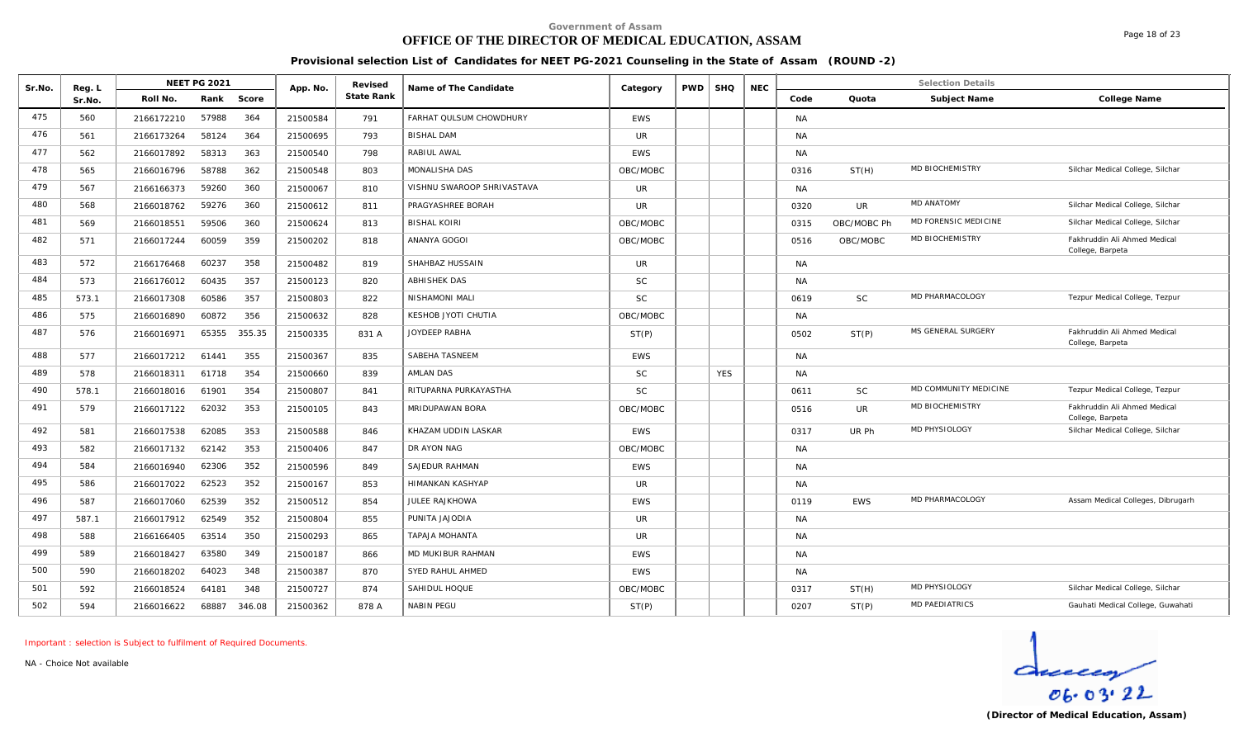# **OFFICE OF THE DIRECTOR OF MEDICAL EDUCATION, ASSAM**

**Provisional selection List of Candidates for NEET PG-2021 Counseling in the State of Assam (ROUND -2)**

| Sr.No. | Reg. L |            | NEET PG 2021 |        | App. No. | Revised    | Name of The Candidate      | Category     | <b>PWD</b> | <b>SHQ</b> | <b>NEC</b> |           |             | <b>Selection Details</b> |                                                  |
|--------|--------|------------|--------------|--------|----------|------------|----------------------------|--------------|------------|------------|------------|-----------|-------------|--------------------------|--------------------------------------------------|
|        | Sr.No. | Roll No.   | Rank         | Score  |          | State Rank |                            |              |            |            |            | Code      | Quota       | Subject Name             | College Name                                     |
| 475    | 560    | 2166172210 | 57988        | 364    | 21500584 | 791        | FARHAT QULSUM CHOWDHURY    | <b>EWS</b>   |            |            |            | <b>NA</b> |             |                          |                                                  |
| 476    | 561    | 2166173264 | 58124        | 364    | 21500695 | 793        | <b>BISHAL DAM</b>          | <b>UR</b>    |            |            |            | <b>NA</b> |             |                          |                                                  |
| 477    | 562    | 2166017892 | 58313        | 363    | 21500540 | 798        | RABIUL AWAL                | <b>EWS</b>   |            |            |            | <b>NA</b> |             |                          |                                                  |
| 478    | 565    | 2166016796 | 58788        | 362    | 21500548 | 803        | MONALISHA DAS              | OBC/MOBC     |            |            |            | 0316      | ST(H)       | MD BIOCHEMISTRY          | Silchar Medical College, Silchar                 |
| 479    | 567    | 2166166373 | 59260        | 360    | 21500067 | 810        | VISHNU SWAROOP SHRIVASTAVA | UR.          |            |            |            | <b>NA</b> |             |                          |                                                  |
| 480    | 568    | 2166018762 | 59276        | 360    | 21500612 | 811        | PRAGYASHREE BORAH          | <b>UR</b>    |            |            |            | 0320      | UR          | <b>MD ANATOMY</b>        | Silchar Medical College, Silchar                 |
| 481    | 569    | 2166018551 | 59506        | 360    | 21500624 | 813        | <b>BISHAL KOIRI</b>        | OBC/MOBC     |            |            |            | 0315      | OBC/MOBC Ph | MD FORENSIC MEDICINE     | Silchar Medical College, Silchar                 |
| 482    | 571    | 2166017244 | 60059        | 359    | 21500202 | 818        | ANANYA GOGOI               | OBC/MOBC     |            |            |            | 0516      | OBC/MOBC    | <b>MD BIOCHEMISTRY</b>   | Fakhruddin Ali Ahmed Medical<br>College, Barpeta |
| 483    | 572    | 2166176468 | 60237        | 358    | 21500482 | 819        | SHAHBAZ HUSSAIN            | <b>UR</b>    |            |            |            | <b>NA</b> |             |                          |                                                  |
| 484    | 573    | 2166176012 | 60435        | 357    | 21500123 | 820        | <b>ABHISHEK DAS</b>        | <b>SC</b>    |            |            |            | <b>NA</b> |             |                          |                                                  |
| 485    | 573.1  | 2166017308 | 60586        | 357    | 21500803 | 822        | NISHAMONI MALI             | SC           |            |            |            | 0619      | SC          | MD PHARMACOLOGY          | Tezpur Medical College, Tezpur                   |
| 486    | 575    | 2166016890 | 60872        | 356    | 21500632 | 828        | KESHOB JYOTI CHUTIA        | OBC/MOBC     |            |            |            | <b>NA</b> |             |                          |                                                  |
| 487    | 576    | 2166016971 | 65355        | 355.35 | 21500335 | 831 A      | JOYDEEP RABHA              | ST(P)        |            |            |            | 0502      | ST(P)       | MS GENERAL SURGERY       | Fakhruddin Ali Ahmed Medical<br>College, Barpeta |
| 488    | 577    | 2166017212 | 61441        | 355    | 21500367 | 835        | SABEHA TASNEEM             | <b>EWS</b>   |            |            |            | <b>NA</b> |             |                          |                                                  |
| 489    | 578    | 2166018311 | 61718        | 354    | 21500660 | 839        | <b>AMLAN DAS</b>           | <b>SC</b>    |            | <b>YES</b> |            | <b>NA</b> |             |                          |                                                  |
| 490    | 578.1  | 2166018016 | 61901        | 354    | 21500807 | 841        | RITUPARNA PURKAYASTHA      | <b>SC</b>    |            |            |            | 0611      | <b>SC</b>   | MD COMMUNITY MEDICINE    | Tezpur Medical College, Tezpur                   |
| 491    | 579    | 2166017122 | 62032        | 353    | 21500105 | 843        | <b>MRIDUPAWAN BORA</b>     | OBC/MOBC     |            |            |            | 0516      | UR          | <b>MD BIOCHEMISTRY</b>   | Fakhruddin Ali Ahmed Medical<br>College, Barpeta |
| 492    | 581    | 2166017538 | 62085        | 353    | 21500588 | 846        | KHAZAM UDDIN LASKAR        | <b>EWS</b>   |            |            |            | 0317      | UR Ph       | MD PHYSIOLOGY            | Silchar Medical College, Silchar                 |
| 493    | 582    | 2166017132 | 62142        | 353    | 21500406 | 847        | DR AYON NAG                | OBC/MOBC     |            |            |            | <b>NA</b> |             |                          |                                                  |
| 494    | 584    | 2166016940 | 62306        | 352    | 21500596 | 849        | SAJEDUR RAHMAN             | <b>EWS</b>   |            |            |            | <b>NA</b> |             |                          |                                                  |
| 495    | 586    | 2166017022 | 62523        | 352    | 21500167 | 853        | <b>HIMANKAN KASHYAP</b>    | <b>UR</b>    |            |            |            | <b>NA</b> |             |                          |                                                  |
| 496    | 587    | 2166017060 | 62539        | 352    | 21500512 | 854        | <b>JULEE RAJKHOWA</b>      | <b>EWS</b>   |            |            |            | 0119      | <b>EWS</b>  | MD PHARMACOLOGY          | Assam Medical Colleges, Dibrugarh                |
| 497    | 587.1  | 2166017912 | 62549        | 352    | 21500804 | 855        | PUNITA JAJODIA             | <b>UR</b>    |            |            |            | <b>NA</b> |             |                          |                                                  |
| 498    | 588    | 2166166405 | 63514        | 350    | 21500293 | 865        | TAPAJA MOHANTA             | $_{\rm{UR}}$ |            |            |            | <b>NA</b> |             |                          |                                                  |
| 499    | 589    | 2166018427 | 63580        | 349    | 21500187 | 866        | MD MUKIBUR RAHMAN          | <b>EWS</b>   |            |            |            | <b>NA</b> |             |                          |                                                  |
| 500    | 590    | 2166018202 | 64023        | 348    | 21500387 | 870        | SYED RAHUL AHMED           | <b>EWS</b>   |            |            |            | <b>NA</b> |             |                          |                                                  |
| 501    | 592    | 2166018524 | 64181        | 348    | 21500727 | 874        | SAHIDUL HOQUE              | OBC/MOBC     |            |            |            | 0317      | ST(H)       | MD PHYSIOLOGY            | Silchar Medical College, Silchar                 |
| 502    | 594    | 2166016622 | 68887        | 346.08 | 21500362 | 878 A      | <b>NABIN PEGU</b>          | ST(P)        |            |            |            | 0207      | ST(P)       | <b>MD PAEDIATRICS</b>    | Gauhati Medical College, Guwahati                |

*Important : selection is Subject to fulfilment of Required Documents.*

*NA - Choice Not available*

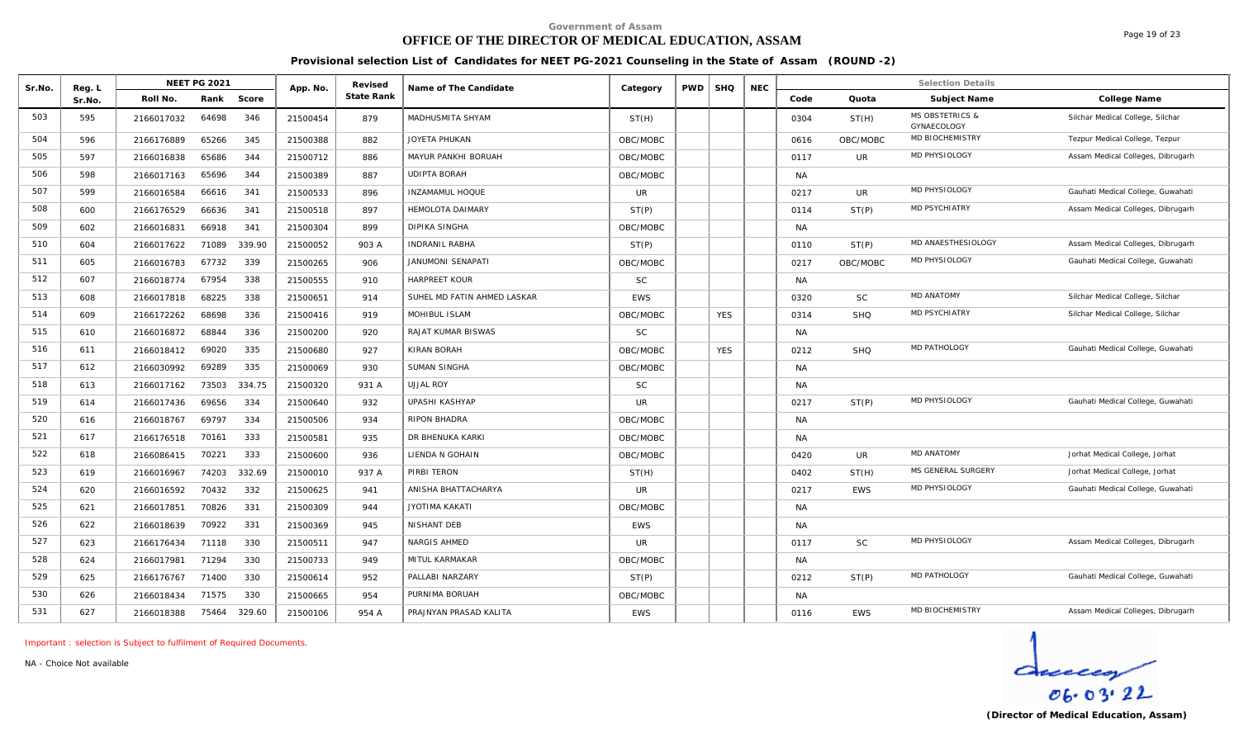# **OFFICE OF THE DIRECTOR OF MEDICAL EDUCATION, ASSAM**

Page 19 of 23

**Provisional selection List of Candidates for NEET PG-2021 Counseling in the State of Assam (ROUND -2)**

| Sr.No. | Reg. L |            | <b>NEET PG 2021</b> |        | App. No. | Revised    | Name of The Candidate       | Category   | <b>PWD</b> | <b>SHQ</b> | <b>NEC</b> |           |            | <b>Selection Details</b>                  |                                   |
|--------|--------|------------|---------------------|--------|----------|------------|-----------------------------|------------|------------|------------|------------|-----------|------------|-------------------------------------------|-----------------------------------|
|        | Sr.No. | Roll No.   | Rank                | Score  |          | State Rank |                             |            |            |            |            | Code      | Quota      | Subject Name                              | College Name                      |
| 503    | 595    | 2166017032 | 64698               | 346    | 21500454 | 879        | MADHUSMITA SHYAM            | ST(H)      |            |            |            | 0304      | ST(H)      | <b>MS OBSTETRICS &amp;</b><br>GYNAECOLOGY | Silchar Medical College, Silchar  |
| 504    | 596    | 2166176889 | 65266               | 345    | 21500388 | 882        | <b>JOYETA PHUKAN</b>        | OBC/MOBC   |            |            |            | 0616      | OBC/MOBC   | MD BIOCHEMISTRY                           | Tezpur Medical College, Tezpur    |
| 505    | 597    | 2166016838 | 65686               | 344    | 21500712 | 886        | MAYUR PANKHI BORUAH         | OBC/MOBC   |            |            |            | 0117      | <b>UR</b>  | MD PHYSIOLOGY                             | Assam Medical Colleges, Dibrugarh |
| 506    | 598    | 2166017163 | 65696               | 344    | 21500389 | 887        | <b>UDIPTA BORAH</b>         | OBC/MOBC   |            |            |            | <b>NA</b> |            |                                           |                                   |
| 507    | 599    | 2166016584 | 66616               | 341    | 21500533 | 896        | <b>INZAMAMUL HOQUE</b>      | UR         |            |            |            | 0217      | UR         | MD PHYSIOLOGY                             | Gauhati Medical College, Guwahati |
| 508    | 600    | 2166176529 | 66636               | 341    | 21500518 | 897        | <b>HEMOLOTA DAIMARY</b>     | ST(P)      |            |            |            | 0114      | ST(P)      | <b>MD PSYCHIATRY</b>                      | Assam Medical Colleges, Dibrugarh |
| 509    | 602    | 2166016831 | 66918               | 341    | 21500304 | 899        | <b>DIPIKA SINGHA</b>        | OBC/MOBC   |            |            |            | <b>NA</b> |            |                                           |                                   |
| 510    | 604    | 2166017622 | 71089               | 339.90 | 21500052 | 903 A      | INDRANIL RABHA              | ST(P)      |            |            |            | 0110      | ST(P)      | MD ANAESTHESIOLOGY                        | Assam Medical Colleges, Dibrugarh |
| 511    | 605    | 2166016783 | 67732               | 339    | 21500265 | 906        | JANUMONI SENAPATI           | OBC/MOBC   |            |            |            | 0217      | OBC/MOBC   | MD PHYSIOLOGY                             | Gauhati Medical College, Guwahati |
| 512    | 607    | 2166018774 | 67954               | 338    | 21500555 | 910        | <b>HARPREET KOUR</b>        | <b>SC</b>  |            |            |            | <b>NA</b> |            |                                           |                                   |
| 513    | 608    | 2166017818 | 68225               | 338    | 21500651 | 914        | SUHEL MD FATIN AHMED LASKAR | <b>EWS</b> |            |            |            | 0320      | <b>SC</b>  | <b>MD ANATOMY</b>                         | Silchar Medical College, Silchar  |
| 514    | 609    | 2166172262 | 68698               | 336    | 21500416 | 919        | MOHIBUL ISLAM               | OBC/MOBC   |            | <b>YES</b> |            | 0314      | <b>SHQ</b> | <b>MD PSYCHIATRY</b>                      | Silchar Medical College, Silchar  |
| 515    | 610    | 2166016872 | 68844               | 336    | 21500200 | 920        | RAJAT KUMAR BISWAS          | <b>SC</b>  |            |            |            | NA        |            |                                           |                                   |
| 516    | 611    | 2166018412 | 69020               | 335    | 21500680 | 927        | KIRAN BORAH                 | OBC/MOBC   |            | <b>YES</b> |            | 0212      | <b>SHQ</b> | MD PATHOLOGY                              | Gauhati Medical College, Guwahati |
| 517    | 612    | 2166030992 | 69289               | 335    | 21500069 | 930        | <b>SUMAN SINGHA</b>         | OBC/MOBC   |            |            |            | <b>NA</b> |            |                                           |                                   |
| 518    | 613    | 2166017162 | 73503               | 334.75 | 21500320 | 931 A      | <b>UJJAL ROY</b>            | <b>SC</b>  |            |            |            | <b>NA</b> |            |                                           |                                   |
| 519    | 614    | 2166017436 | 69656               | 334    | 21500640 | 932        | UPASHI KASHYAP              | <b>UR</b>  |            |            |            | 0217      | ST(P)      | MD PHYSIOLOGY                             | Gauhati Medical College, Guwahati |
| 520    | 616    | 2166018767 | 69797               | 334    | 21500506 | 934        | <b>RIPON BHADRA</b>         | OBC/MOBC   |            |            |            | <b>NA</b> |            |                                           |                                   |
| 521    | 617    | 2166176518 | 70161               | 333    | 21500581 | 935        | DR BHENUKA KARKI            | OBC/MOBC   |            |            |            | <b>NA</b> |            |                                           |                                   |
| 522    | 618    | 2166086415 | 70221               | 333    | 21500600 | 936        | LIENDA N GOHAIN             | OBC/MOBC   |            |            |            | 0420      | UR         | <b>MD ANATOMY</b>                         | Jorhat Medical College, Jorhat    |
| 523    | 619    | 2166016967 | 74203               | 332.69 | 21500010 | 937 A      | PIRBI TERON                 | ST(H)      |            |            |            | 0402      | ST(H)      | MS GENERAL SURGERY                        | Jorhat Medical College, Jorhat    |
| 524    | 620    | 2166016592 | 70432               | 332    | 21500625 | 941        | ANISHA BHATTACHARYA         | <b>UR</b>  |            |            |            | 0217      | <b>EWS</b> | MD PHYSIOLOGY                             | Gauhati Medical College, Guwahati |
| 525    | 621    | 2166017851 | 70826               | 331    | 21500309 | 944        | <b>JYOTIMA KAKATI</b>       | OBC/MOBC   |            |            |            | <b>NA</b> |            |                                           |                                   |
| 526    | 622    | 2166018639 | 70922               | 331    | 21500369 | 945        | NISHANT DEB                 | EWS        |            |            |            | <b>NA</b> |            |                                           |                                   |
| 527    | 623    | 2166176434 | 71118               | 330    | 21500511 | 947        | NARGIS AHMED                | UR         |            |            |            | 0117      | <b>SC</b>  | MD PHYSIOLOGY                             | Assam Medical Colleges, Dibrugarh |
| 528    | 624    | 2166017981 | 71294               | 330    | 21500733 | 949        | MITUL KARMAKAR              | OBC/MOBC   |            |            |            | <b>NA</b> |            |                                           |                                   |
| 529    | 625    | 2166176767 | 71400               | 330    | 21500614 | 952        | PALLABI NARZARY             | ST(P)      |            |            |            | 0212      | ST(P)      | MD PATHOLOGY                              | Gauhati Medical College, Guwahati |
| 530    | 626    | 2166018434 | 71575               | 330    | 21500665 | 954        | PURNIMA BORUAH              | OBC/MOBC   |            |            |            | <b>NA</b> |            |                                           |                                   |
| 531    | 627    | 2166018388 | 75464               | 329.60 | 21500106 | 954 A      | PRAJNYAN PRASAD KALITA      | <b>EWS</b> |            |            |            | 0116      | <b>EWS</b> | <b>MD BIOCHEMISTRY</b>                    | Assam Medical Colleges, Dibrugarh |

*Important : selection is Subject to fulfilment of Required Documents.*

*NA - Choice Not available*

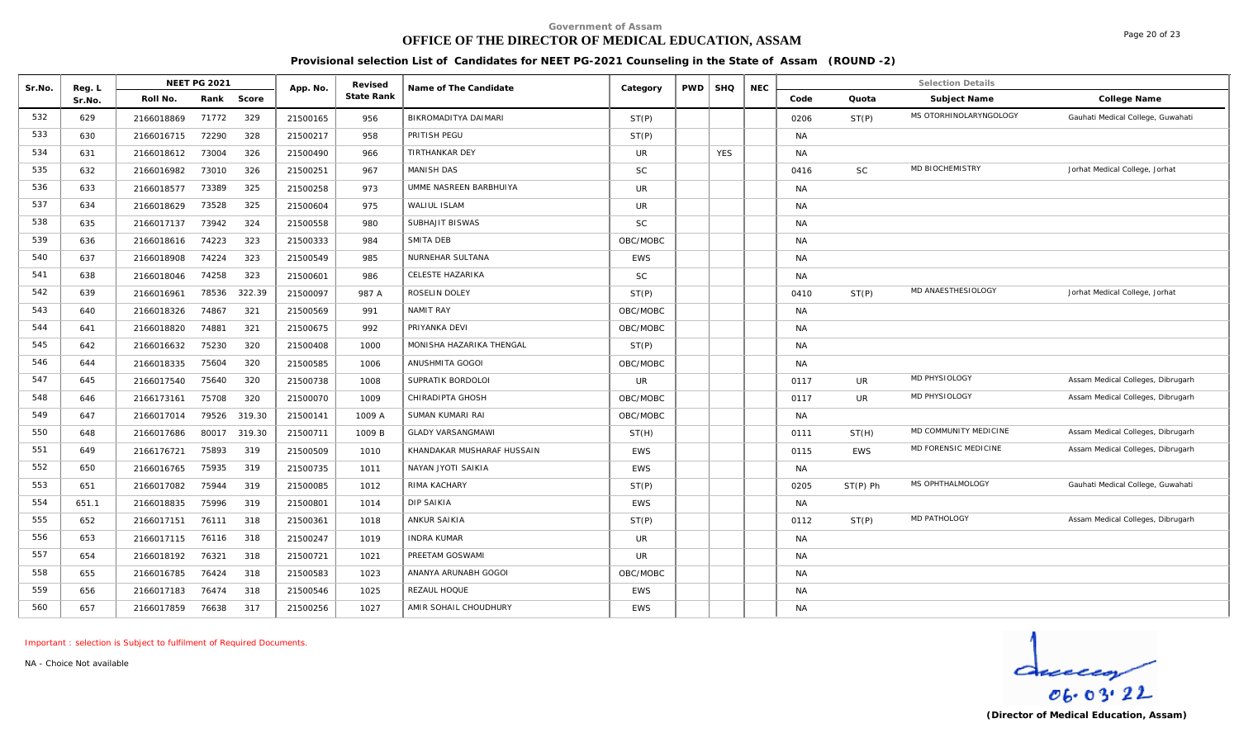# **OFFICE OF THE DIRECTOR OF MEDICAL EDUCATION, ASSAM**

Page 20 of 23

**Provisional selection List of Candidates for NEET PG-2021 Counseling in the State of Assam (ROUND -2)**

|        |                  |            | <b>NEET PG 2021</b> |        |          | Revised    |                            |            |            |            |            |           |            | <b>Selection Details</b> |                                   |
|--------|------------------|------------|---------------------|--------|----------|------------|----------------------------|------------|------------|------------|------------|-----------|------------|--------------------------|-----------------------------------|
| Sr.No. | Reg. L<br>Sr.No. | Roll No.   | Rank                | Score  | App. No. | State Rank | Name of The Candidate      | Category   | <b>PWD</b> | <b>SHQ</b> | <b>NEC</b> | Code      | Quota      | Subject Name             | College Name                      |
| 532    | 629              | 2166018869 | 71772               | 329    | 21500165 | 956        | BIKROMADITYA DAIMARI       | ST(P)      |            |            |            | 0206      | ST(P)      | MS OTORHINOLARYNGOLOGY   | Gauhati Medical College, Guwahati |
| 533    | 630              | 2166016715 | 72290               | 328    | 21500217 | 958        | PRITISH PEGU               | ST(P)      |            |            |            | <b>NA</b> |            |                          |                                   |
| 534    | 631              | 2166018612 | 73004               | 326    | 21500490 | 966        | <b>TIRTHANKAR DEY</b>      | <b>UR</b>  |            | <b>YES</b> |            | <b>NA</b> |            |                          |                                   |
| 535    | 632              | 2166016982 | 73010               | 326    | 21500251 | 967        | <b>MANISH DAS</b>          | <b>SC</b>  |            |            |            | 0416      | <b>SC</b>  | MD BIOCHEMISTRY          | Jorhat Medical College, Jorhat    |
| 536    | 633              | 2166018577 | 73389               | 325    | 21500258 | 973        | UMME NASREEN BARBHUIYA     | <b>UR</b>  |            |            |            | <b>NA</b> |            |                          |                                   |
| 537    | 634              | 2166018629 | 73528               | 325    | 21500604 | 975        | WALIUL ISLAM               | UR         |            |            |            | <b>NA</b> |            |                          |                                   |
| 538    | 635              | 2166017137 | 73942               | 324    | 21500558 | 980        | SUBHAJIT BISWAS            | <b>SC</b>  |            |            |            | <b>NA</b> |            |                          |                                   |
| 539    | 636              | 2166018616 | 74223               | 323    | 21500333 | 984        | SMITA DEB                  | OBC/MOBC   |            |            |            | <b>NA</b> |            |                          |                                   |
| 540    | 637              | 2166018908 | 74224               | 323    | 21500549 | 985        | NURNEHAR SULTANA           | <b>EWS</b> |            |            |            | <b>NA</b> |            |                          |                                   |
| 541    | 638              | 2166018046 | 74258               | 323    | 21500601 | 986        | CELESTE HAZARIKA           | <b>SC</b>  |            |            |            | <b>NA</b> |            |                          |                                   |
| 542    | 639              | 2166016961 | 78536               | 322.39 | 21500097 | 987 A      | ROSELIN DOLEY              | ST(P)      |            |            |            | 0410      | ST(P)      | MD ANAESTHESIOLOGY       | Jorhat Medical College, Jorhat    |
| 543    | 640              | 2166018326 | 74867               | 321    | 21500569 | 991        | NAMIT RAY                  | OBC/MOBC   |            |            |            | <b>NA</b> |            |                          |                                   |
| 544    | 641              | 2166018820 | 74881               | 321    | 21500675 | 992        | PRIYANKA DEVI              | OBC/MOBC   |            |            |            | <b>NA</b> |            |                          |                                   |
| 545    | 642              | 2166016632 | 75230               | 320    | 21500408 | 1000       | MONISHA HAZARIKA THENGAL   | ST(P)      |            |            |            | <b>NA</b> |            |                          |                                   |
| 546    | 644              | 2166018335 | 75604               | 320    | 21500585 | 1006       | ANUSHMITA GOGOI            | OBC/MOBC   |            |            |            | <b>NA</b> |            |                          |                                   |
| 547    | 645              | 2166017540 | 75640               | 320    | 21500738 | 1008       | SUPRATIK BORDOLOI          | <b>UR</b>  |            |            |            | 0117      | UR         | MD PHYSIOLOGY            | Assam Medical Colleges, Dibrugarh |
| 548    | 646              | 2166173161 | 75708               | 320    | 21500070 | 1009       | CHIRADIPTA GHOSH           | OBC/MOBC   |            |            |            | 0117      | UR         | MD PHYSIOLOGY            | Assam Medical Colleges, Dibrugarh |
| 549    | 647              | 2166017014 | 79526               | 319.30 | 21500141 | 1009 A     | SUMAN KUMARI RAI           | OBC/MOBC   |            |            |            | <b>NA</b> |            |                          |                                   |
| 550    | 648              | 2166017686 | 80017               | 319.30 | 21500711 | 1009 B     | <b>GLADY VARSANGMAWI</b>   | ST(H)      |            |            |            | 0111      | ST(H)      | MD COMMUNITY MEDICINE    | Assam Medical Colleges, Dibrugarh |
| 551    | 649              | 2166176721 | 75893               | 319    | 21500509 | 1010       | KHANDAKAR MUSHARAF HUSSAIN | <b>EWS</b> |            |            |            | 0115      | <b>EWS</b> | MD FORENSIC MEDICINE     | Assam Medical Colleges, Dibrugarh |
| 552    | 650              | 2166016765 | 75935               | 319    | 21500735 | 1011       | NAYAN JYOTI SAIKIA         | <b>EWS</b> |            |            |            | <b>NA</b> |            |                          |                                   |
| 553    | 651              | 2166017082 | 75944               | 319    | 21500085 | 1012       | RIMA KACHARY               | ST(P)      |            |            |            | 0205      | $ST(P)$ Ph | MS OPHTHALMOLOGY         | Gauhati Medical College, Guwahati |
| 554    | 651.1            | 2166018835 | 75996               | 319    | 21500801 | 1014       | DIP SAIKIA                 | <b>EWS</b> |            |            |            | <b>NA</b> |            |                          |                                   |
| 555    | 652              | 2166017151 | 76111               | 318    | 21500361 | 1018       | ANKUR SAIKIA               | ST(P)      |            |            |            | 0112      | ST(P)      | MD PATHOLOGY             | Assam Medical Colleges, Dibrugarh |
| 556    | 653              | 2166017115 | 76116               | 318    | 21500247 | 1019       | <b>INDRA KUMAR</b>         | UR         |            |            |            | NA        |            |                          |                                   |
| 557    | 654              | 2166018192 | 76321               | 318    | 21500721 | 1021       | PREETAM GOSWAMI            | <b>UR</b>  |            |            |            | <b>NA</b> |            |                          |                                   |
| 558    | 655              | 2166016785 | 76424               | 318    | 21500583 | 1023       | ANANYA ARUNABH GOGOI       | OBC/MOBC   |            |            |            | <b>NA</b> |            |                          |                                   |
| 559    | 656              | 2166017183 | 76474               | 318    | 21500546 | 1025       | REZAUL HOQUE               | <b>EWS</b> |            |            |            | <b>NA</b> |            |                          |                                   |
| 560    | 657              | 2166017859 | 76638               | 317    | 21500256 | 1027       | AMIR SOHAIL CHOUDHURY      | <b>EWS</b> |            |            |            | <b>NA</b> |            |                          |                                   |

*Important : selection is Subject to fulfilment of Required Documents.*

*NA - Choice Not available*

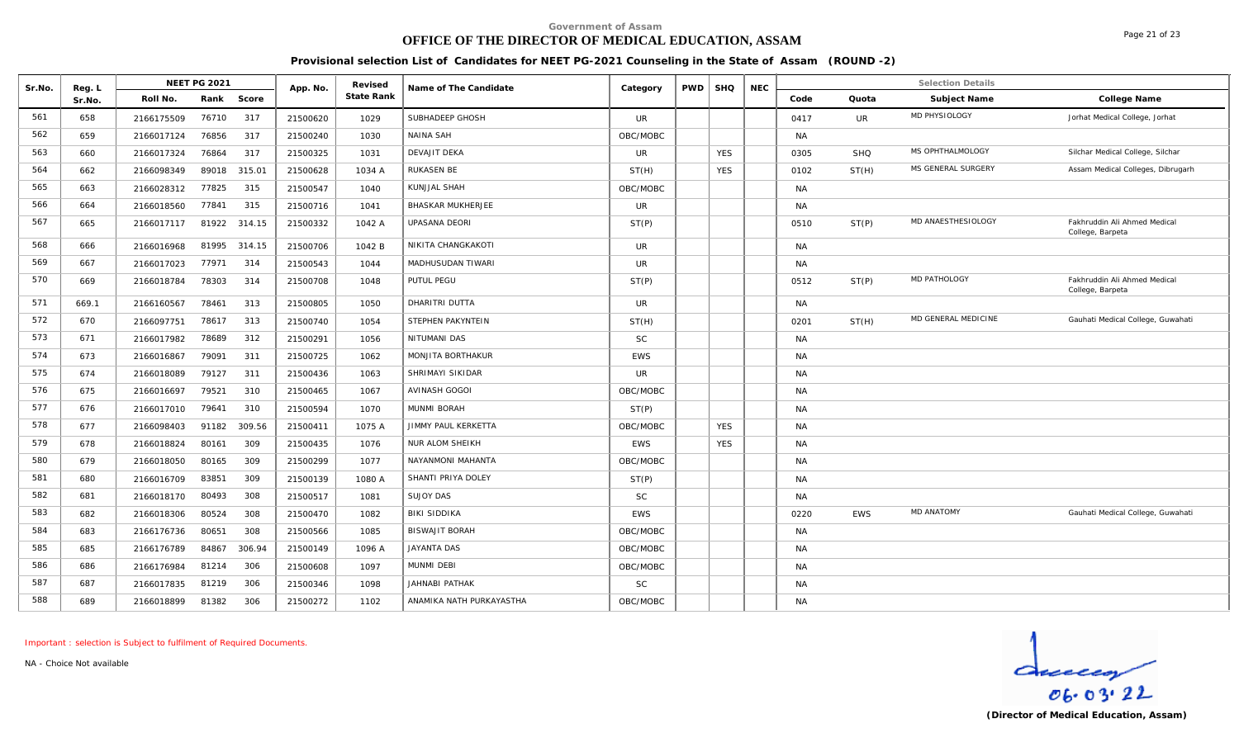### **OFFICE OF THE DIRECTOR OF MEDICAL EDUCATION, ASSAM**

**Provisional selection List of Candidates for NEET PG-2021 Counseling in the State of Assam (ROUND -2)**

| Sr.No. | Reg. L |            | <b>NEET PG 2021</b> |        | App. No. | Revised    | Name of The Candidate      | Category   | <b>PWD</b> | <b>SHQ</b> | <b>NEC</b> |           |            | <b>Selection Details</b> |                                                  |
|--------|--------|------------|---------------------|--------|----------|------------|----------------------------|------------|------------|------------|------------|-----------|------------|--------------------------|--------------------------------------------------|
|        | Sr.No. | Roll No.   | Rank                | Score  |          | State Rank |                            |            |            |            |            | Code      | Quota      | Subject Name             | College Name                                     |
| 561    | 658    | 2166175509 | 76710               | 317    | 21500620 | 1029       | SUBHADEEP GHOSH            | UR         |            |            |            | 0417      | UR         | MD PHYSIOLOGY            | Jorhat Medical College, Jorhat                   |
| 562    | 659    | 2166017124 | 76856               | 317    | 21500240 | 1030       | <b>NAINA SAH</b>           | OBC/MOBC   |            |            |            | <b>NA</b> |            |                          |                                                  |
| 563    | 660    | 2166017324 | 76864               | 317    | 21500325 | 1031       | <b>DEVAJIT DEKA</b>        | <b>UR</b>  |            | <b>YES</b> |            | 0305      | SHQ        | MS OPHTHALMOLOGY         | Silchar Medical College, Silchar                 |
| 564    | 662    | 2166098349 | 89018               | 315.01 | 21500628 | 1034 A     | <b>RUKASEN BE</b>          | ST(H)      |            | <b>YES</b> |            | 0102      | ST(H)      | MS GENERAL SURGERY       | Assam Medical Colleges, Dibrugarh                |
| 565    | 663    | 2166028312 | 77825               | 315    | 21500547 | 1040       | KUNJJAL SHAH               | OBC/MOBC   |            |            |            | <b>NA</b> |            |                          |                                                  |
| 566    | 664    | 2166018560 | 77841               | 315    | 21500716 | 1041       | <b>BHASKAR MUKHERJEE</b>   | <b>UR</b>  |            |            |            | <b>NA</b> |            |                          |                                                  |
| 567    | 665    | 2166017117 | 81922 314.15        |        | 21500332 | 1042 A     | <b>UPASANA DEORI</b>       | ST(P)      |            |            |            | 0510      | ST(P)      | MD ANAESTHESIOLOGY       | Fakhruddin Ali Ahmed Medical<br>College, Barpeta |
| 568    | 666    | 2166016968 | 81995 314.15        |        | 21500706 | 1042 B     | NIKITA CHANGKAKOTI         | <b>UR</b>  |            |            |            | <b>NA</b> |            |                          |                                                  |
| 569    | 667    | 2166017023 | 77971               | 314    | 21500543 | 1044       | MADHUSUDAN TIWARI          | <b>UR</b>  |            |            |            | <b>NA</b> |            |                          |                                                  |
| 570    | 669    | 2166018784 | 78303               | 314    | 21500708 | 1048       | PUTUL PEGU                 | ST(P)      |            |            |            | 0512      | ST(P)      | MD PATHOLOGY             | Fakhruddin Ali Ahmed Medical<br>College, Barpeta |
| 571    | 669.1  | 2166160567 | 78461               | 313    | 21500805 | 1050       | DHARITRI DUTTA             | UR         |            |            |            | <b>NA</b> |            |                          |                                                  |
| 572    | 670    | 2166097751 | 78617               | 313    | 21500740 | 1054       | STEPHEN PAKYNTEIN          | ST(H)      |            |            |            | 0201      | ST(H)      | MD GENERAL MEDICINE      | Gauhati Medical College, Guwahati                |
| 573    | 671    | 2166017982 | 78689               | 312    | 21500291 | 1056       | NITUMANI DAS               | <b>SC</b>  |            |            |            | <b>NA</b> |            |                          |                                                  |
| 574    | 673    | 2166016867 | 79091               | 311    | 21500725 | 1062       | MONJITA BORTHAKUR          | <b>EWS</b> |            |            |            | <b>NA</b> |            |                          |                                                  |
| 575    | 674    | 2166018089 | 79127               | 311    | 21500436 | 1063       | SHRIMAYI SIKIDAR           | <b>UR</b>  |            |            |            | <b>NA</b> |            |                          |                                                  |
| 576    | 675    | 2166016697 | 79521               | 310    | 21500465 | 1067       | <b>AVINASH GOGOI</b>       | OBC/MOBC   |            |            |            | <b>NA</b> |            |                          |                                                  |
| 577    | 676    | 2166017010 | 79641               | 310    | 21500594 | 1070       | MUNMI BORAH                | ST(P)      |            |            |            | <b>NA</b> |            |                          |                                                  |
| 578    | 677    | 2166098403 | 91182               | 309.56 | 21500411 | 1075 A     | <b>JIMMY PAUL KERKETTA</b> | OBC/MOBC   |            | <b>YES</b> |            | <b>NA</b> |            |                          |                                                  |
| 579    | 678    | 2166018824 | 80161               | 309    | 21500435 | 1076       | NUR ALOM SHEIKH            | <b>EWS</b> |            | <b>YES</b> |            | <b>NA</b> |            |                          |                                                  |
| 580    | 679    | 2166018050 | 80165               | 309    | 21500299 | 1077       | NAYANMONI MAHANTA          | OBC/MOBC   |            |            |            | <b>NA</b> |            |                          |                                                  |
| 581    | 680    | 2166016709 | 83851               | 309    | 21500139 | 1080 A     | SHANTI PRIYA DOLEY         | ST(P)      |            |            |            | <b>NA</b> |            |                          |                                                  |
| 582    | 681    | 2166018170 | 80493               | 308    | 21500517 | 1081       | <b>SUJOY DAS</b>           | <b>SC</b>  |            |            |            | <b>NA</b> |            |                          |                                                  |
| 583    | 682    | 2166018306 | 80524               | 308    | 21500470 | 1082       | <b>BIKI SIDDIKA</b>        | <b>EWS</b> |            |            |            | 0220      | <b>EWS</b> | <b>MD ANATOMY</b>        | Gauhati Medical College, Guwahati                |
| 584    | 683    | 2166176736 | 80651               | 308    | 21500566 | 1085       | <b>BISWAJIT BORAH</b>      | OBC/MOBC   |            |            |            | <b>NA</b> |            |                          |                                                  |
| 585    | 685    | 2166176789 | 84867               | 306.94 | 21500149 | 1096 A     | <b>JAYANTA DAS</b>         | OBC/MOBC   |            |            |            | NA        |            |                          |                                                  |
| 586    | 686    | 2166176984 | 81214               | 306    | 21500608 | 1097       | MUNMI DEBI                 | OBC/MOBC   |            |            |            | <b>NA</b> |            |                          |                                                  |
| 587    | 687    | 2166017835 | 81219               | 306    | 21500346 | 1098       | JAHNABI PATHAK             | <b>SC</b>  |            |            |            | NA        |            |                          |                                                  |
| 588    | 689    | 2166018899 | 81382               | 306    | 21500272 | 1102       | ANAMIKA NATH PURKAYASTHA   | OBC/MOBC   |            |            |            | <b>NA</b> |            |                          |                                                  |

*Important : selection is Subject to fulfilment of Required Documents.*

*NA - Choice Not available*

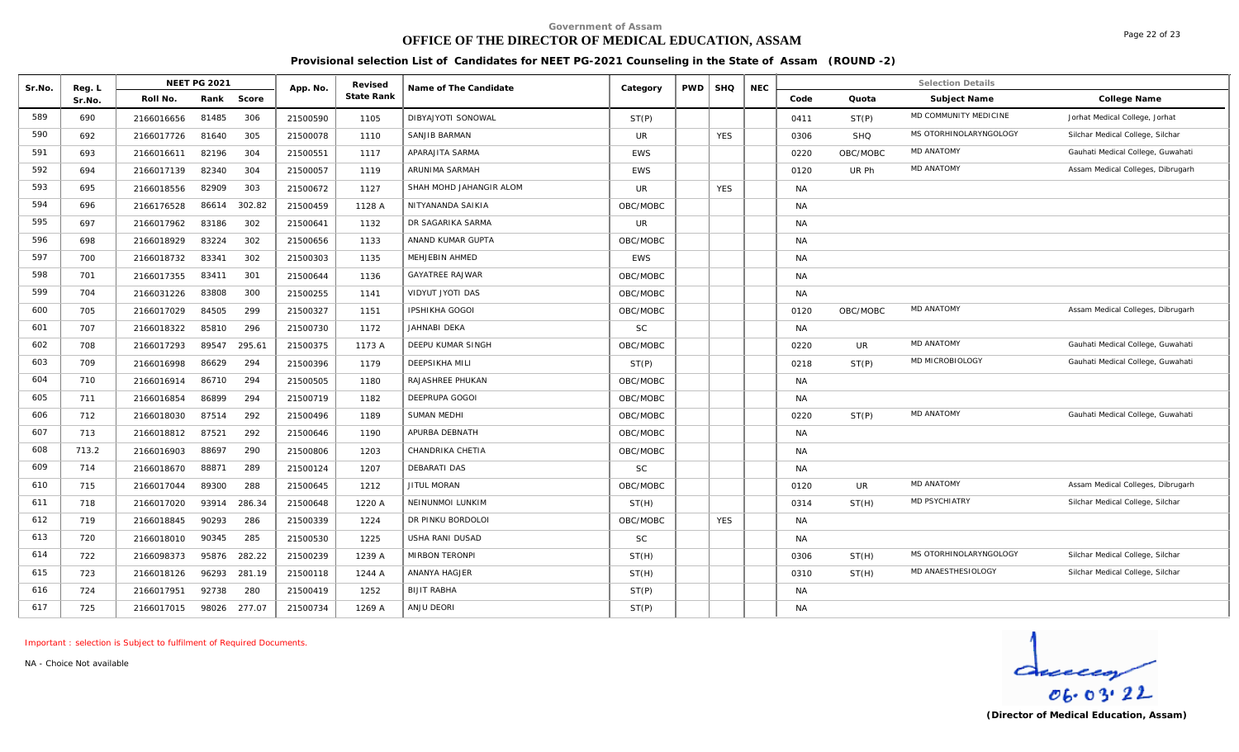# **OFFICE OF THE DIRECTOR OF MEDICAL EDUCATION, ASSAM**

Page 22 of 23

**Provisional selection List of Candidates for NEET PG-2021 Counseling in the State of Assam (ROUND -2)**

| Sr.No. | Reg. L |            | NEET PG 2021 |        | App. No. | Revised    | Name of The Candidate   | Category   | <b>PWD</b> | <b>SHQ</b> | <b>NEC</b> |           |            | <b>Selection Details</b> |                                   |
|--------|--------|------------|--------------|--------|----------|------------|-------------------------|------------|------------|------------|------------|-----------|------------|--------------------------|-----------------------------------|
|        | Sr.No. | Roll No.   | Rank         | Score  |          | State Rank |                         |            |            |            |            | Code      | Quota      | Subject Name             | College Name                      |
| 589    | 690    | 2166016656 | 81485        | 306    | 21500590 | 1105       | DIBYAJYOTI SONOWAL      | ST(P)      |            |            |            | 0411      | ST(P)      | MD COMMUNITY MEDICINE    | Jorhat Medical College, Jorhat    |
| 590    | 692    | 2166017726 | 81640        | 305    | 21500078 | 1110       | SANJIB BARMAN           | UR         |            | <b>YES</b> |            | 0306      | <b>SHO</b> | MS OTORHINOLARYNGOLOGY   | Silchar Medical College, Silchar  |
| 591    | 693    | 2166016611 | 82196        | 304    | 21500551 | 1117       | APARAJITA SARMA         | <b>EWS</b> |            |            |            | 0220      | OBC/MOBC   | <b>MD ANATOMY</b>        | Gauhati Medical College, Guwahati |
| 592    | 694    | 2166017139 | 82340        | 304    | 21500057 | 1119       | ARUNIMA SARMAH          | <b>EWS</b> |            |            |            | 0120      | UR Ph      | <b>MD ANATOMY</b>        | Assam Medical Colleges, Dibrugarh |
| 593    | 695    | 2166018556 | 82909        | 303    | 21500672 | 1127       | SHAH MOHD JAHANGIR ALOM | <b>UR</b>  |            | <b>YES</b> |            | <b>NA</b> |            |                          |                                   |
| 594    | 696    | 2166176528 | 86614        | 302.82 | 21500459 | 1128 A     | NITYANANDA SAIKIA       | OBC/MOBC   |            |            |            | <b>NA</b> |            |                          |                                   |
| 595    | 697    | 2166017962 | 83186        | 302    | 21500641 | 1132       | DR SAGARIKA SARMA       | <b>UR</b>  |            |            |            | <b>NA</b> |            |                          |                                   |
| 596    | 698    | 2166018929 | 83224        | 302    | 21500656 | 1133       | ANAND KUMAR GUPTA       | OBC/MOBC   |            |            |            | <b>NA</b> |            |                          |                                   |
| 597    | 700    | 2166018732 | 83341        | 302    | 21500303 | 1135       | MEHJEBIN AHMED          | <b>EWS</b> |            |            |            | <b>NA</b> |            |                          |                                   |
| 598    | 701    | 2166017355 | 83411        | 301    | 21500644 | 1136       | <b>GAYATREE RAJWAR</b>  | OBC/MOBC   |            |            |            | <b>NA</b> |            |                          |                                   |
| 599    | 704    | 2166031226 | 83808        | 300    | 21500255 | 1141       | VIDYUT JYOTI DAS        | OBC/MOBC   |            |            |            | <b>NA</b> |            |                          |                                   |
| 600    | 705    | 2166017029 | 84505        | 299    | 21500327 | 1151       | <b>IPSHIKHA GOGOI</b>   | OBC/MOBC   |            |            |            | 0120      | OBC/MOBC   | <b>MD ANATOMY</b>        | Assam Medical Colleges, Dibrugarh |
| 601    | 707    | 2166018322 | 85810        | 296    | 21500730 | 1172       | JAHNABI DEKA            | SC         |            |            |            | <b>NA</b> |            |                          |                                   |
| 602    | 708    | 2166017293 | 89547        | 295.61 | 21500375 | 1173 A     | DEEPU KUMAR SINGH       | OBC/MOBC   |            |            |            | 0220      | <b>UR</b>  | <b>MD ANATOMY</b>        | Gauhati Medical College, Guwahati |
| 603    | 709    | 2166016998 | 86629        | 294    | 21500396 | 1179       | <b>DEEPSIKHA MILI</b>   | ST(P)      |            |            |            | 0218      | ST(P)      | MD MICROBIOLOGY          | Gauhati Medical College, Guwahati |
| 604    | 710    | 2166016914 | 86710        | 294    | 21500505 | 1180       | RAJASHREE PHUKAN        | OBC/MOBC   |            |            |            | <b>NA</b> |            |                          |                                   |
| 605    | 711    | 2166016854 | 86899        | 294    | 21500719 | 1182       | DEEPRUPA GOGOI          | OBC/MOBC   |            |            |            | <b>NA</b> |            |                          |                                   |
| 606    | 712    | 2166018030 | 87514        | 292    | 21500496 | 1189       | <b>SUMAN MEDHI</b>      | OBC/MOBC   |            |            |            | 0220      | ST(P)      | <b>MD ANATOMY</b>        | Gauhati Medical College, Guwahati |
| 607    | 713    | 2166018812 | 87521        | 292    | 21500646 | 1190       | APURBA DEBNATH          | OBC/MOBC   |            |            |            | <b>NA</b> |            |                          |                                   |
| 608    | 713.2  | 2166016903 | 88697        | 290    | 21500806 | 1203       | CHANDRIKA CHETIA        | OBC/MOBC   |            |            |            | <b>NA</b> |            |                          |                                   |
| 609    | 714    | 2166018670 | 88871        | 289    | 21500124 | 1207       | <b>DEBARATI DAS</b>     | SC         |            |            |            | <b>NA</b> |            |                          |                                   |
| 610    | 715    | 2166017044 | 89300        | 288    | 21500645 | 1212       | JITUL MORAN             | OBC/MOBC   |            |            |            | 0120      | <b>UR</b>  | <b>MD ANATOMY</b>        | Assam Medical Colleges, Dibrugarh |
| 611    | 718    | 2166017020 | 93914        | 286.34 | 21500648 | 1220 A     | NEINUNMOI LUNKIM        | ST(H)      |            |            |            | 0314      | ST(H)      | MD PSYCHIATRY            | Silchar Medical College, Silchar  |
| 612    | 719    | 2166018845 | 90293        | 286    | 21500339 | 1224       | DR PINKU BORDOLOI       | OBC/MOBC   |            | <b>YES</b> |            | <b>NA</b> |            |                          |                                   |
| 613    | 720    | 2166018010 | 90345        | 285    | 21500530 | 1225       | USHA RANI DUSAD         | <b>SC</b>  |            |            |            | <b>NA</b> |            |                          |                                   |
| 614    | 722    | 2166098373 | 95876        | 282.22 | 21500239 | 1239 A     | <b>MIRBON TERONPI</b>   | ST(H)      |            |            |            | 0306      | ST(H)      | MS OTORHINOLARYNGOLOGY   | Silchar Medical College, Silchar  |
| 615    | 723    | 2166018126 | 96293        | 281.19 | 21500118 | 1244 A     | ANANYA HAGJER           | ST(H)      |            |            |            | 0310      | ST(H)      | MD ANAESTHESIOLOGY       | Silchar Medical College, Silchar  |
| 616    | 724    | 2166017951 | 92738        | 280    | 21500419 | 1252       | <b>BIJIT RABHA</b>      | ST(P)      |            |            |            | <b>NA</b> |            |                          |                                   |
| 617    | 725    | 2166017015 | 98026        | 277.07 | 21500734 | 1269 A     | ANJU DEORI              | ST(P)      |            |            |            | <b>NA</b> |            |                          |                                   |

*Important : selection is Subject to fulfilment of Required Documents.*

*NA - Choice Not available*